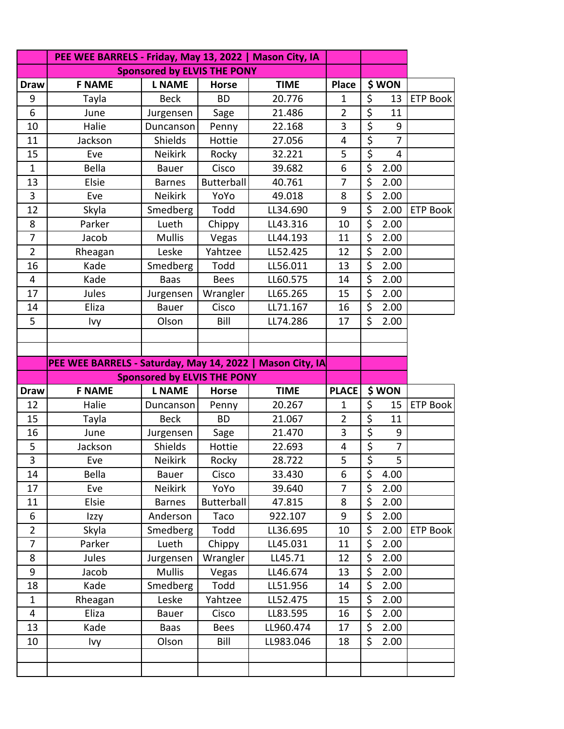|                | PEE WEE BARRELS - Friday, May 13, 2022   Mason City, IA   |                                    |              |             |                |                                 |                |                 |
|----------------|-----------------------------------------------------------|------------------------------------|--------------|-------------|----------------|---------------------------------|----------------|-----------------|
|                |                                                           | <b>Sponsored by ELVIS THE PONY</b> |              |             |                |                                 |                |                 |
| <b>Draw</b>    | <b>F NAME</b>                                             | <b>L NAME</b>                      | <b>Horse</b> | <b>TIME</b> | <b>Place</b>   |                                 | \$WON          |                 |
| 9              | Tayla                                                     | <b>Beck</b>                        | <b>BD</b>    | 20.776      | 1              | $\overline{\varsigma}$          | 13             | <b>ETP Book</b> |
| 6              | June                                                      | Jurgensen                          | Sage         | 21.486      | $\overline{2}$ | $\overline{\xi}$                | 11             |                 |
| 10             | Halie                                                     | Duncanson                          | Penny        | 22.168      | 3              | \$                              | 9              |                 |
| 11             | Jackson                                                   | Shields                            | Hottie       | 27.056      | $\overline{4}$ | $\overline{\xi}$                | $\overline{7}$ |                 |
| 15             | Eve                                                       | <b>Neikirk</b>                     | Rocky        | 32.221      | 5              | $\overline{\xi}$                | 4              |                 |
| $\mathbf{1}$   | <b>Bella</b>                                              | <b>Bauer</b>                       | Cisco        | 39.682      | 6              | \$                              | 2.00           |                 |
| 13             | Elsie                                                     | <b>Barnes</b>                      | Butterball   | 40.761      | $\overline{7}$ | \$                              | 2.00           |                 |
| 3              | Eve                                                       | <b>Neikirk</b>                     | YoYo         | 49.018      | 8              | \$                              | 2.00           |                 |
| 12             | Skyla                                                     | Smedberg                           | Todd         | LL34.690    | 9              | \$                              | 2.00           | <b>ETP Book</b> |
| 8              | Parker                                                    | Lueth                              | Chippy       | LL43.316    | 10             | \$                              | 2.00           |                 |
| 7              | Jacob                                                     | <b>Mullis</b>                      | Vegas        | LL44.193    | 11             | \$                              | 2.00           |                 |
| $\overline{2}$ | Rheagan                                                   | Leske                              | Yahtzee      | LL52.425    | 12             | \$                              | 2.00           |                 |
| 16             | Kade                                                      | Smedberg                           | Todd         | LL56.011    | 13             | \$                              | 2.00           |                 |
| 4              | Kade                                                      | <b>Baas</b>                        | <b>Bees</b>  | LL60.575    | 14             | $\overline{\xi}$                | 2.00           |                 |
| 17             | Jules                                                     | Jurgensen                          | Wrangler     | LL65.265    | 15             | \$                              | 2.00           |                 |
| 14             | Eliza                                                     | <b>Bauer</b>                       | Cisco        | LL71.167    | 16             | $\overline{\xi}$                | 2.00           |                 |
| 5              | Ivy                                                       | Olson                              | Bill         | LL74.286    | 17             | \$                              | 2.00           |                 |
|                |                                                           |                                    |              |             |                |                                 |                |                 |
|                |                                                           |                                    |              |             |                |                                 |                |                 |
|                | PEE WEE BARRELS - Saturday, May 14, 2022   Mason City, IA |                                    |              |             |                |                                 |                |                 |
|                |                                                           | <b>Sponsored by ELVIS THE PONY</b> |              |             |                |                                 |                |                 |
| <b>Draw</b>    | <b>F NAME</b>                                             | <b>L NAME</b>                      | <b>Horse</b> | <b>TIME</b> | <b>PLACE</b>   |                                 | \$WON          |                 |
| 12             | Halie                                                     | Duncanson                          | Penny        | 20.267      | 1              | \$                              | 15             | <b>ETP Book</b> |
| 15             | Tayla                                                     | <b>Beck</b>                        | <b>BD</b>    | 21.067      | $\overline{2}$ | $\overline{\xi}$                | 11             |                 |
| 16             | June                                                      | Jurgensen                          | Sage         | 21.470      | 3              | $\overline{\boldsymbol{\zeta}}$ | 9              |                 |
| 5              | Jackson                                                   | Shields                            | Hottie       | 22.693      | 4              | \$                              | $\overline{7}$ |                 |
| 3              | Eve                                                       | Neikirk                            | Rocky        | 28.722      | 5              | \$                              | 5              |                 |
| 14             | Bella                                                     | Bauer                              | Cisco        | 33.430      | 6              | \$                              | 4.00           |                 |
| 17             | Eve                                                       | Neikirk                            | YoYo         | 39.640      | $\overline{7}$ | \$                              | 2.00           |                 |
| 11             | Elsie                                                     | <b>Barnes</b>                      | Butterball   | 47.815      | 8              | \$                              | 2.00           |                 |
| 6              | Izzy                                                      | Anderson                           | Taco         | 922.107     | 9              | \$                              | 2.00           |                 |
| $\overline{2}$ | Skyla                                                     | Smedberg                           | Todd         | LL36.695    | 10             | \$                              | 2.00           | <b>ETP Book</b> |
| $\overline{7}$ | Parker                                                    | Lueth                              | Chippy       | LL45.031    | 11             | \$                              | 2.00           |                 |
| 8              | Jules                                                     | Jurgensen                          | Wrangler     | LL45.71     | 12             | \$                              | 2.00           |                 |
| 9              | Jacob                                                     | <b>Mullis</b>                      | Vegas        | LL46.674    | 13             | \$                              | 2.00           |                 |
| 18             | Kade                                                      | Smedberg                           | Todd         | LL51.956    | 14             | \$                              | 2.00           |                 |
| $\mathbf{1}$   | Rheagan                                                   | Leske                              | Yahtzee      | LL52.475    | 15             | \$                              | 2.00           |                 |
| 4              | Eliza                                                     | <b>Bauer</b>                       | Cisco        | LL83.595    | 16             | \$                              | 2.00           |                 |
| 13             | Kade                                                      | <b>Baas</b>                        | <b>Bees</b>  | LL960.474   | 17             | $\overline{\varsigma}$          | 2.00           |                 |
| 10             | Ivy                                                       | Olson                              | Bill         | LL983.046   | 18             | \$                              | 2.00           |                 |
|                |                                                           |                                    |              |             |                |                                 |                |                 |
|                |                                                           |                                    |              |             |                |                                 |                |                 |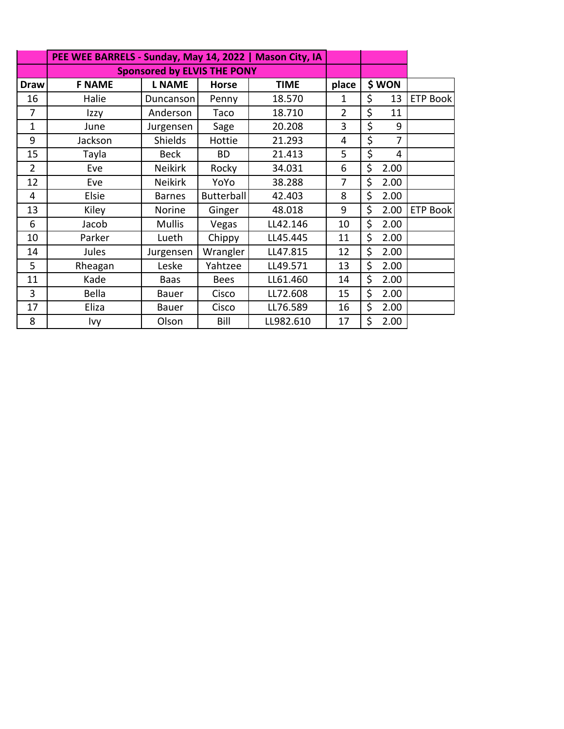|                | PEE WEE BARRELS - Sunday, May 14, 2022   Mason City, IA |                                    |                   |             |                |            |                 |
|----------------|---------------------------------------------------------|------------------------------------|-------------------|-------------|----------------|------------|-----------------|
|                |                                                         | <b>Sponsored by ELVIS THE PONY</b> |                   |             |                |            |                 |
| <b>Draw</b>    | <b>F NAME</b>                                           | <b>L NAME</b>                      | <b>Horse</b>      | <b>TIME</b> | place          | \$ WON     |                 |
| 16             | Halie                                                   | Duncanson                          | Penny             | 18.570      | 1              | \$<br>13   | <b>ETP Book</b> |
| 7              | Izzy                                                    | Anderson                           | Taco              | 18.710      | $\overline{2}$ | \$<br>11   |                 |
| $\mathbf{1}$   | June                                                    | Jurgensen                          | Sage              | 20.208      | 3              | \$<br>9    |                 |
| 9              | Jackson                                                 | <b>Shields</b>                     | Hottie            | 21.293      | 4              | \$<br>7    |                 |
| 15             | Tayla                                                   | <b>Beck</b>                        | <b>BD</b>         | 21.413      | 5              | \$<br>4    |                 |
| $\overline{2}$ | Eve                                                     | <b>Neikirk</b>                     | Rocky             | 34.031      | 6              | \$<br>2.00 |                 |
| 12             | Eve                                                     | <b>Neikirk</b>                     | YoYo              | 38.288      | 7              | \$<br>2.00 |                 |
| 4              | Elsie                                                   | <b>Barnes</b>                      | <b>Butterball</b> | 42.403      | 8              | \$<br>2.00 |                 |
| 13             | Kiley                                                   | Norine                             | Ginger            | 48.018      | 9              | \$<br>2.00 | <b>ETP Book</b> |
| 6              | Jacob                                                   | <b>Mullis</b>                      | Vegas             | LL42.146    | 10             | \$<br>2.00 |                 |
| 10             | Parker                                                  | Lueth                              | Chippy            | LL45.445    | 11             | \$<br>2.00 |                 |
| 14             | Jules                                                   | Jurgensen                          | Wrangler          | LL47.815    | 12             | \$<br>2.00 |                 |
| 5              | Rheagan                                                 | Leske                              | Yahtzee           | LL49.571    | 13             | \$<br>2.00 |                 |
| 11             | Kade                                                    | <b>Baas</b>                        | <b>Bees</b>       | LL61.460    | 14             | \$<br>2.00 |                 |
| 3              | Bella                                                   | Bauer                              | Cisco             | LL72.608    | 15             | \$<br>2.00 |                 |
| 17             | Eliza                                                   | <b>Bauer</b>                       | Cisco             | LL76.589    | 16             | \$<br>2.00 |                 |
| 8              | Ivy                                                     | Olson                              | Bill              | LL982.610   | 17             | \$<br>2.00 |                 |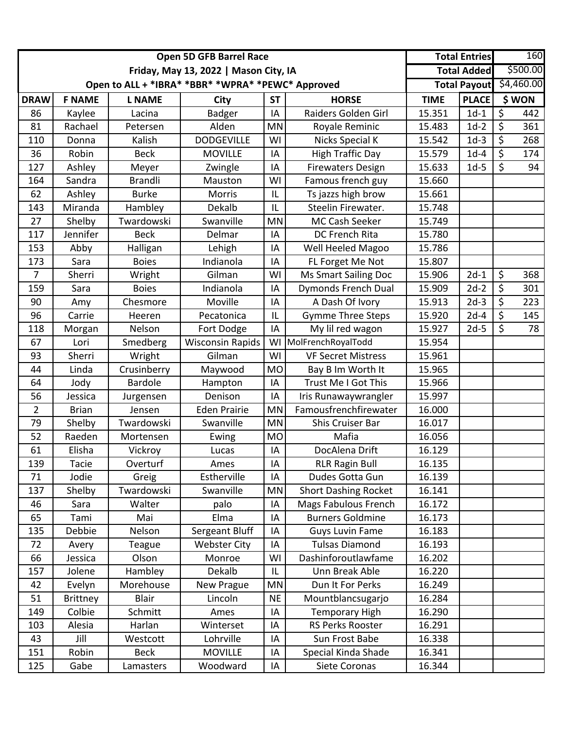|                |                 | <b>Open 5D GFB Barrel Race</b>        |                                                   |                    | <b>Total Entries</b>        |             | 160                 |                          |            |
|----------------|-----------------|---------------------------------------|---------------------------------------------------|--------------------|-----------------------------|-------------|---------------------|--------------------------|------------|
|                |                 | Friday, May 13, 2022   Mason City, IA |                                                   | <b>Total Added</b> |                             | \$500.00    |                     |                          |            |
|                |                 |                                       | Open to ALL + *IBRA* *BBR* *WPRA* *PEWC* Approved |                    |                             |             | <b>Total Payout</b> |                          | \$4,460.00 |
| <b>DRAW</b>    | <b>F NAME</b>   | <b>L NAME</b>                         | <b>City</b>                                       | <b>ST</b>          | <b>HORSE</b>                | <b>TIME</b> | <b>PLACE</b>        |                          | \$WON      |
| 86             | Kaylee          | Lacina                                | <b>Badger</b>                                     | IA                 | Raiders Golden Girl         | 15.351      | $1d-1$              | $\overline{\varsigma}$   | 442        |
| 81             | Rachael         | Petersen                              | Alden                                             | MN                 | Royale Reminic              | 15.483      | $1d-2$              | \$                       | 361        |
| 110            | Donna           | Kalish                                | <b>DODGEVILLE</b>                                 | WI                 | Nicks Special K             | 15.542      | $1d-3$              | \$                       | 268        |
| 36             | Robin           | <b>Beck</b>                           | <b>MOVILLE</b>                                    | IA                 | <b>High Traffic Day</b>     | 15.579      | $1d-4$              | \$                       | 174        |
| 127            | Ashley          | Meyer                                 | Zwingle                                           | IA                 | <b>Firewaters Design</b>    | 15.633      | $1d-5$              | $\zeta$                  | 94         |
| 164            | Sandra          | <b>Brandli</b>                        | Mauston                                           | WI                 | Famous french guy           | 15.660      |                     |                          |            |
| 62             | Ashley          | <b>Burke</b>                          | Morris                                            | IL                 | Ts jazzs high brow          | 15.661      |                     |                          |            |
| 143            | Miranda         | Hambley                               | Dekalb                                            | IL                 | Steelin Firewater.          | 15.748      |                     |                          |            |
| 27             | Shelby          | Twardowski                            | Swanville                                         | MN                 | MC Cash Seeker              | 15.749      |                     |                          |            |
| 117            | Jennifer        | <b>Beck</b>                           | Delmar                                            | IA                 | DC French Rita              | 15.780      |                     |                          |            |
| 153            | Abby            | Halligan                              | Lehigh                                            | IA                 | Well Heeled Magoo           | 15.786      |                     |                          |            |
| 173            | Sara            | <b>Boies</b>                          | Indianola                                         | IA                 | FL Forget Me Not            | 15.807      |                     |                          |            |
| $\overline{7}$ | Sherri          | Wright                                | Gilman                                            | WI                 | <b>Ms Smart Sailing Doc</b> | 15.906      | $2d-1$              | \$                       | 368        |
| 159            | Sara            | <b>Boies</b>                          | Indianola                                         | IA                 | <b>Dymonds French Dual</b>  | 15.909      | $2d-2$              | \$                       | 301        |
| 90             | Amy             | Chesmore                              | Moville                                           | IA                 | A Dash Of Ivory             | 15.913      | $2d-3$              | \$                       | 223        |
| 96             | Carrie          | Heeren                                | Pecatonica                                        | IL                 | <b>Gymme Three Steps</b>    | 15.920      | $2d-4$              | \$                       | 145        |
| 118            | Morgan          | Nelson                                | Fort Dodge                                        | IA                 | My lil red wagon            | 15.927      | $2d-5$              | $\overline{\mathcal{S}}$ | 78         |
| 67             | Lori            | Smedberg                              | <b>Wisconsin Rapids</b>                           | WI                 | MolFrenchRoyalTodd          | 15.954      |                     |                          |            |
| 93             | Sherri          | Wright                                | Gilman                                            | WI                 | <b>VF Secret Mistress</b>   | 15.961      |                     |                          |            |
| 44             | Linda           | Crusinberry                           | Maywood                                           | <b>MO</b>          | Bay B Im Worth It           | 15.965      |                     |                          |            |
| 64             | Jody            | <b>Bardole</b>                        | Hampton                                           | IA                 | Trust Me I Got This         | 15.966      |                     |                          |            |
| 56             | Jessica         | Jurgensen                             | Denison                                           | IA                 | Iris Runawaywrangler        | 15.997      |                     |                          |            |
| $\overline{2}$ | <b>Brian</b>    | Jensen                                | <b>Eden Prairie</b>                               | MN                 | Famousfrenchfirewater       | 16.000      |                     |                          |            |
| 79             | Shelby          | Twardowski                            | Swanville                                         | MN                 | Shis Cruiser Bar            | 16.017      |                     |                          |            |
| 52             | Raeden          | Mortensen                             | Ewing                                             | <b>MO</b>          | Mafia                       | 16.056      |                     |                          |            |
| 61             | Elisha          | Vickroy                               | Lucas                                             | IA                 | DocAlena Drift              | 16.129      |                     |                          |            |
| 139            | Tacie           | Overturf                              | Ames                                              | ΙA                 | <b>RLR Ragin Bull</b>       | 16.135      |                     |                          |            |
| 71             | Jodie           | Greig                                 | Estherville                                       | IA                 | Dudes Gotta Gun             | 16.139      |                     |                          |            |
| 137            | Shelby          | Twardowski                            | Swanville                                         | MN                 | <b>Short Dashing Rocket</b> | 16.141      |                     |                          |            |
| 46             | Sara            | Walter                                | palo                                              | IA                 | <b>Mags Fabulous French</b> | 16.172      |                     |                          |            |
| 65             | Tami            | Mai                                   | Elma                                              | IA                 | <b>Burners Goldmine</b>     | 16.173      |                     |                          |            |
| 135            | Debbie          | Nelson                                | Sergeant Bluff                                    | IA                 | <b>Guys Luvin Fame</b>      | 16.183      |                     |                          |            |
| 72             | Avery           | Teague                                | <b>Webster City</b>                               | IA                 | <b>Tulsas Diamond</b>       | 16.193      |                     |                          |            |
| 66             | Jessica         | Olson                                 | Monroe                                            | WI                 | Dashinforoutlawfame         | 16.202      |                     |                          |            |
| 157            | Jolene          | Hambley                               | Dekalb                                            | IL                 | Unn Break Able              | 16.220      |                     |                          |            |
| 42             | Evelyn          | Morehouse                             | <b>New Prague</b>                                 | MN                 | Dun It For Perks            | 16.249      |                     |                          |            |
| 51             | <b>Brittney</b> | <b>Blair</b>                          | Lincoln                                           | <b>NE</b>          | Mountblancsugarjo           | 16.284      |                     |                          |            |
| 149            | Colbie          | Schmitt                               | Ames                                              | IA                 | <b>Temporary High</b>       | 16.290      |                     |                          |            |
| 103            | Alesia          | Harlan                                | Winterset                                         | ΙA                 | RS Perks Rooster            | 16.291      |                     |                          |            |
| 43             | Jill            | Westcott                              | Lohrville                                         | IA                 | Sun Frost Babe              | 16.338      |                     |                          |            |
| 151            | Robin           | <b>Beck</b>                           | <b>MOVILLE</b>                                    | IA                 | Special Kinda Shade         | 16.341      |                     |                          |            |
| 125            | Gabe            | Lamasters                             | Woodward                                          | IA                 | Siete Coronas               | 16.344      |                     |                          |            |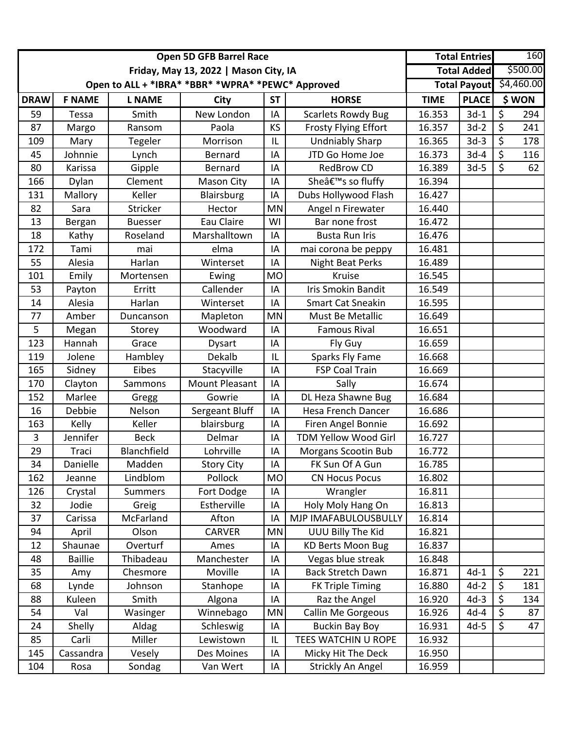|             |                | <b>Open 5D GFB Barrel Race</b>        |                                                   |           | <b>Total Entries</b>           |             | 160                     |                          |       |
|-------------|----------------|---------------------------------------|---------------------------------------------------|-----------|--------------------------------|-------------|-------------------------|--------------------------|-------|
|             |                | Friday, May 13, 2022   Mason City, IA |                                                   |           | <b>Total Added</b>             |             | \$500.00                |                          |       |
|             |                |                                       | Open to ALL + *IBRA* *BBR* *WPRA* *PEWC* Approved |           |                                |             | Total Payout \$4,460.00 |                          |       |
| <b>DRAW</b> | <b>F NAME</b>  | <b>L NAME</b>                         | City                                              | <b>ST</b> | <b>HORSE</b>                   | <b>TIME</b> | <b>PLACE</b>            |                          | \$WON |
| 59          | Tessa          | Smith                                 | New London                                        | IA        | <b>Scarlets Rowdy Bug</b>      | 16.353      | $3d-1$                  | \$                       | 294   |
| 87          | Margo          | Ransom                                | Paola                                             | KS        | <b>Frosty Flying Effort</b>    | 16.357      | $3d-2$                  | \$                       | 241   |
| 109         | Mary           | Tegeler                               | Morrison                                          | IL        | <b>Undniably Sharp</b>         | 16.365      | $3d-3$                  | \$                       | 178   |
| 45          | Johnnie        | Lynch                                 | Bernard                                           | IA        | JTD Go Home Joe                | 16.373      | $3d-4$                  | \$                       | 116   |
| 80          | Karissa        | Gipple                                | Bernard                                           | IA        | <b>RedBrow CD</b>              | 16.389      | $3d-5$                  | $\overline{\mathcal{S}}$ | 62    |
| 166         | Dylan          | Clement                               | Mason City                                        | IA        | Sheâ€ <sup>™</sup> s so fluffy | 16.394      |                         |                          |       |
| 131         | Mallory        | Keller                                | Blairsburg                                        | IA        | Dubs Hollywood Flash           | 16.427      |                         |                          |       |
| 82          | Sara           | Stricker                              | Hector                                            | MN        | Angel n Firewater              | 16.440      |                         |                          |       |
| 13          | Bergan         | <b>Buesser</b>                        | Eau Claire                                        | WI        | Bar none frost                 | 16.472      |                         |                          |       |
| 18          | Kathy          | Roseland                              | Marshalltown                                      | IA        | <b>Busta Run Iris</b>          | 16.476      |                         |                          |       |
| 172         | Tami           | mai                                   | elma                                              | IA        | mai corona be peppy            | 16.481      |                         |                          |       |
| 55          | Alesia         | Harlan                                | Winterset                                         | IA        | <b>Night Beat Perks</b>        | 16.489      |                         |                          |       |
| 101         | Emily          | Mortensen                             | Ewing                                             | <b>MO</b> | Kruise                         | 16.545      |                         |                          |       |
| 53          | Payton         | Erritt                                | Callender                                         | IA        | Iris Smokin Bandit             | 16.549      |                         |                          |       |
| 14          | Alesia         | Harlan                                | Winterset                                         | IA        | <b>Smart Cat Sneakin</b>       | 16.595      |                         |                          |       |
| 77          | Amber          | Duncanson                             | Mapleton                                          | <b>MN</b> | Must Be Metallic               | 16.649      |                         |                          |       |
| 5           | Megan          | Storey                                | Woodward                                          | IA        | <b>Famous Rival</b>            | 16.651      |                         |                          |       |
| 123         | Hannah         | Grace                                 | Dysart                                            | IA        | Fly Guy                        | 16.659      |                         |                          |       |
| 119         | Jolene         | Hambley                               | Dekalb                                            | IL        | Sparks Fly Fame                | 16.668      |                         |                          |       |
| 165         | Sidney         | Eibes                                 | Stacyville                                        | IA        | <b>FSP Coal Train</b>          | 16.669      |                         |                          |       |
| 170         | Clayton        | Sammons                               | <b>Mount Pleasant</b>                             | IA        | Sally                          | 16.674      |                         |                          |       |
| 152         | Marlee         | Gregg                                 | Gowrie                                            | IA        | DL Heza Shawne Bug             | 16.684      |                         |                          |       |
| 16          | Debbie         | Nelson                                | Sergeant Bluff                                    | IA        | <b>Hesa French Dancer</b>      | 16.686      |                         |                          |       |
| 163         | Kelly          | Keller                                | blairsburg                                        | IA        | Firen Angel Bonnie             | 16.692      |                         |                          |       |
| 3           | Jennifer       | <b>Beck</b>                           | Delmar                                            | IA        | <b>TDM Yellow Wood Girl</b>    | 16.727      |                         |                          |       |
| 29          | Traci          | Blanchfield                           | Lohrville                                         | IA        | Morgans Scootin Bub            | 16.772      |                         |                          |       |
| 34          | Danielle       | Madden                                | <b>Story City</b>                                 | IA        | FK Sun Of A Gun                | 16.785      |                         |                          |       |
| 162         | Jeanne         | Lindblom                              | Pollock                                           | <b>MO</b> | <b>CN Hocus Pocus</b>          | 16.802      |                         |                          |       |
| 126         | Crystal        | <b>Summers</b>                        | Fort Dodge                                        | IA        | Wrangler                       | 16.811      |                         |                          |       |
| 32          | Jodie          | Greig                                 | Estherville                                       | IA        | Holy Moly Hang On              | 16.813      |                         |                          |       |
| 37          | Carissa        | McFarland                             | Afton                                             | IA        | MJP IMAFABULOUSBULLY           | 16.814      |                         |                          |       |
| 94          | April          | Olson                                 | <b>CARVER</b>                                     | MN        | UUU Billy The Kid              | 16.821      |                         |                          |       |
| 12          | Shaunae        | Overturf                              | Ames                                              | IA        | <b>KD Berts Moon Bug</b>       | 16.837      |                         |                          |       |
| 48          | <b>Baillie</b> | Thibadeau                             | Manchester                                        | IA        | Vegas blue streak              | 16.848      |                         |                          |       |
| 35          | Amy            | Chesmore                              | Moville                                           | IA        | <b>Back Stretch Dawn</b>       | 16.871      | $4d-1$                  | \$                       | 221   |
| 68          | Lynde          | Johnson                               | Stanhope                                          | IA        | FK Triple Timing               | 16.880      | $4d-2$                  | \$                       | 181   |
| 88          | Kuleen         | Smith                                 | Algona                                            | IA        | Raz the Angel                  | 16.920      | $4d-3$                  | \$                       | 134   |
| 54          | Val            | Wasinger                              | Winnebago                                         | MN        | Callin Me Gorgeous             | 16.926      | $4d-4$                  | \$                       | 87    |
| 24          | Shelly         | Aldag                                 | Schleswig                                         | IA        | <b>Buckin Bay Boy</b>          | 16.931      | $4d-5$                  | $\zeta$                  | 47    |
| 85          | Carli          | Miller                                | Lewistown                                         | IL        | TEES WATCHIN U ROPE            | 16.932      |                         |                          |       |
| 145         | Cassandra      | Vesely                                | Des Moines                                        | IA        | Micky Hit The Deck             | 16.950      |                         |                          |       |
| 104         | Rosa           | Sondag                                | Van Wert                                          | IA        | Strickly An Angel              | 16.959      |                         |                          |       |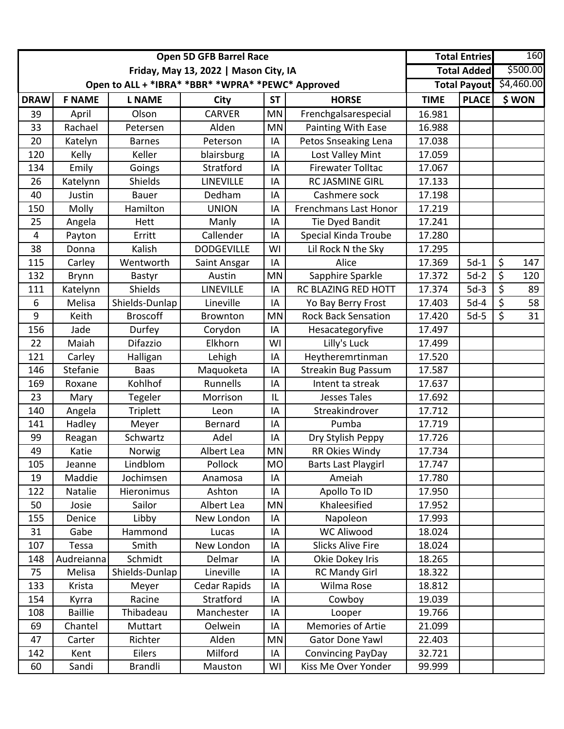|                |                | <b>Open 5D GFB Barrel Race</b>        |                                                   |                | <b>Total Entries</b>         | 160         |              |                         |
|----------------|----------------|---------------------------------------|---------------------------------------------------|----------------|------------------------------|-------------|--------------|-------------------------|
|                |                | Friday, May 13, 2022   Mason City, IA |                                                   |                | <b>Total Added</b>           | \$500.00    |              |                         |
|                |                |                                       | Open to ALL + *IBRA* *BBR* *WPRA* *PEWC* Approved |                |                              |             |              | Total Payout \$4,460.00 |
| <b>DRAW</b>    | <b>F NAME</b>  | <b>L NAME</b>                         | <b>City</b>                                       | <b>ST</b>      | <b>HORSE</b>                 | <b>TIME</b> | <b>PLACE</b> | \$WON                   |
| 39             | April          | Olson                                 | <b>CARVER</b>                                     | MN             | Frenchgalsarespecial         | 16.981      |              |                         |
| 33             | Rachael        | Petersen                              | Alden                                             | <b>MN</b>      | Painting With Ease           | 16.988      |              |                         |
| 20             | Katelyn        | <b>Barnes</b>                         | Peterson                                          | IA             | Petos Snseaking Lena         | 17.038      |              |                         |
| 120            | Kelly          | Keller                                | blairsburg                                        | IA             | Lost Valley Mint             | 17.059      |              |                         |
| 134            | Emily          | Goings                                | Stratford                                         | IA             | <b>Firewater Tolltac</b>     | 17.067      |              |                         |
| 26             | Katelynn       | Shields                               | LINEVILLE                                         | IA             | RC JASMINE GIRL              | 17.133      |              |                         |
| 40             | Justin         | <b>Bauer</b>                          | Dedham                                            | IA             | Cashmere sock                | 17.198      |              |                         |
| 150            | Molly          | Hamilton                              | <b>UNION</b>                                      | IA             | <b>Frenchmans Last Honor</b> | 17.219      |              |                         |
| 25             | Angela         | Hett                                  | Manly                                             | IA             | <b>Tie Dyed Bandit</b>       | 17.241      |              |                         |
| $\overline{4}$ | Payton         | Erritt                                | Callender                                         | IA             | <b>Special Kinda Troube</b>  | 17.280      |              |                         |
| 38             | Donna          | Kalish                                | <b>DODGEVILLE</b>                                 | WI             | Lil Rock N the Sky           | 17.295      |              |                         |
| 115            | Carley         | Wentworth                             | Saint Ansgar                                      | IA             | Alice                        | 17.369      | $5d-1$       | \$<br>147               |
| 132            | <b>Brynn</b>   | Bastyr                                | Austin                                            | MN             | Sapphire Sparkle             | 17.372      | $5d-2$       | \$<br>120               |
| 111            | Katelynn       | Shields                               | LINEVILLE                                         | IA             | RC BLAZING RED HOTT          | 17.374      | $5d-3$       | \$<br>89                |
| 6              | Melisa         | Shields-Dunlap                        | Lineville                                         | IA             | Yo Bay Berry Frost           | 17.403      | $5d-4$       | \$<br>58                |
| 9              | Keith          | <b>Broscoff</b>                       | Brownton                                          | <b>MN</b>      | <b>Rock Back Sensation</b>   | 17.420      | $5d-5$       | \$<br>31                |
| 156            | Jade           | Durfey                                | Corydon                                           | IA             | Hesacategoryfive             | 17.497      |              |                         |
| 22             | Maiah          | Difazzio                              | Elkhorn                                           | WI             | Lilly's Luck                 | 17.499      |              |                         |
| 121            | Carley         | Halligan                              | Lehigh                                            | IA             | Heytheremrtinman             | 17.520      |              |                         |
| 146            | Stefanie       | <b>Baas</b>                           | Maquoketa                                         | IA             | <b>Streakin Bug Passum</b>   | 17.587      |              |                         |
| 169            | Roxane         | Kohlhof                               | Runnells                                          | IA             | Intent ta streak             | 17.637      |              |                         |
| 23             | Mary           | Tegeler                               | Morrison                                          | IL             | <b>Jesses Tales</b>          | 17.692      |              |                         |
| 140            | Angela         | <b>Triplett</b>                       | Leon                                              | IA             | Streakindrover               | 17.712      |              |                         |
| 141            | Hadley         | Meyer                                 | Bernard                                           | IA             | Pumba                        | 17.719      |              |                         |
| 99             | Reagan         | Schwartz                              | Adel                                              | IA             | Dry Stylish Peppy            | 17.726      |              |                         |
| 49             | Katie          | Norwig                                | Albert Lea                                        | MN             | RR Okies Windy               | 17.734      |              |                         |
| 105            | Jeanne         | Lindblom                              | Pollock                                           | M <sub>O</sub> | <b>Barts Last Playgirl</b>   | 17.747      |              |                         |
| 19             | Maddie         | Jochimsen                             | Anamosa                                           | IA             | Ameiah                       | 17.780      |              |                         |
| 122            | Natalie        | Hieronimus                            | Ashton                                            | IA             | Apollo To ID                 | 17.950      |              |                         |
| 50             | Josie          | Sailor                                | Albert Lea                                        | <b>MN</b>      | Khaleesified                 | 17.952      |              |                         |
| 155            | Denice         | Libby                                 | New London                                        | IA             | Napoleon                     | 17.993      |              |                         |
| 31             | Gabe           | Hammond                               | Lucas                                             | IA             | <b>WC Aliwood</b>            | 18.024      |              |                         |
| 107            | Tessa          | Smith                                 | New London                                        | IA             | <b>Slicks Alive Fire</b>     | 18.024      |              |                         |
| 148            | Audreianna     | Schmidt                               | Delmar                                            | IA             | Okie Dokey Iris              | 18.265      |              |                         |
| 75             | Melisa         | Shields-Dunlap                        | Lineville                                         | IA             | <b>RC Mandy Girl</b>         | 18.322      |              |                         |
| 133            | Krista         | Meyer                                 | Cedar Rapids                                      | IA             | Wilma Rose                   | 18.812      |              |                         |
| 154            | Kyrra          | Racine                                | Stratford                                         | IA             | Cowboy                       | 19.039      |              |                         |
| 108            | <b>Baillie</b> | Thibadeau                             | Manchester                                        | IA             | Looper                       | 19.766      |              |                         |
| 69             | Chantel        | Muttart                               | Oelwein                                           | IA             | <b>Memories of Artie</b>     | 21.099      |              |                         |
| 47             | Carter         | Richter                               | Alden                                             | MN             | Gator Done Yawl              | 22.403      |              |                         |
| 142            | Kent           | <b>Eilers</b>                         | Milford                                           | IA             | <b>Convincing PayDay</b>     | 32.721      |              |                         |
| 60             | Sandi          | <b>Brandli</b>                        | Mauston                                           | WI             | Kiss Me Over Yonder          | 99.999      |              |                         |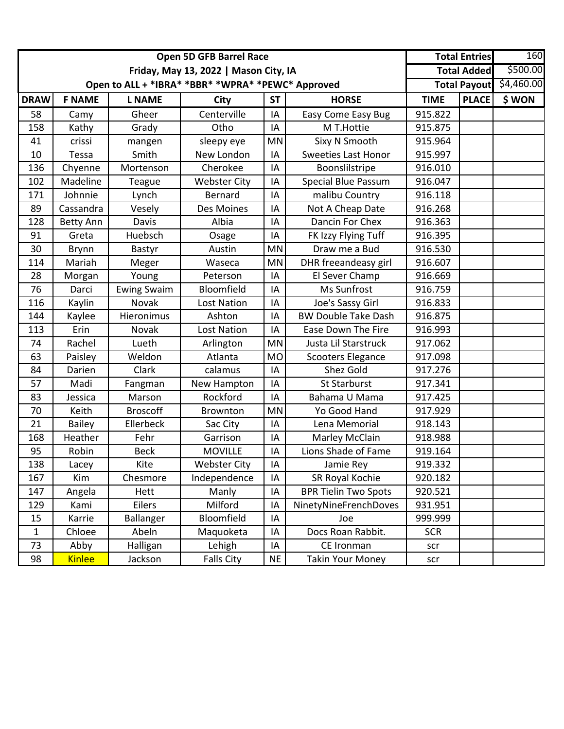|              |                  | <b>Open 5D GFB Barrel Race</b>        |                                                   | <b>Total Entries</b> |                             | 160         |              |                         |
|--------------|------------------|---------------------------------------|---------------------------------------------------|----------------------|-----------------------------|-------------|--------------|-------------------------|
|              |                  | Friday, May 13, 2022   Mason City, IA |                                                   |                      | <b>Total Added</b>          | \$500.00    |              |                         |
|              |                  |                                       | Open to ALL + *IBRA* *BBR* *WPRA* *PEWC* Approved |                      |                             |             |              | Total Payout \$4,460.00 |
| <b>DRAW</b>  | <b>F NAME</b>    | <b>L NAME</b>                         | <b>City</b>                                       | <b>ST</b>            | <b>HORSE</b>                | <b>TIME</b> | <b>PLACE</b> | \$WON                   |
| 58           | Camy             | Gheer                                 | Centerville                                       | IA                   | Easy Come Easy Bug          | 915.822     |              |                         |
| 158          | Kathy            | Grady                                 | Otho                                              | IA                   | M T.Hottie                  | 915.875     |              |                         |
| 41           | crissi           | mangen                                | sleepy eye                                        | <b>MN</b>            | Sixy N Smooth               | 915.964     |              |                         |
| 10           | Tessa            | Smith                                 | New London                                        | IA                   | <b>Sweeties Last Honor</b>  | 915.997     |              |                         |
| 136          | Chyenne          | Mortenson                             | Cherokee                                          | IA                   | Boonslilstripe              | 916.010     |              |                         |
| 102          | Madeline         | Teague                                | <b>Webster City</b>                               | IA                   | <b>Special Blue Passum</b>  | 916.047     |              |                         |
| 171          | Johnnie          | Lynch                                 | <b>Bernard</b>                                    | IA                   | malibu Country              | 916.118     |              |                         |
| 89           | Cassandra        | Vesely                                | Des Moines                                        | IA                   | Not A Cheap Date            | 916.268     |              |                         |
| 128          | <b>Betty Ann</b> | Davis                                 | Albia                                             | IA                   | Dancin For Chex             | 916.363     |              |                         |
| 91           | Greta            | Huebsch                               | Osage                                             | IA                   | FK Izzy Flying Tuff         | 916.395     |              |                         |
| 30           | <b>Brynn</b>     | Bastyr                                | Austin                                            | <b>MN</b>            | Draw me a Bud               | 916.530     |              |                         |
| 114          | Mariah           | Meger                                 | Waseca                                            | MN                   | DHR freeandeasy girl        | 916.607     |              |                         |
| 28           | Morgan           | Young                                 | Peterson                                          | IA                   | El Sever Champ              | 916.669     |              |                         |
| 76           | Darci            | <b>Ewing Swaim</b>                    | Bloomfield                                        | IA                   | Ms Sunfrost                 | 916.759     |              |                         |
| 116          | Kaylin           | <b>Novak</b>                          | <b>Lost Nation</b>                                | IA                   | Joe's Sassy Girl            | 916.833     |              |                         |
| 144          | Kaylee           | Hieronimus                            | Ashton                                            | IA                   | <b>BW Double Take Dash</b>  | 916.875     |              |                         |
| 113          | Erin             | Novak                                 | Lost Nation                                       | IA                   | Ease Down The Fire          | 916.993     |              |                         |
| 74           | Rachel           | Lueth                                 | Arlington                                         | <b>MN</b>            | Justa Lil Starstruck        | 917.062     |              |                         |
| 63           | Paisley          | Weldon                                | Atlanta                                           | <b>MO</b>            | <b>Scooters Elegance</b>    | 917.098     |              |                         |
| 84           | Darien           | Clark                                 | calamus                                           | IA                   | Shez Gold                   | 917.276     |              |                         |
| 57           | Madi             | Fangman                               | New Hampton                                       | IA                   | St Starburst                | 917.341     |              |                         |
| 83           | Jessica          | Marson                                | Rockford                                          | IA                   | Bahama U Mama               | 917.425     |              |                         |
| 70           | Keith            | <b>Broscoff</b>                       | Brownton                                          | <b>MN</b>            | Yo Good Hand                | 917.929     |              |                         |
| 21           | <b>Bailey</b>    | Ellerbeck                             | Sac City                                          | IA                   | Lena Memorial               | 918.143     |              |                         |
| 168          | Heather          | Fehr                                  | Garrison                                          | IA                   | Marley McClain              | 918.988     |              |                         |
| 95           | Robin            | <b>Beck</b>                           | <b>MOVILLE</b>                                    | IA                   | Lions Shade of Fame         | 919.164     |              |                         |
| 138          | Lacey            | Kite                                  | <b>Webster City</b>                               | ΙA                   | Jamie Rey                   | 919.332     |              |                         |
| 167          | Kim              | Chesmore                              | Independence                                      | IA                   | SR Royal Kochie             | 920.182     |              |                         |
| 147          | Angela           | Hett                                  | Manly                                             | IA                   | <b>BPR Tielin Two Spots</b> | 920.521     |              |                         |
| 129          | Kami             | Eilers                                | Milford                                           | IA                   | NinetyNineFrenchDoves       | 931.951     |              |                         |
| 15           | Karrie           | <b>Ballanger</b>                      | Bloomfield                                        | IA                   | Joe                         | 999.999     |              |                         |
| $\mathbf{1}$ | Chloee           | Abeln                                 | Maquoketa                                         | IA                   | Docs Roan Rabbit.           | <b>SCR</b>  |              |                         |
| 73           | Abby             | Halligan                              | Lehigh                                            | ΙA                   | CE Ironman                  | scr         |              |                         |
| 98           | <b>Kinlee</b>    | Jackson                               | <b>Falls City</b>                                 | <b>NE</b>            | <b>Takin Your Money</b>     | scr         |              |                         |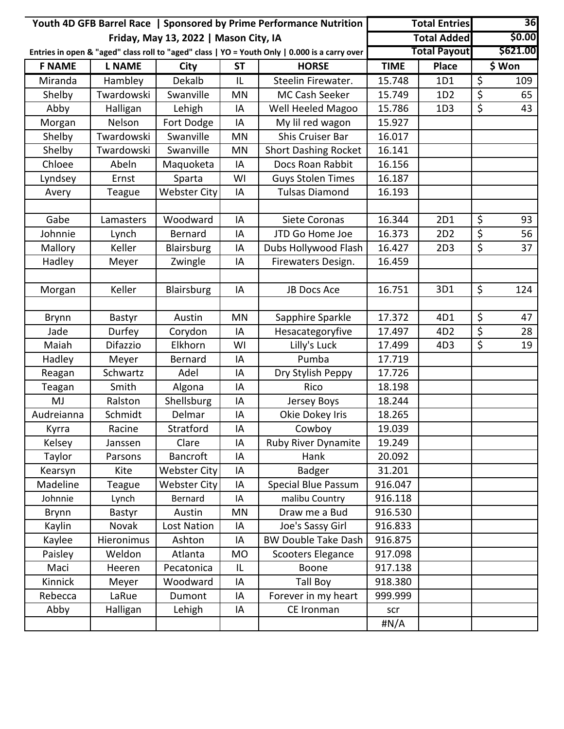|               |               |                                       | Youth 4D GFB Barrel Race   Sponsored by Prime Performance Nutrition |                                                                                               | <b>Total Entries</b> |                     | 36                     |          |
|---------------|---------------|---------------------------------------|---------------------------------------------------------------------|-----------------------------------------------------------------------------------------------|----------------------|---------------------|------------------------|----------|
|               |               | Friday, May 13, 2022   Mason City, IA |                                                                     |                                                                                               |                      | <b>Total Added</b>  |                        | \$0.00   |
|               |               |                                       |                                                                     | Entries in open & "aged" class roll to "aged" class   YO = Youth Only   0.000 is a carry over |                      | <b>Total Payout</b> |                        | \$621.00 |
| <b>F NAME</b> | <b>L NAME</b> | City                                  | <b>ST</b>                                                           | <b>HORSE</b>                                                                                  | <b>TIME</b>          | <b>Place</b>        |                        | \$ Won   |
| Miranda       | Hambley       | Dekalb                                | IL                                                                  | Steelin Firewater.                                                                            | 15.748               | 1D1                 | \$                     | 109      |
| Shelby        | Twardowski    | Swanville                             | <b>MN</b>                                                           | MC Cash Seeker                                                                                | 15.749               | 1D2                 | \$                     | 65       |
| Abby          | Halligan      | Lehigh                                | IA                                                                  | Well Heeled Magoo                                                                             | 15.786               | 1D3                 | \$                     | 43       |
| Morgan        | Nelson        | Fort Dodge                            | IA                                                                  | My lil red wagon                                                                              | 15.927               |                     |                        |          |
| Shelby        | Twardowski    | Swanville                             | <b>MN</b>                                                           | Shis Cruiser Bar                                                                              | 16.017               |                     |                        |          |
| Shelby        | Twardowski    | Swanville                             | <b>MN</b>                                                           | <b>Short Dashing Rocket</b>                                                                   | 16.141               |                     |                        |          |
| Chloee        | Abeln         | Maquoketa                             | IA                                                                  | Docs Roan Rabbit                                                                              | 16.156               |                     |                        |          |
| Lyndsey       | Ernst         | Sparta                                | WI                                                                  | <b>Guys Stolen Times</b>                                                                      | 16.187               |                     |                        |          |
| Avery         | Teague        | <b>Webster City</b>                   | IA                                                                  | <b>Tulsas Diamond</b>                                                                         | 16.193               |                     |                        |          |
|               |               |                                       |                                                                     |                                                                                               |                      |                     |                        |          |
| Gabe          | Lamasters     | Woodward                              | ΙA                                                                  | Siete Coronas                                                                                 | 16.344               | 2D1                 | \$                     | 93       |
| Johnnie       | Lynch         | Bernard                               | IA                                                                  | JTD Go Home Joe                                                                               | 16.373               | 2D <sub>2</sub>     | $\overline{\varsigma}$ | 56       |
| Mallory       | Keller        | Blairsburg                            | IA                                                                  | Dubs Hollywood Flash                                                                          | 16.427               | 2D3                 | \$                     | 37       |
| Hadley        | Meyer         | Zwingle                               | IA                                                                  | Firewaters Design.                                                                            | 16.459               |                     |                        |          |
|               |               |                                       |                                                                     |                                                                                               |                      |                     |                        |          |
| Morgan        | Keller        | Blairsburg                            | IA                                                                  | JB Docs Ace                                                                                   | 16.751               | 3D1                 | \$                     | 124      |
|               |               |                                       |                                                                     |                                                                                               |                      |                     |                        |          |
| <b>Brynn</b>  | Bastyr        | Austin                                | <b>MN</b>                                                           | Sapphire Sparkle                                                                              | 17.372               | 4D1                 | $\overline{\varsigma}$ | 47       |
| Jade          | Durfey        | Corydon                               | IA                                                                  | Hesacategoryfive                                                                              | 17.497               | 4D <sub>2</sub>     | \$                     | 28       |
| Maiah         | Difazzio      | Elkhorn                               | WI                                                                  | Lilly's Luck                                                                                  | 17.499               | 4D3                 | \$                     | 19       |
| Hadley        | Meyer         | Bernard                               | IA                                                                  | Pumba                                                                                         | 17.719               |                     |                        |          |
| Reagan        | Schwartz      | Adel                                  | IA                                                                  | Dry Stylish Peppy                                                                             | 17.726               |                     |                        |          |
| Teagan        | Smith         | Algona                                | IA                                                                  | Rico                                                                                          | 18.198               |                     |                        |          |
| MJ            | Ralston       | Shellsburg                            | IA                                                                  | Jersey Boys                                                                                   | 18.244               |                     |                        |          |
| Audreianna    | Schmidt       | Delmar                                | IA                                                                  | Okie Dokey Iris                                                                               | 18.265               |                     |                        |          |
| Kyrra         | Racine        | Stratford                             | IA                                                                  | Cowboy                                                                                        | 19.039               |                     |                        |          |
| Kelsey        | Janssen       | Clare                                 | IA                                                                  | Ruby River Dynamite                                                                           | 19.249               |                     |                        |          |
| Taylor        | Parsons       | <b>Bancroft</b>                       | IA                                                                  | Hank                                                                                          | 20.092               |                     |                        |          |
| Kearsyn       | Kite          | <b>Webster City</b>                   | IA                                                                  | Badger                                                                                        | 31.201               |                     |                        |          |
| Madeline      | Teague        | <b>Webster City</b>                   | IA                                                                  | <b>Special Blue Passum</b>                                                                    | 916.047              |                     |                        |          |
| Johnnie       | Lynch         | Bernard                               | IA                                                                  | malibu Country                                                                                | 916.118              |                     |                        |          |
| <b>Brynn</b>  | Bastyr        | Austin                                | MN                                                                  | Draw me a Bud                                                                                 | 916.530              |                     |                        |          |
| Kaylin        | Novak         | <b>Lost Nation</b>                    | ΙA                                                                  | Joe's Sassy Girl                                                                              | 916.833              |                     |                        |          |
| Kaylee        | Hieronimus    | Ashton                                | ΙA                                                                  | <b>BW Double Take Dash</b>                                                                    | 916.875              |                     |                        |          |
| Paisley       | Weldon        | Atlanta                               | <b>MO</b>                                                           | <b>Scooters Elegance</b>                                                                      | 917.098              |                     |                        |          |
| Maci          | Heeren        | Pecatonica                            | IL                                                                  | Boone                                                                                         | 917.138              |                     |                        |          |
| Kinnick       | Meyer         | Woodward                              | IA                                                                  | <b>Tall Boy</b>                                                                               | 918.380              |                     |                        |          |
| Rebecca       | LaRue         | Dumont                                | IA                                                                  | Forever in my heart                                                                           | 999.999              |                     |                        |          |
| Abby          | Halligan      | Lehigh                                | IA                                                                  | CE Ironman                                                                                    | scr                  |                     |                        |          |
|               |               |                                       |                                                                     |                                                                                               | #N/A                 |                     |                        |          |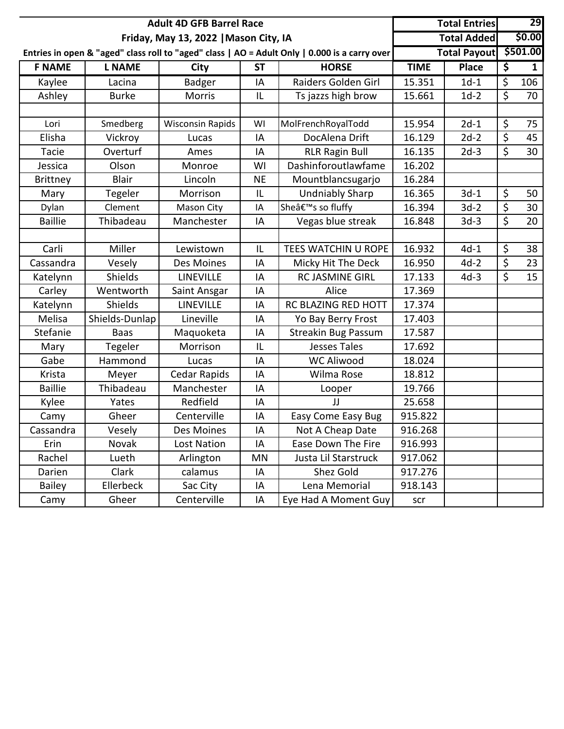|                 |                | <b>Adult 4D GFB Barrel Race</b>       |           |                                                                                               | <b>Total Entries</b> |                     | 29                       |              |
|-----------------|----------------|---------------------------------------|-----------|-----------------------------------------------------------------------------------------------|----------------------|---------------------|--------------------------|--------------|
|                 |                | Friday, May 13, 2022   Mason City, IA |           |                                                                                               |                      | <b>Total Added</b>  |                          | \$0.00       |
|                 |                |                                       |           | Entries in open & "aged" class roll to "aged" class   AO = Adult Only   0.000 is a carry over |                      | <b>Total Payout</b> |                          | \$501.00     |
| <b>F NAME</b>   | <b>L NAME</b>  | City                                  | <b>ST</b> | <b>HORSE</b>                                                                                  | <b>TIME</b>          | <b>Place</b>        | \$                       | $\mathbf{1}$ |
| Kaylee          | Lacina         | <b>Badger</b>                         | IA        | Raiders Golden Girl                                                                           | 15.351               | $1d-1$              | \$                       | 106          |
| Ashley          | <b>Burke</b>   | Morris                                | IL        | Ts jazzs high brow                                                                            | 15.661               | $1d-2$              | \$                       | 70           |
| Lori            | Smedberg       | <b>Wisconsin Rapids</b>               | WI        | MolFrenchRoyalTodd                                                                            | 15.954               | $2d-1$              | \$                       | 75           |
| Elisha          | Vickroy        | Lucas                                 | IA        | DocAlena Drift                                                                                | 16.129               | $2d-2$              | \$                       | 45           |
| Tacie           | Overturf       | Ames                                  | IA        | <b>RLR Ragin Bull</b>                                                                         | 16.135               | $2d-3$              | $\overline{\mathcal{S}}$ | 30           |
| Jessica         | Olson          | Monroe                                | WI        | Dashinforoutlawfame                                                                           | 16.202               |                     |                          |              |
| <b>Brittney</b> | <b>Blair</b>   | Lincoln                               | <b>NE</b> | Mountblancsugarjo                                                                             | 16.284               |                     |                          |              |
| Mary            | Tegeler        | Morrison                              | IL        | <b>Undniably Sharp</b>                                                                        | 16.365               | $3d-1$              | \$                       | 50           |
| Dylan           | Clement        | <b>Mason City</b>                     | IA        | Sheâ€ <sup>™</sup> s so fluffy                                                                | 16.394               | $3d-2$              | \$                       | 30           |
| <b>Baillie</b>  | Thibadeau      | Manchester                            | IA        | Vegas blue streak                                                                             | 16.848               | $3d-3$              | \$                       | 20           |
|                 |                |                                       |           |                                                                                               |                      |                     |                          |              |
| Carli           | Miller         | Lewistown                             | IL        | TEES WATCHIN U ROPE                                                                           | 16.932               | $4d-1$              | \$                       | 38           |
| Cassandra       | Vesely         | Des Moines                            | IA        | Micky Hit The Deck                                                                            | 16.950               | $4d-2$              | \$                       | 23           |
| Katelynn        | <b>Shields</b> | LINEVILLE                             | IA        | <b>RC JASMINE GIRL</b>                                                                        | 17.133               | $4d-3$              | \$                       | 15           |
| Carley          | Wentworth      | Saint Ansgar                          | IA        | Alice                                                                                         | 17.369               |                     |                          |              |
| Katelynn        | <b>Shields</b> | <b>LINEVILLE</b>                      | IA        | RC BLAZING RED HOTT                                                                           | 17.374               |                     |                          |              |
| Melisa          | Shields-Dunlap | Lineville                             | IA        | Yo Bay Berry Frost                                                                            | 17.403               |                     |                          |              |
| Stefanie        | <b>Baas</b>    | Maquoketa                             | ΙA        | <b>Streakin Bug Passum</b>                                                                    | 17.587               |                     |                          |              |
| Mary            | Tegeler        | Morrison                              | IL        | <b>Jesses Tales</b>                                                                           | 17.692               |                     |                          |              |
| Gabe            | Hammond        | Lucas                                 | IA        | <b>WC Aliwood</b>                                                                             | 18.024               |                     |                          |              |
| Krista          | Meyer          | Cedar Rapids                          | IA        | Wilma Rose                                                                                    | 18.812               |                     |                          |              |
| <b>Baillie</b>  | Thibadeau      | Manchester                            | ΙA        | Looper                                                                                        | 19.766               |                     |                          |              |
| Kylee           | Yates          | Redfield                              | IA        | JJ                                                                                            | 25.658               |                     |                          |              |
| Camy            | Gheer          | Centerville                           | ΙA        | <b>Easy Come Easy Bug</b>                                                                     | 915.822              |                     |                          |              |
| Cassandra       | Vesely         | Des Moines                            | IA        | Not A Cheap Date                                                                              | 916.268              |                     |                          |              |
| Erin            | Novak          | Lost Nation                           | ΙA        | Ease Down The Fire                                                                            | 916.993              |                     |                          |              |
| Rachel          | Lueth          | Arlington                             | ΜN        | Justa Lil Starstruck                                                                          | 917.062              |                     |                          |              |
| Darien          | Clark          | calamus                               | IA        | Shez Gold                                                                                     | 917.276              |                     |                          |              |
| <b>Bailey</b>   | Ellerbeck      | Sac City                              | IA        | Lena Memorial                                                                                 | 918.143              |                     |                          |              |
| Camy            | Gheer          | Centerville                           | IA        | Eye Had A Moment Guy                                                                          | scr                  |                     |                          |              |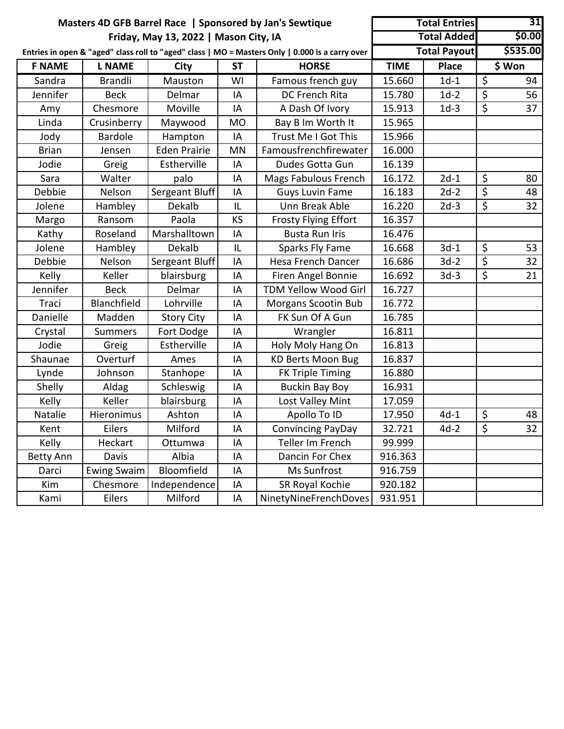|                  |                |                                       |           | Masters 4D GFB Barrel Race   Sponsored by Jan's Sewtique                                        |             | <b>Total Entries</b> |                          | 31       |
|------------------|----------------|---------------------------------------|-----------|-------------------------------------------------------------------------------------------------|-------------|----------------------|--------------------------|----------|
|                  |                | Friday, May 13, 2022   Mason City, IA |           |                                                                                                 |             | <b>Total Added</b>   |                          | \$0.00   |
|                  |                |                                       |           | Entries in open & "aged" class roll to "aged" class   MO = Masters Only   0.000 is a carry over |             | <b>Total Payout</b>  |                          | \$535.00 |
| <b>F NAME</b>    | <b>L NAME</b>  | City                                  | <b>ST</b> | <b>HORSE</b>                                                                                    | <b>TIME</b> | <b>Place</b>         |                          | \$ Won   |
| Sandra           | <b>Brandli</b> | Mauston                               | WI        | Famous french guy                                                                               | 15.660      | $1d-1$               | $\overline{\mathcal{S}}$ | 94       |
| Jennifer         | <b>Beck</b>    | Delmar                                | IA        | DC French Rita                                                                                  | 15.780      | $1d-2$               | $\overline{\mathcal{S}}$ | 56       |
| Amy              | Chesmore       | Moville                               | IA        | A Dash Of Ivory                                                                                 | 15.913      | $1d-3$               | $\overline{\varsigma}$   | 37       |
| Linda            | Crusinberry    | Maywood                               | <b>MO</b> | Bay B Im Worth It                                                                               | 15.965      |                      |                          |          |
| Jody             | <b>Bardole</b> | Hampton                               | IA        | Trust Me I Got This                                                                             | 15.966      |                      |                          |          |
| <b>Brian</b>     | Jensen         | <b>Eden Prairie</b>                   | <b>MN</b> | Famousfrenchfirewater                                                                           | 16.000      |                      |                          |          |
| Jodie            | Greig          | Estherville                           | IA        | Dudes Gotta Gun                                                                                 | 16.139      |                      |                          |          |
| Sara             | Walter         | palo                                  | IA        | Mags Fabulous French                                                                            | 16.172      | $2d-1$               | $\zeta$                  | 80       |
| Debbie           | Nelson         | Sergeant Bluff                        | IA        | <b>Guys Luvin Fame</b>                                                                          | 16.183      | $2d-2$               | $\overline{\varsigma}$   | 48       |
| Jolene           | Hambley        | Dekalb                                | IL        | Unn Break Able                                                                                  | 16.220      | $2d-3$               | \$                       | 32       |
| Margo            | Ransom         | Paola                                 | KS        | <b>Frosty Flying Effort</b>                                                                     | 16.357      |                      |                          |          |
| Kathy            | Roseland       | Marshalltown                          | IA        | <b>Busta Run Iris</b>                                                                           | 16.476      |                      |                          |          |
| Jolene           | Hambley        | Dekalb                                | IL        | Sparks Fly Fame                                                                                 | 16.668      | $3d-1$               | \$                       | 53       |
| Debbie           | Nelson         | Sergeant Bluff                        | IA        | <b>Hesa French Dancer</b>                                                                       | 16.686      | $3d-2$               | $\overline{\xi}$         | 32       |
| Kelly            | Keller         | blairsburg                            | IA        | Firen Angel Bonnie                                                                              | 16.692      | $3d-3$               | \$                       | 21       |
| Jennifer         | <b>Beck</b>    | Delmar                                | IA        | TDM Yellow Wood Girl                                                                            | 16.727      |                      |                          |          |
| Traci            | Blanchfield    | Lohrville                             | IA        | <b>Morgans Scootin Bub</b>                                                                      | 16.772      |                      |                          |          |
| Danielle         | Madden         | <b>Story City</b>                     | IA        | FK Sun Of A Gun                                                                                 | 16.785      |                      |                          |          |
| Crystal          | <b>Summers</b> | Fort Dodge                            | IA        | Wrangler                                                                                        | 16.811      |                      |                          |          |
| Jodie            | Greig          | Estherville                           | IA        | Holy Moly Hang On                                                                               | 16.813      |                      |                          |          |
| Shaunae          | Overturf       | Ames                                  | IA        | <b>KD Berts Moon Bug</b>                                                                        | 16.837      |                      |                          |          |
| Lynde            | Johnson        | Stanhope                              | IA        | <b>FK Triple Timing</b>                                                                         | 16.880      |                      |                          |          |
| Shelly           | Aldag          | Schleswig                             | IA        | <b>Buckin Bay Boy</b>                                                                           | 16.931      |                      |                          |          |
| Kelly            | Keller         | blairsburg                            | IA        | Lost Valley Mint                                                                                | 17.059      |                      |                          |          |
| Natalie          | Hieronimus     | Ashton                                | IA        | Apollo To ID                                                                                    | 17.950      | $4d-1$               | $\zeta$                  | 48       |
| Kent             | Eilers         | Milford                               | IA        | <b>Convincing PayDay</b>                                                                        | 32.721      | $4d-2$               | \$                       | 32       |
| Kelly            | Heckart        | Ottumwa                               | IA        | Teller Im French                                                                                | 99.999      |                      |                          |          |
| <b>Betty Ann</b> | Davis          | Albia                                 | IA        | Dancin For Chex                                                                                 | 916.363     |                      |                          |          |
| Darci            | Ewing Swaim    | Bloomfield                            | IA        | Ms Sunfrost                                                                                     | 916.759     |                      |                          |          |
| Kim              | Chesmore       | Independence                          | IA        | SR Royal Kochie                                                                                 | 920.182     |                      |                          |          |
| Kami             | Eilers         | Milford                               | IA        | NinetyNineFrenchDoves                                                                           | 931.951     |                      |                          |          |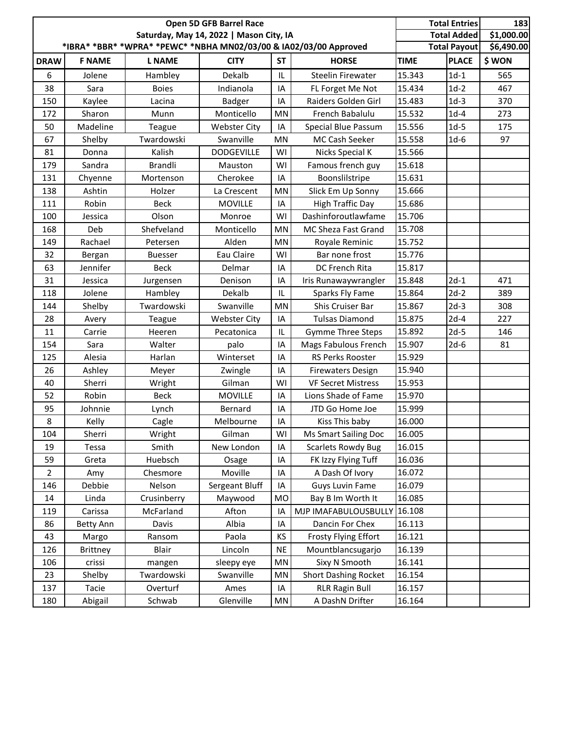|                |                  |                |                                         | <b>Total Entries</b><br><b>Total Added</b> | 183<br>\$1,000.00                                                 |             |                     |            |
|----------------|------------------|----------------|-----------------------------------------|--------------------------------------------|-------------------------------------------------------------------|-------------|---------------------|------------|
|                |                  |                | Saturday, May 14, 2022   Mason City, IA |                                            | *IBRA* *BBR* *WPRA* *PEWC* *NBHA MN02/03/00 & IA02/03/00 Approved |             | <b>Total Payout</b> | \$6,490.00 |
| <b>DRAW</b>    | <b>F NAME</b>    | <b>L NAME</b>  | <b>CITY</b>                             | <b>ST</b>                                  | <b>HORSE</b>                                                      | <b>TIME</b> | <b>PLACE</b>        | \$WON      |
| 6              | Jolene           | Hambley        | Dekalb                                  | IL                                         | <b>Steelin Firewater</b>                                          | 15.343      | $1d-1$              | 565        |
| 38             | Sara             | <b>Boies</b>   | Indianola                               | IA                                         | FL Forget Me Not                                                  | 15.434      | $1d-2$              | 467        |
| 150            | Kaylee           | Lacina         | <b>Badger</b>                           | IA                                         | Raiders Golden Girl                                               | 15.483      | $1d-3$              | 370        |
| 172            | Sharon           | Munn           | Monticello                              | MN                                         | French Babalulu                                                   | 15.532      | $1d-4$              | 273        |
| 50             | Madeline         | Teague         | <b>Webster City</b>                     | IA                                         | Special Blue Passum                                               | 15.556      | $1d-5$              | 175        |
| 67             | Shelby           | Twardowski     | Swanville                               | MN                                         | MC Cash Seeker                                                    | 15.558      | $1d-6$              | 97         |
| 81             | Donna            | Kalish         | <b>DODGEVILLE</b>                       | WI                                         | Nicks Special K                                                   | 15.566      |                     |            |
| 179            | Sandra           | <b>Brandli</b> | Mauston                                 | WI                                         | Famous french guy                                                 | 15.618      |                     |            |
| 131            | Chyenne          | Mortenson      | Cherokee                                | IA                                         | Boonslilstripe                                                    | 15.631      |                     |            |
| 138            | Ashtin           | Holzer         | La Crescent                             | MN                                         | Slick Em Up Sonny                                                 | 15.666      |                     |            |
| 111            | Robin            | <b>Beck</b>    | <b>MOVILLE</b>                          | IA                                         | <b>High Traffic Day</b>                                           | 15.686      |                     |            |
| 100            | Jessica          | Olson          | Monroe                                  | WI                                         | Dashinforoutlawfame                                               | 15.706      |                     |            |
| 168            | Deb              | Shefveland     | Monticello                              | MN                                         | MC Sheza Fast Grand                                               | 15.708      |                     |            |
| 149            | Rachael          | Petersen       | Alden                                   | MN                                         | Royale Reminic                                                    | 15.752      |                     |            |
| 32             | Bergan           | <b>Buesser</b> | Eau Claire                              | WI                                         | Bar none frost                                                    | 15.776      |                     |            |
| 63             | Jennifer         | <b>Beck</b>    | Delmar                                  | IA                                         | DC French Rita                                                    | 15.817      |                     |            |
| 31             | Jessica          | Jurgensen      | Denison                                 | IA                                         | Iris Runawaywrangler                                              | 15.848      | $2d-1$              | 471        |
| 118            | Jolene           | Hambley        | Dekalb                                  | IL                                         | Sparks Fly Fame                                                   | 15.864      | $2d-2$              | 389        |
| 144            | Shelby           | Twardowski     | Swanville                               | MN                                         | Shis Cruiser Bar                                                  | 15.867      | $2d-3$              | 308        |
| 28             | Avery            | Teague         | <b>Webster City</b>                     | IA                                         | <b>Tulsas Diamond</b>                                             | 15.875      | $2d-4$              | 227        |
| 11             | Carrie           | Heeren         | Pecatonica                              | IL                                         | <b>Gymme Three Steps</b>                                          | 15.892      | $2d-5$              | 146        |
| 154            | Sara             | Walter         | palo                                    | IA                                         | Mags Fabulous French                                              | 15.907      | $2d-6$              | 81         |
| 125            | Alesia           | Harlan         | Winterset                               | IA                                         | RS Perks Rooster                                                  | 15.929      |                     |            |
| 26             | Ashley           | Meyer          | Zwingle                                 | IA                                         | <b>Firewaters Design</b>                                          | 15.940      |                     |            |
| 40             | Sherri           | Wright         | Gilman                                  | WI                                         | <b>VF Secret Mistress</b>                                         | 15.953      |                     |            |
| 52             | Robin            | <b>Beck</b>    | <b>MOVILLE</b>                          | IA                                         | Lions Shade of Fame                                               | 15.970      |                     |            |
| 95             | Johnnie          | Lynch          | Bernard                                 | IA                                         | JTD Go Home Joe                                                   | 15.999      |                     |            |
| 8              | Kelly            | Cagle          | Melbourne                               | IA                                         | Kiss This baby                                                    | 16.000      |                     |            |
| 104            | Sherri           | Wright         | Gilman                                  | WI                                         | <b>Ms Smart Sailing Doc</b>                                       | 16.005      |                     |            |
| 19             | Tessa            | Smith          | New London                              | IA                                         | <b>Scarlets Rowdy Bug</b>                                         | 16.015      |                     |            |
| 59             | Greta            | Huebsch        | Osage                                   | IA                                         | FK Izzy Flying Tuff                                               | 16.036      |                     |            |
| $\overline{2}$ | Amy              | Chesmore       | Moville                                 | IA                                         | A Dash Of Ivory                                                   | 16.072      |                     |            |
| 146            | Debbie           | Nelson         | Sergeant Bluff                          | IA                                         | <b>Guys Luvin Fame</b>                                            | 16.079      |                     |            |
| 14             | Linda            | Crusinberry    | Maywood                                 | MO                                         | Bay B Im Worth It                                                 | 16.085      |                     |            |
| 119            | Carissa          | McFarland      | Afton                                   | IA                                         | MJP IMAFABULOUSBULLY                                              | 16.108      |                     |            |
| 86             | <b>Betty Ann</b> | Davis          | Albia                                   | IA                                         | Dancin For Chex                                                   | 16.113      |                     |            |
| 43             | Margo            | Ransom         | Paola                                   | KS                                         | Frosty Flying Effort                                              | 16.121      |                     |            |
| 126            | <b>Brittney</b>  | <b>Blair</b>   | Lincoln                                 | <b>NE</b>                                  | Mountblancsugarjo                                                 | 16.139      |                     |            |
| 106            | crissi           | mangen         | sleepy eye                              | MN                                         | Sixy N Smooth                                                     | 16.141      |                     |            |
| 23             | Shelby           | Twardowski     | Swanville                               | MN                                         | <b>Short Dashing Rocket</b>                                       | 16.154      |                     |            |
| 137            | Tacie            | Overturf       | Ames                                    | IA                                         | <b>RLR Ragin Bull</b>                                             | 16.157      |                     |            |
| 180            | Abigail          | Schwab         | Glenville                               | MN                                         | A DashN Drifter                                                   | 16.164      |                     |            |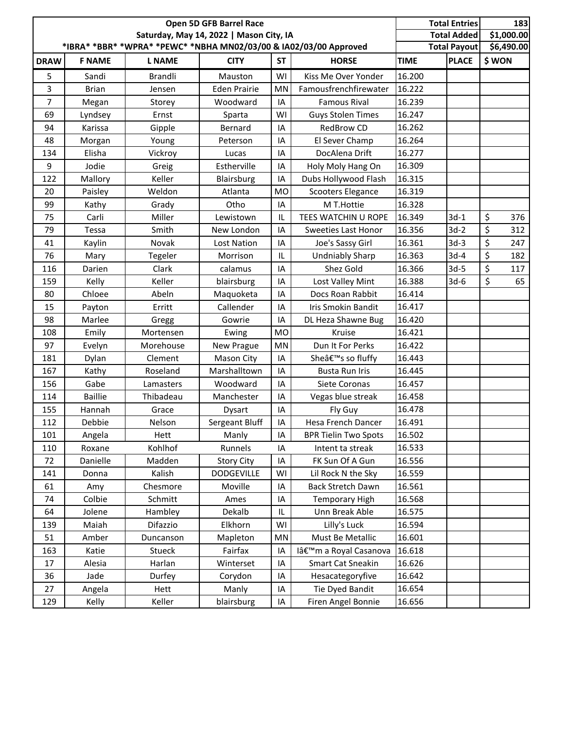| *IBRA* *BBR* *WPRA* *PEWC* *NBHA MN02/03/00 & IA02/03/00 Approved<br><b>Total Payout</b><br><b>PLACE</b><br><b>ST</b><br><b>DRAW</b><br><b>F NAME</b><br><b>L NAME</b><br><b>CITY</b><br><b>HORSE</b><br><b>TIME</b><br>16.200<br>5<br>WI<br>Sandi<br><b>Brandli</b><br>Kiss Me Over Yonder<br>Mauston | \$1,000.00<br><b>Total Added</b> |
|--------------------------------------------------------------------------------------------------------------------------------------------------------------------------------------------------------------------------------------------------------------------------------------------------------|----------------------------------|
|                                                                                                                                                                                                                                                                                                        | \$6,490.00                       |
|                                                                                                                                                                                                                                                                                                        | \$WON                            |
|                                                                                                                                                                                                                                                                                                        |                                  |
| 16.222<br>3<br><b>Brian</b><br><b>Eden Prairie</b><br>Famousfrenchfirewater<br>MN<br>Jensen                                                                                                                                                                                                            |                                  |
| $\overline{7}$<br>16.239<br>Woodward<br>IA<br><b>Famous Rival</b><br>Megan<br>Storey                                                                                                                                                                                                                   |                                  |
| 16.247<br>69<br>WI<br><b>Guys Stolen Times</b><br>Lyndsey<br>Ernst<br>Sparta                                                                                                                                                                                                                           |                                  |
| 16.262<br>RedBrow CD<br>94<br>Karissa<br>Gipple<br>Bernard<br>IA                                                                                                                                                                                                                                       |                                  |
| El Sever Champ<br>16.264<br>48<br>IA<br>Morgan<br>Young<br>Peterson                                                                                                                                                                                                                                    |                                  |
| 134<br>DocAlena Drift<br>16.277<br>Elisha<br>Vickroy<br>IA<br>Lucas                                                                                                                                                                                                                                    |                                  |
| 9<br>16.309<br>Jodie<br>Estherville<br>Greig<br>IA<br>Holy Moly Hang On                                                                                                                                                                                                                                |                                  |
| 16.315<br>Keller<br>Dubs Hollywood Flash<br>122<br>Mallory<br>Blairsburg<br>IA                                                                                                                                                                                                                         |                                  |
| 16.319<br>20<br>Weldon<br>Paisley<br>Atlanta<br><b>MO</b><br>Scooters Elegance                                                                                                                                                                                                                         |                                  |
| 16.328<br>99<br>Otho<br>Kathy<br>IA<br>M T.Hottie<br>Grady                                                                                                                                                                                                                                             |                                  |
| 16.349<br>$3d-1$<br>Miller<br>75<br>Carli<br>Lewistown<br>IL<br><b>TEES WATCHIN U ROPE</b>                                                                                                                                                                                                             | \$<br>376                        |
| $3d-2$<br>79<br>Smith<br>16.356<br>Tessa<br>New London<br>IA<br><b>Sweeties Last Honor</b>                                                                                                                                                                                                             | \$<br>312                        |
| Novak<br>16.361<br>$3d-3$<br>41<br>Kaylin<br><b>Lost Nation</b><br>IA<br>Joe's Sassy Girl                                                                                                                                                                                                              | \$<br>247                        |
| 16.363<br>$3d-4$<br>76<br><b>Undniably Sharp</b><br>IL<br>Mary<br>Tegeler<br>Morrison                                                                                                                                                                                                                  | \$<br>182                        |
| Shez Gold<br>Darien<br>Clark<br>16.366<br>$3d-5$<br>116<br>calamus<br>IA                                                                                                                                                                                                                               | \$<br>117                        |
| 16.388<br>159<br>Kelly<br>Keller<br>blairsburg<br>IA<br>Lost Valley Mint<br>$3d-6$                                                                                                                                                                                                                     | \$<br>65                         |
| 16.414<br>80<br>Chloee<br>Maquoketa<br>IA<br>Docs Roan Rabbit<br>Abeln                                                                                                                                                                                                                                 |                                  |
| Callender<br>Iris Smokin Bandit<br>16.417<br>15<br>Erritt<br>IA<br>Payton                                                                                                                                                                                                                              |                                  |
| 16.420<br>98<br>Marlee<br>Gowrie<br>IA<br>DL Heza Shawne Bug<br>Gregg                                                                                                                                                                                                                                  |                                  |
| <b>MO</b><br>16.421<br>108<br>Emily<br>Ewing<br>Kruise<br>Mortensen                                                                                                                                                                                                                                    |                                  |
| Dun It For Perks<br>16.422<br>97<br>Morehouse<br>MN<br>Evelyn<br>New Prague                                                                                                                                                                                                                            |                                  |
| 16.443<br>181<br>Dylan<br>Clement<br>Sheâ€ <sup>™</sup> s so fluffy<br>Mason City<br>IA                                                                                                                                                                                                                |                                  |
| 16.445<br>Kathy<br>Marshalltown<br>167<br>Roseland<br>IA<br><b>Busta Run Iris</b>                                                                                                                                                                                                                      |                                  |
| 16.457<br>156<br>Gabe<br>IA<br>Siete Coronas<br>Woodward<br>Lamasters                                                                                                                                                                                                                                  |                                  |
| <b>Baillie</b><br>Thibadeau<br>Manchester<br>Vegas blue streak<br>16.458<br>114<br>IA                                                                                                                                                                                                                  |                                  |
| Hannah<br>16.478<br>155<br>Grace<br>IA<br>Fly Guy<br>Dysart                                                                                                                                                                                                                                            |                                  |
| 112<br>Sergeant Bluff<br>IA<br>Hesa French Dancer<br>16.491<br>Debbie<br>Nelson                                                                                                                                                                                                                        |                                  |
| IA<br><b>BPR Tielin Two Spots</b><br>16.502<br>101<br>Hett<br>Manly<br>Angela                                                                                                                                                                                                                          |                                  |
| Kohlhof<br>16.533<br>Runnels<br>110<br>Roxane<br>Intent ta streak<br>IA                                                                                                                                                                                                                                |                                  |
| FK Sun Of A Gun<br>Danielle<br>Madden<br><b>Story City</b><br>IA<br>16.556<br>72                                                                                                                                                                                                                       |                                  |
| 16.559<br>Kalish<br><b>DODGEVILLE</b><br>WI<br>Lil Rock N the Sky<br>141<br>Donna                                                                                                                                                                                                                      |                                  |
| Chesmore<br>Back Stretch Dawn<br>16.561<br>61<br>Moville<br>IA<br>Amy                                                                                                                                                                                                                                  |                                  |
| Colbie<br>Schmitt<br>Ames<br>16.568<br>74<br>IA<br><b>Temporary High</b>                                                                                                                                                                                                                               |                                  |
| Hambley<br>Dekalb<br>Unn Break Able<br>16.575<br>64<br>Jolene<br>IL                                                                                                                                                                                                                                    |                                  |
| Difazzio<br>Lilly's Luck<br>16.594<br>139<br>Maiah<br>Elkhorn<br>WI                                                                                                                                                                                                                                    |                                  |
| MN<br>Must Be Metallic<br>16.601<br>51<br>Amber<br>Duncanson<br>Mapleton                                                                                                                                                                                                                               |                                  |
| Fairfax<br>16.618<br>163<br>Katie<br>Stueck<br>IA<br>l'm a Royal Casanova                                                                                                                                                                                                                              |                                  |
| 16.626<br>Harlan<br>Winterset<br>IA<br><b>Smart Cat Sneakin</b><br>17<br>Alesia                                                                                                                                                                                                                        |                                  |
| 36<br>Jade<br>IA<br>Hesacategoryfive<br>16.642<br>Durfey<br>Corydon                                                                                                                                                                                                                                    |                                  |
| Tie Dyed Bandit<br>27<br>16.654<br>Angela<br>Hett<br>Manly<br>IA                                                                                                                                                                                                                                       |                                  |
| blairsburg<br>16.656<br>129<br>Keller<br>IA<br>Firen Angel Bonnie<br>Kelly                                                                                                                                                                                                                             |                                  |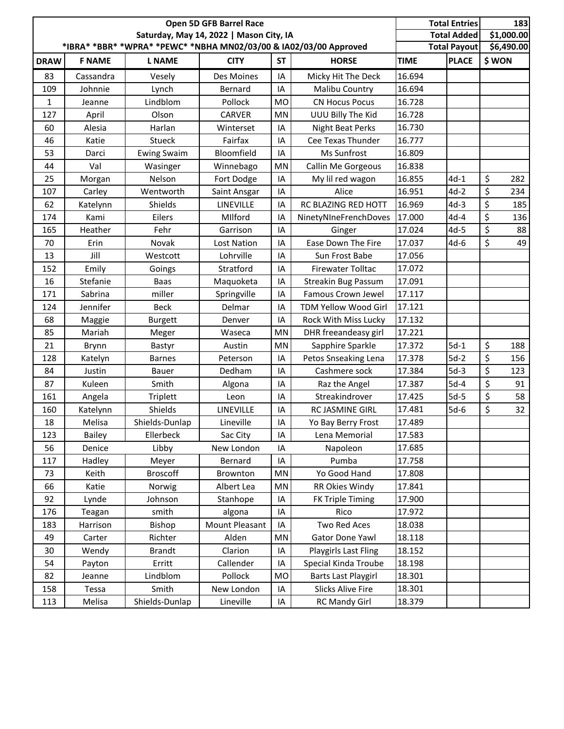|             |               | Open 5D GFB Barrel Race<br>Saturday, May 14, 2022   Mason City, IA |                    |           | <b>Total Entries</b><br><b>Total Added</b>                        | 183<br>\$1,000.00 |                     |                |
|-------------|---------------|--------------------------------------------------------------------|--------------------|-----------|-------------------------------------------------------------------|-------------------|---------------------|----------------|
|             |               |                                                                    |                    |           | *IBRA* *BBR* *WPRA* *PEWC* *NBHA MN02/03/00 & IA02/03/00 Approved |                   | <b>Total Payout</b> | \$6,490.00     |
| <b>DRAW</b> | <b>F NAME</b> | <b>L NAME</b>                                                      | <b>CITY</b>        | <b>ST</b> | <b>HORSE</b>                                                      | <b>TIME</b>       | <b>PLACE</b>        | \$WON          |
| 83          | Cassandra     | Vesely                                                             | Des Moines         | IA        | Micky Hit The Deck                                                | 16.694            |                     |                |
| 109         | Johnnie       | Lynch                                                              | Bernard            | IA        | Malibu Country                                                    | 16.694            |                     |                |
| 1           | Jeanne        | Lindblom                                                           | Pollock            | <b>MO</b> | <b>CN Hocus Pocus</b>                                             | 16.728            |                     |                |
| 127         | April         | Olson                                                              | CARVER             | MN        | UUU Billy The Kid                                                 | 16.728            |                     |                |
| 60          | Alesia        | Harlan                                                             | Winterset          | IA        | Night Beat Perks                                                  | 16.730            |                     |                |
| 46          | Katie         | Stueck                                                             | Fairfax            | IA        | Cee Texas Thunder                                                 | 16.777            |                     |                |
| 53          | Darci         | <b>Ewing Swaim</b>                                                 | Bloomfield         | IA        | Ms Sunfrost                                                       | 16.809            |                     |                |
| 44          | Val           | Wasinger                                                           | Winnebago          | MN        | Callin Me Gorgeous                                                | 16.838            |                     |                |
| 25          | Morgan        | Nelson                                                             | Fort Dodge         | IA        | My lil red wagon                                                  | 16.855            | $4d-1$              | $\zeta$<br>282 |
| 107         | Carley        | Wentworth                                                          | Saint Ansgar       | IA        | Alice                                                             | 16.951            | $4d-2$              | \$<br>234      |
| 62          | Katelynn      | Shields                                                            | LINEVILLE          | IA        | RC BLAZING RED HOTT                                               | 16.969            | $4d-3$              | \$<br>185      |
| 174         | Kami          | Eilers                                                             | Milford            | IA        | NinetyNIneFrenchDoves                                             | 17.000            | $4d-4$              | \$<br>136      |
| 165         | Heather       | Fehr                                                               | Garrison           | IA        | Ginger                                                            | 17.024            | $4d-5$              | \$<br>88       |
| 70          | Erin          | Novak                                                              | <b>Lost Nation</b> | IA        | Ease Down The Fire                                                | 17.037            | $4d-6$              | \$<br>49       |
| 13          | Jill          | Westcott                                                           | Lohrville          | IA        | Sun Frost Babe                                                    | 17.056            |                     |                |
| 152         | Emily         | Goings                                                             | Stratford          | IA        | Firewater Tolltac                                                 | 17.072            |                     |                |
| 16          | Stefanie      | <b>Baas</b>                                                        | Maquoketa          | IA        | <b>Streakin Bug Passum</b>                                        | 17.091            |                     |                |
| 171         | Sabrina       | miller                                                             | Springville        | IA        | Famous Crown Jewel                                                | 17.117            |                     |                |
| 124         | Jennifer      | <b>Beck</b>                                                        | Delmar             | IA        | <b>TDM Yellow Wood Girl</b>                                       | 17.121            |                     |                |
| 68          | Maggie        | <b>Burgett</b>                                                     | Denver             | IA        | Rock With Miss Lucky                                              | 17.132            |                     |                |
| 85          | Mariah        | Meger                                                              | Waseca             | MN        | DHR freeandeasy girl                                              | 17.221            |                     |                |
| 21          | Brynn         | Bastyr                                                             | Austin             | MN        | Sapphire Sparkle                                                  | 17.372            | $5d-1$              | \$<br>188      |
| 128         | Katelyn       | <b>Barnes</b>                                                      | Peterson           | IA        | Petos Snseaking Lena                                              | 17.378            | $5d-2$              | \$<br>156      |
| 84          | Justin        | Bauer                                                              | Dedham             | IA        | Cashmere sock                                                     | 17.384            | $5d-3$              | \$<br>123      |
| 87          | Kuleen        | Smith                                                              | Algona             | IA        | Raz the Angel                                                     | 17.387            | $5d-4$              | \$<br>91       |
| 161         | Angela        | <b>Triplett</b>                                                    | Leon               | IA        | Streakindrover                                                    | 17.425            | $5d-5$              | \$<br>58       |
| 160         | Katelynn      | Shields                                                            | LINEVILLE          | IA        | RC JASMINE GIRL                                                   | 17.481            | $5d-6$              | \$<br>32       |
| 18          | Melisa        | Shields-Dunlap                                                     | Lineville          | ΙA        | Yo Bay Berry Frost                                                | 17.489            |                     |                |
| 123         | <b>Bailey</b> | Ellerbeck                                                          | Sac City           | ΙA        | Lena Memorial                                                     | 17.583            |                     |                |
| 56          | Denice        | Libby                                                              | New London         | IA        | Napoleon                                                          | 17.685            |                     |                |
| 117         | Hadley        | Meyer                                                              | Bernard            | IA        | Pumba                                                             | 17.758            |                     |                |
| 73          | Keith         | <b>Broscoff</b>                                                    | Brownton           | MN        | Yo Good Hand                                                      | 17.808            |                     |                |
| 66          | Katie         | Norwig                                                             | Albert Lea         | MN        | RR Okies Windy                                                    | 17.841            |                     |                |
| 92          | Lynde         | Johnson                                                            | Stanhope           | IA        | <b>FK Triple Timing</b>                                           | 17.900            |                     |                |
| 176         | Teagan        | smith                                                              | algona             | IA        | Rico                                                              | 17.972            |                     |                |
| 183         | Harrison      | Bishop                                                             | Mount Pleasant     | IA        | <b>Two Red Aces</b>                                               | 18.038            |                     |                |
| 49          | Carter        | Richter                                                            | Alden              | MN        | Gator Done Yawl                                                   | 18.118            |                     |                |
| 30          | Wendy         | <b>Brandt</b>                                                      | Clarion            | IA        | <b>Playgirls Last Fling</b>                                       | 18.152            |                     |                |
| 54          | Payton        | Erritt                                                             | Callender          | IA        | Special Kinda Troube                                              | 18.198            |                     |                |
| 82          | Jeanne        | Lindblom                                                           | Pollock            | MO        | <b>Barts Last Playgirl</b>                                        | 18.301            |                     |                |
| 158         | Tessa         | Smith                                                              | New London         | IA        | <b>Slicks Alive Fire</b>                                          | 18.301            |                     |                |
| 113         | Melisa        | Shields-Dunlap                                                     | Lineville          | IA        | <b>RC Mandy Girl</b>                                              | 18.379            |                     |                |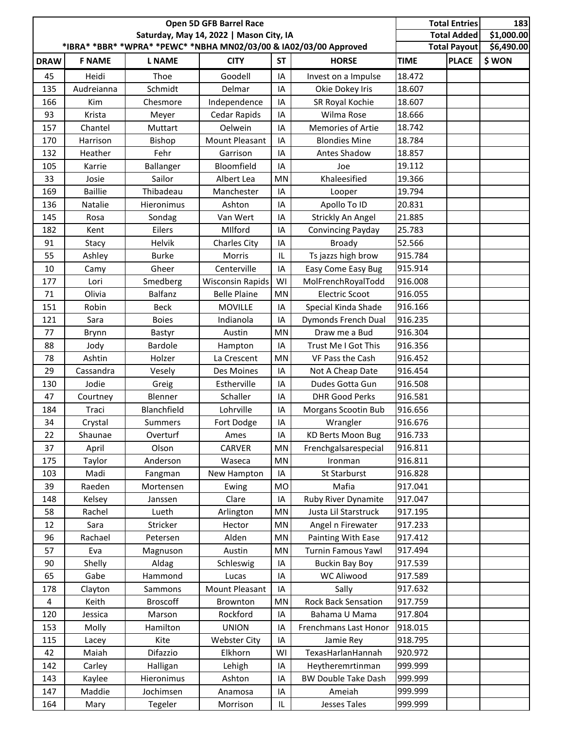|             |                |                 | <b>Total Entries</b><br><b>Total Added</b> |           |                                                                   |             |                     |            |
|-------------|----------------|-----------------|--------------------------------------------|-----------|-------------------------------------------------------------------|-------------|---------------------|------------|
|             |                |                 |                                            |           | *IBRA* *BBR* *WPRA* *PEWC* *NBHA MN02/03/00 & IA02/03/00 Approved |             | <b>Total Payout</b> | \$6,490.00 |
| <b>DRAW</b> | <b>F NAME</b>  | <b>L NAME</b>   | <b>CITY</b>                                | <b>ST</b> | <b>HORSE</b>                                                      | <b>TIME</b> | <b>PLACE</b>        | \$WON      |
| 45          | Heidi          | Thoe            | Goodell                                    | IA        | Invest on a Impulse                                               | 18.472      |                     |            |
| 135         | Audreianna     | Schmidt         | Delmar                                     | IA        | Okie Dokey Iris                                                   | 18.607      |                     |            |
| 166         | Kim            | Chesmore        | Independence                               | IA        | SR Royal Kochie                                                   | 18.607      |                     |            |
| 93          | Krista         | Meyer           | Cedar Rapids                               | IA        | Wilma Rose                                                        | 18.666      |                     |            |
| 157         | Chantel        | Muttart         | Oelwein                                    | IA        | <b>Memories of Artie</b>                                          | 18.742      |                     |            |
| 170         | Harrison       | <b>Bishop</b>   | <b>Mount Pleasant</b>                      | IA        | <b>Blondies Mine</b>                                              | 18.784      |                     |            |
| 132         | Heather        | Fehr            | Garrison                                   | IA        | Antes Shadow                                                      | 18.857      |                     |            |
| 105         | Karrie         | Ballanger       | Bloomfield                                 | IA        | Joe                                                               | 19.112      |                     |            |
| 33          | Josie          | Sailor          | Albert Lea                                 | <b>MN</b> | Khaleesified                                                      | 19.366      |                     |            |
| 169         | <b>Baillie</b> | Thibadeau       | Manchester                                 | IA        | Looper                                                            | 19.794      |                     |            |
| 136         | Natalie        | Hieronimus      | Ashton                                     | IA        | Apollo To ID                                                      | 20.831      |                     |            |
| 145         | Rosa           | Sondag          | Van Wert                                   | IA        | Strickly An Angel                                                 | 21.885      |                     |            |
| 182         | Kent           | Eilers          | MIlford                                    | IA        | Convincing Payday                                                 | 25.783      |                     |            |
| 91          | Stacy          | Helvik          | Charles City                               | IA        | <b>Broady</b>                                                     | 52.566      |                     |            |
| 55          | Ashley         | <b>Burke</b>    | Morris                                     | IL        | Ts jazzs high brow                                                | 915.784     |                     |            |
| 10          | Camy           | Gheer           | Centerville                                | IA        | Easy Come Easy Bug                                                | 915.914     |                     |            |
| 177         | Lori           | Smedberg        | <b>Wisconsin Rapids</b>                    | WI        | MolFrenchRoyalTodd                                                | 916.008     |                     |            |
| 71          | Olivia         | <b>Balfanz</b>  | <b>Belle Plaine</b>                        | MN        | <b>Electric Scoot</b>                                             | 916.055     |                     |            |
| 151         | Robin          | <b>Beck</b>     | <b>MOVILLE</b>                             | IA        | Special Kinda Shade                                               | 916.166     |                     |            |
| 121         | Sara           | <b>Boies</b>    | Indianola                                  | IA        | Dymonds French Dual                                               | 916.235     |                     |            |
| 77          | Brynn          | Bastyr          | Austin                                     | MN        | Draw me a Bud                                                     | 916.304     |                     |            |
| 88          | Jody           | <b>Bardole</b>  | Hampton                                    | IA        | Trust Me I Got This                                               | 916.356     |                     |            |
| 78          | Ashtin         | Holzer          | La Crescent                                | MN        | VF Pass the Cash                                                  | 916.452     |                     |            |
| 29          | Cassandra      | Vesely          | Des Moines                                 | IA        | Not A Cheap Date                                                  | 916.454     |                     |            |
| 130         | Jodie          | Greig           | Estherville                                | IA        | Dudes Gotta Gun                                                   | 916.508     |                     |            |
| 47          | Courtney       | Blenner         | Schaller                                   | IA        | <b>DHR Good Perks</b>                                             | 916.581     |                     |            |
| 184         | Traci          | Blanchfield     | Lohrville                                  | IA        | Morgans Scootin Bub                                               | 916.656     |                     |            |
| 34          | Crystal        | Summers         | Fort Dodge                                 | IA        | Wrangler                                                          | 916.676     |                     |            |
| 22          | Shaunae        | Overturf        | Ames                                       | IA        | <b>KD Berts Moon Bug</b>                                          | 916.733     |                     |            |
| 37          | April          | Olson           | CARVER                                     | MN        | Frenchgalsarespecial                                              | 916.811     |                     |            |
| 175         | Taylor         | Anderson        | Waseca                                     | MN        | Ironman                                                           | 916.811     |                     |            |
| 103         | Madi           | Fangman         | New Hampton                                | IA        | St Starburst                                                      | 916.828     |                     |            |
| 39          | Raeden         | Mortensen       | Ewing                                      | <b>MO</b> | Mafia                                                             | 917.041     |                     |            |
| 148         | Kelsey         | Janssen         | Clare                                      | IA        | Ruby River Dynamite                                               | 917.047     |                     |            |
| 58          | Rachel         | Lueth           | Arlington                                  | MN        | Justa Lil Starstruck                                              | 917.195     |                     |            |
| 12          | Sara           | Stricker        | Hector                                     | MN        | Angel n Firewater                                                 | 917.233     |                     |            |
| 96          | Rachael        | Petersen        | Alden                                      | MN        | Painting With Ease                                                | 917.412     |                     |            |
| 57          | Eva            | Magnuson        | Austin                                     | MN        | Turnin Famous Yawl                                                | 917.494     |                     |            |
| 90          | Shelly         | Aldag           | Schleswig                                  | IA        | <b>Buckin Bay Boy</b>                                             | 917.539     |                     |            |
| 65          | Gabe           | Hammond         | Lucas                                      | IA        | WC Aliwood                                                        | 917.589     |                     |            |
| 178         | Clayton        | Sammons         | Mount Pleasant                             | IA        | Sally                                                             | 917.632     |                     |            |
| 4           | Keith          | <b>Broscoff</b> | Brownton                                   | MN        | Rock Back Sensation                                               | 917.759     |                     |            |
| 120         | Jessica        | Marson          | Rockford                                   | IA        | Bahama U Mama                                                     | 917.804     |                     |            |
| 153         | Molly          | Hamilton        | <b>UNION</b>                               | IA        | Frenchmans Last Honor                                             | 918.015     |                     |            |
| 115         | Lacey          | Kite            | <b>Webster City</b>                        | IA        | Jamie Rey                                                         | 918.795     |                     |            |
| 42          | Maiah          | Difazzio        | Elkhorn                                    | WI        | TexasHarlanHannah                                                 | 920.972     |                     |            |
| 142         | Carley         | Halligan        | Lehigh                                     | IA        | Heytheremrtinman                                                  | 999.999     |                     |            |
| 143         | Kaylee         | Hieronimus      | Ashton                                     | IA        | <b>BW Double Take Dash</b>                                        | 999.999     |                     |            |
| 147         | Maddie         | Jochimsen       | Anamosa                                    | IA        | Ameiah                                                            | 999.999     |                     |            |
| 164         | Mary           | Tegeler         | Morrison                                   | IL.       | Jesses Tales                                                      | 999.999     |                     |            |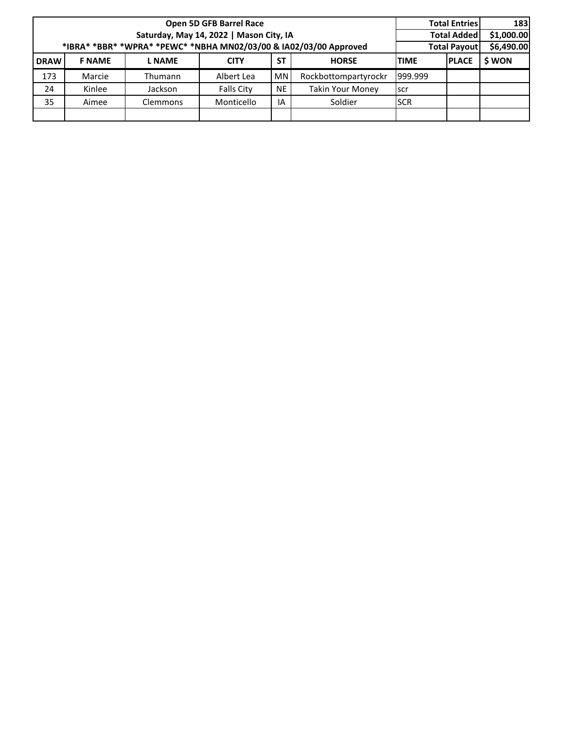|             |               |                                                                   | Open 5D GFB Barrel Race                 |                     |                         |             | <b>Total Entries</b> | 183        |
|-------------|---------------|-------------------------------------------------------------------|-----------------------------------------|---------------------|-------------------------|-------------|----------------------|------------|
|             |               |                                                                   | Saturday, May 14, 2022   Mason City, IA |                     |                         |             | <b>Total Added</b>   | \$1,000.00 |
|             |               | *IBRA* *BBR* *WPRA* *PEWC* *NBHA MN02/03/00 & IA02/03/00 Approved |                                         | <b>Total Payout</b> | \$6,490.00              |             |                      |            |
| <b>DRAW</b> | <b>F NAME</b> | <b>TIME</b>                                                       | <b>PLACE</b>                            | \$ WON              |                         |             |                      |            |
| 173         | Marcie        | Thumann                                                           | Albert Lea                              | <b>MN</b>           | Rockbottompartyrockr    | 999.999     |                      |            |
| 24          | Kinlee        | Jackson                                                           | <b>Falls City</b>                       | <b>NE</b>           | <b>Takin Your Money</b> | scr         |                      |            |
| 35          | Aimee         | Clemmons                                                          | Monticello                              | IA                  | Soldier                 | <b>ISCR</b> |                      |            |
|             |               |                                                                   |                                         |                     |                         |             |                      |            |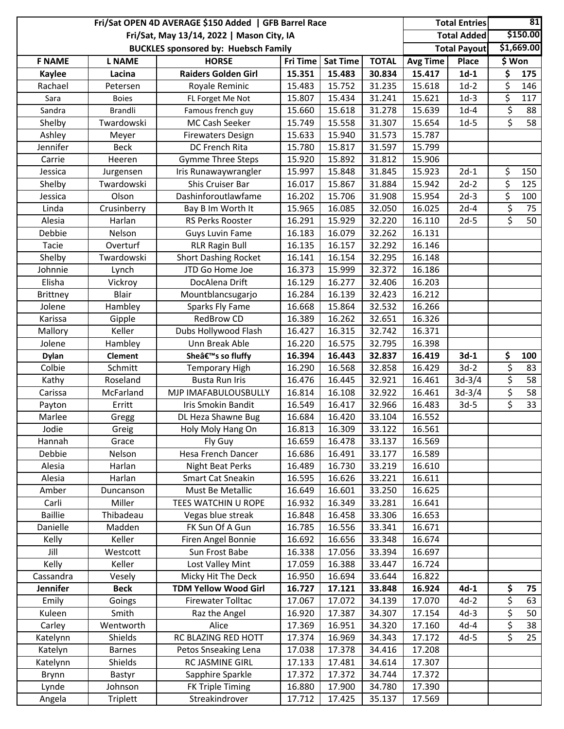| \$150.00<br><b>Total Added</b><br>Fri/Sat, May 13/14, 2022   Mason City, IA<br>\$1,669.00<br><b>Total Payout</b><br><b>BUCKLES sponsored by: Huebsch Family</b><br><b>HORSE</b><br>Fri Time<br><b>TOTAL</b><br>\$ Won<br><b>F NAME</b><br><b>L NAME</b><br><b>Sat Time</b><br>Avg Time<br>Place<br>15.351<br>30.834<br>$1d-1$<br>\$<br><b>Raiders Golden Girl</b><br>15.483<br>15.417<br>175<br><b>Kaylee</b><br>Lacina<br>\$<br>15.752<br>31.235<br>15.618<br>$1d-2$<br>Rachael<br>Royale Reminic<br>15.483<br>146<br>Petersen<br>\$<br>15.807<br>15.434<br>31.241<br>15.621<br>$1d-3$<br>117<br><b>Boies</b><br>FL Forget Me Not<br>Sara<br>\$<br>15.618<br>31.278<br>15.639<br>$1d-4$<br>88<br>Sandra<br>Brandli<br>Famous french guy<br>15.660<br>\$<br>Twardowski<br>MC Cash Seeker<br>15.749<br>15.558<br>31.307<br>15.654<br>$1d-5$<br>58<br>Shelby<br>Ashley<br>15.633<br>15.940<br>31.573<br>15.787<br>Meyer<br><b>Firewaters Design</b><br>Jennifer<br><b>Beck</b><br><b>DC French Rita</b><br>15.780<br>15.817<br>31.597<br>15.799<br><b>Gymme Three Steps</b><br>15.920<br>15.892<br>31.812<br>15.906<br>Carrie<br>Heeren<br>\$<br>15.997<br>15.848<br>31.845<br>15.923<br>$2d-1$<br>150<br>Iris Runawaywrangler<br>Jessica<br>Jurgensen<br>\$<br>31.884<br>Twardowski<br>Shis Cruiser Bar<br>16.017<br>15.867<br>15.942<br>$2d-2$<br>125<br>Shelby<br>\$<br>Olson<br>Dashinforoutlawfame<br>15.706<br>$2d-3$<br>16.202<br>31.908<br>15.954<br>100<br>Jessica<br>$\overline{\xi}$<br>Crusinberry<br>15.965<br>16.085<br>32.050<br>16.025<br>$2d-4$<br>75<br>Linda<br>Bay B Im Worth It<br>\$<br>$2d-5$<br>50<br>Alesia<br>Harlan<br>RS Perks Rooster<br>16.291<br>15.929<br>32.220<br>16.110<br>16.079<br>32.262<br>16.131<br>Debbie<br>Nelson<br>16.183<br><b>Guys Luvin Fame</b><br><b>RLR Ragin Bull</b><br>16.135<br>16.157<br>32.292<br>16.146<br>Tacie<br>Overturf<br><b>Short Dashing Rocket</b><br>Shelby<br>Twardowski<br>16.141<br>16.154<br>32.295<br>16.148<br>JTD Go Home Joe<br>16.373<br>15.999<br>32.372<br>16.186<br>Johnnie<br>Lynch<br>16.277<br>32.406<br>Elisha<br>DocAlena Drift<br>16.129<br>16.203<br>Vickroy<br><b>Blair</b><br>16.284<br>16.139<br>32.423<br>16.212<br>Mountblancsugarjo<br><b>Brittney</b><br>15.864<br>32.532<br>16.266<br>Jolene<br>Hambley<br>Sparks Fly Fame<br>16.668<br><b>RedBrow CD</b><br>16.389<br>16.262<br>32.651<br>16.326<br>Karissa<br>Gipple<br>Dubs Hollywood Flash<br>Keller<br>16.427<br>16.315<br>32.742<br>16.371<br>Mallory<br>16.220<br>16.575<br>32.795<br>16.398<br>Jolene<br>Hambley<br>Unn Break Able<br>\$<br>16.394<br>16.443<br>32.837<br>$3d-1$<br>100<br><b>Clement</b><br>She's so fluffy<br>16.419<br><b>Dylan</b><br>\$<br>Colbie<br>32.858<br>$3d-2$<br>Schmitt<br>16.290<br>16.568<br>16.429<br>83<br><b>Temporary High</b><br>\$<br><b>Busta Run Iris</b><br>16.476<br>16.445<br>32.921<br>16.461<br>58<br>Roseland<br>$3d-3/4$<br>Kathy<br>\$<br>32.922<br>58<br>MJP IMAFABULOUSBULLY<br>16.814<br>16.108<br>16.461<br>$3d-3/4$<br>McFarland<br>Carissa<br>$\overline{\mathcal{S}}$<br>16.549<br>32.966<br>33<br>Iris Smokin Bandit<br>16.417<br>16.483<br>$3d-5$<br>Payton<br>Erritt<br>Marlee<br>DL Heza Shawne Bug<br>16.684<br>16.420<br>33.104<br>16.552<br>Gregg<br>Jodie<br>Greig<br>Holy Moly Hang On<br>16.813<br>16.309<br>33.122<br>16.561<br>16.478<br>33.137<br>Hannah<br>Grace<br>Fly Guy<br>16.659<br>16.569<br><b>Hesa French Dancer</b><br>16.686<br>Debbie<br>16.491<br>33.177<br>16.589<br>Nelson<br>Harlan<br>Night Beat Perks<br>16.489<br>16.730<br>33.219<br>16.610<br>Alesia<br>Smart Cat Sneakin<br>Alesia<br>Harlan<br>16.595<br>16.626<br>33.221<br>16.611<br>Must Be Metallic<br>16.649<br>16.601<br>16.625<br>Amber<br>Duncanson<br>33.250<br>TEES WATCHIN U ROPE<br>33.281<br>16.641<br>Carli<br>Miller<br>16.932<br>16.349<br><b>Baillie</b><br>Thibadeau<br>Vegas blue streak<br>16.848<br>16.458<br>33.306<br>16.653<br>Danielle<br>Madden<br>FK Sun Of A Gun<br>16.785<br>16.556<br>33.341<br>16.671<br>Kelly<br>Keller<br>Firen Angel Bonnie<br>16.692<br>16.656<br>33.348<br>16.674<br>Jill<br>16.338<br>17.056<br>33.394<br>Westcott<br>Sun Frost Babe<br>16.697<br>Kelly<br>Keller<br>Lost Valley Mint<br>17.059<br>16.388<br>33.447<br>16.724<br>Cassandra<br>Micky Hit The Deck<br>Vesely<br>16.950<br>16.694<br>33.644<br>16.822<br>\$<br>Jennifer<br><b>TDM Yellow Wood Girl</b><br><b>Beck</b><br>17.121<br>33.848<br>16.924<br>$4d-1$<br>16.727<br>75<br>\$<br><b>Firewater Tolltac</b><br>17.072<br>63<br>Emily<br>Goings<br>17.067<br>34.139<br>17.070<br>$4d-2$<br>\$<br>$4d-3$<br>50<br>Kuleen<br>Smith<br>Raz the Angel<br>16.920<br>17.387<br>34.307<br>17.154<br>\$<br>$4d-4$<br>Wentworth<br>Alice<br>17.369<br>16.951<br>34.320<br>17.160<br>38<br>Carley<br>\$<br>RC BLAZING RED HOTT<br>25<br>Shields<br>17.374<br>16.969<br>34.343<br>17.172<br>$4d-5$<br>Katelynn<br>Petos Snseaking Lena<br>17.038<br>17.378<br>34.416<br>17.208<br>Katelyn<br><b>Barnes</b><br>Shields<br>RC JASMINE GIRL<br>17.133<br>17.481<br>34.614<br>17.307<br>Katelynn<br>Sapphire Sparkle<br>17.372<br>17.372<br>34.744<br>17.372<br>Brynn<br>Bastyr<br>FK Triple Timing<br>Lynde<br>Johnson<br>16.880<br>17.900<br>34.780<br>17.390<br>Streakindrover<br>Angela<br>Triplett<br>17.712<br>17.425<br>35.137<br>17.569 | Fri/Sat OPEN 4D AVERAGE \$150 Added   GFB Barrel Race |  |  |  |  |  |  |  | 81 |
|-------------------------------------------------------------------------------------------------------------------------------------------------------------------------------------------------------------------------------------------------------------------------------------------------------------------------------------------------------------------------------------------------------------------------------------------------------------------------------------------------------------------------------------------------------------------------------------------------------------------------------------------------------------------------------------------------------------------------------------------------------------------------------------------------------------------------------------------------------------------------------------------------------------------------------------------------------------------------------------------------------------------------------------------------------------------------------------------------------------------------------------------------------------------------------------------------------------------------------------------------------------------------------------------------------------------------------------------------------------------------------------------------------------------------------------------------------------------------------------------------------------------------------------------------------------------------------------------------------------------------------------------------------------------------------------------------------------------------------------------------------------------------------------------------------------------------------------------------------------------------------------------------------------------------------------------------------------------------------------------------------------------------------------------------------------------------------------------------------------------------------------------------------------------------------------------------------------------------------------------------------------------------------------------------------------------------------------------------------------------------------------------------------------------------------------------------------------------------------------------------------------------------------------------------------------------------------------------------------------------------------------------------------------------------------------------------------------------------------------------------------------------------------------------------------------------------------------------------------------------------------------------------------------------------------------------------------------------------------------------------------------------------------------------------------------------------------------------------------------------------------------------------------------------------------------------------------------------------------------------------------------------------------------------------------------------------------------------------------------------------------------------------------------------------------------------------------------------------------------------------------------------------------------------------------------------------------------------------------------------------------------------------------------------------------------------------------------------------------------------------------------------------------------------------------------------------------------------------------------------------------------------------------------------------------------------------------------------------------------------------------------------------------------------------------------------------------------------------------------------------------------------------------------------------------------------------------------------------------------------------------------------------------------------------------------------------------------------------------------------------------------------------------------------------------------------------------------------------------------------------------------------------------------------------------------------------------------------------------------------------------------------------------------------------------------------------------------------------------------------------------------------------------------------------------------------------------------------------------------------------------------------------------------------------------------------------------------------------------------------------------------------------------------------------------------------------------------------------------------------------------------------------------------------------------------------------------------------------------------------------------------------------------------------------------------------------------------------------------|-------------------------------------------------------|--|--|--|--|--|--|--|----|
|                                                                                                                                                                                                                                                                                                                                                                                                                                                                                                                                                                                                                                                                                                                                                                                                                                                                                                                                                                                                                                                                                                                                                                                                                                                                                                                                                                                                                                                                                                                                                                                                                                                                                                                                                                                                                                                                                                                                                                                                                                                                                                                                                                                                                                                                                                                                                                                                                                                                                                                                                                                                                                                                                                                                                                                                                                                                                                                                                                                                                                                                                                                                                                                                                                                                                                                                                                                                                                                                                                                                                                                                                                                                                                                                                                                                                                                                                                                                                                                                                                                                                                                                                                                                                                                                                                                                                                                                                                                                                                                                                                                                                                                                                                                                                                                                                                                                                                                                                                                                                                                                                                                                                                                                                                                                                                                                                       |                                                       |  |  |  |  |  |  |  |    |
|                                                                                                                                                                                                                                                                                                                                                                                                                                                                                                                                                                                                                                                                                                                                                                                                                                                                                                                                                                                                                                                                                                                                                                                                                                                                                                                                                                                                                                                                                                                                                                                                                                                                                                                                                                                                                                                                                                                                                                                                                                                                                                                                                                                                                                                                                                                                                                                                                                                                                                                                                                                                                                                                                                                                                                                                                                                                                                                                                                                                                                                                                                                                                                                                                                                                                                                                                                                                                                                                                                                                                                                                                                                                                                                                                                                                                                                                                                                                                                                                                                                                                                                                                                                                                                                                                                                                                                                                                                                                                                                                                                                                                                                                                                                                                                                                                                                                                                                                                                                                                                                                                                                                                                                                                                                                                                                                                       |                                                       |  |  |  |  |  |  |  |    |
|                                                                                                                                                                                                                                                                                                                                                                                                                                                                                                                                                                                                                                                                                                                                                                                                                                                                                                                                                                                                                                                                                                                                                                                                                                                                                                                                                                                                                                                                                                                                                                                                                                                                                                                                                                                                                                                                                                                                                                                                                                                                                                                                                                                                                                                                                                                                                                                                                                                                                                                                                                                                                                                                                                                                                                                                                                                                                                                                                                                                                                                                                                                                                                                                                                                                                                                                                                                                                                                                                                                                                                                                                                                                                                                                                                                                                                                                                                                                                                                                                                                                                                                                                                                                                                                                                                                                                                                                                                                                                                                                                                                                                                                                                                                                                                                                                                                                                                                                                                                                                                                                                                                                                                                                                                                                                                                                                       |                                                       |  |  |  |  |  |  |  |    |
|                                                                                                                                                                                                                                                                                                                                                                                                                                                                                                                                                                                                                                                                                                                                                                                                                                                                                                                                                                                                                                                                                                                                                                                                                                                                                                                                                                                                                                                                                                                                                                                                                                                                                                                                                                                                                                                                                                                                                                                                                                                                                                                                                                                                                                                                                                                                                                                                                                                                                                                                                                                                                                                                                                                                                                                                                                                                                                                                                                                                                                                                                                                                                                                                                                                                                                                                                                                                                                                                                                                                                                                                                                                                                                                                                                                                                                                                                                                                                                                                                                                                                                                                                                                                                                                                                                                                                                                                                                                                                                                                                                                                                                                                                                                                                                                                                                                                                                                                                                                                                                                                                                                                                                                                                                                                                                                                                       |                                                       |  |  |  |  |  |  |  |    |
|                                                                                                                                                                                                                                                                                                                                                                                                                                                                                                                                                                                                                                                                                                                                                                                                                                                                                                                                                                                                                                                                                                                                                                                                                                                                                                                                                                                                                                                                                                                                                                                                                                                                                                                                                                                                                                                                                                                                                                                                                                                                                                                                                                                                                                                                                                                                                                                                                                                                                                                                                                                                                                                                                                                                                                                                                                                                                                                                                                                                                                                                                                                                                                                                                                                                                                                                                                                                                                                                                                                                                                                                                                                                                                                                                                                                                                                                                                                                                                                                                                                                                                                                                                                                                                                                                                                                                                                                                                                                                                                                                                                                                                                                                                                                                                                                                                                                                                                                                                                                                                                                                                                                                                                                                                                                                                                                                       |                                                       |  |  |  |  |  |  |  |    |
|                                                                                                                                                                                                                                                                                                                                                                                                                                                                                                                                                                                                                                                                                                                                                                                                                                                                                                                                                                                                                                                                                                                                                                                                                                                                                                                                                                                                                                                                                                                                                                                                                                                                                                                                                                                                                                                                                                                                                                                                                                                                                                                                                                                                                                                                                                                                                                                                                                                                                                                                                                                                                                                                                                                                                                                                                                                                                                                                                                                                                                                                                                                                                                                                                                                                                                                                                                                                                                                                                                                                                                                                                                                                                                                                                                                                                                                                                                                                                                                                                                                                                                                                                                                                                                                                                                                                                                                                                                                                                                                                                                                                                                                                                                                                                                                                                                                                                                                                                                                                                                                                                                                                                                                                                                                                                                                                                       |                                                       |  |  |  |  |  |  |  |    |
|                                                                                                                                                                                                                                                                                                                                                                                                                                                                                                                                                                                                                                                                                                                                                                                                                                                                                                                                                                                                                                                                                                                                                                                                                                                                                                                                                                                                                                                                                                                                                                                                                                                                                                                                                                                                                                                                                                                                                                                                                                                                                                                                                                                                                                                                                                                                                                                                                                                                                                                                                                                                                                                                                                                                                                                                                                                                                                                                                                                                                                                                                                                                                                                                                                                                                                                                                                                                                                                                                                                                                                                                                                                                                                                                                                                                                                                                                                                                                                                                                                                                                                                                                                                                                                                                                                                                                                                                                                                                                                                                                                                                                                                                                                                                                                                                                                                                                                                                                                                                                                                                                                                                                                                                                                                                                                                                                       |                                                       |  |  |  |  |  |  |  |    |
|                                                                                                                                                                                                                                                                                                                                                                                                                                                                                                                                                                                                                                                                                                                                                                                                                                                                                                                                                                                                                                                                                                                                                                                                                                                                                                                                                                                                                                                                                                                                                                                                                                                                                                                                                                                                                                                                                                                                                                                                                                                                                                                                                                                                                                                                                                                                                                                                                                                                                                                                                                                                                                                                                                                                                                                                                                                                                                                                                                                                                                                                                                                                                                                                                                                                                                                                                                                                                                                                                                                                                                                                                                                                                                                                                                                                                                                                                                                                                                                                                                                                                                                                                                                                                                                                                                                                                                                                                                                                                                                                                                                                                                                                                                                                                                                                                                                                                                                                                                                                                                                                                                                                                                                                                                                                                                                                                       |                                                       |  |  |  |  |  |  |  |    |
|                                                                                                                                                                                                                                                                                                                                                                                                                                                                                                                                                                                                                                                                                                                                                                                                                                                                                                                                                                                                                                                                                                                                                                                                                                                                                                                                                                                                                                                                                                                                                                                                                                                                                                                                                                                                                                                                                                                                                                                                                                                                                                                                                                                                                                                                                                                                                                                                                                                                                                                                                                                                                                                                                                                                                                                                                                                                                                                                                                                                                                                                                                                                                                                                                                                                                                                                                                                                                                                                                                                                                                                                                                                                                                                                                                                                                                                                                                                                                                                                                                                                                                                                                                                                                                                                                                                                                                                                                                                                                                                                                                                                                                                                                                                                                                                                                                                                                                                                                                                                                                                                                                                                                                                                                                                                                                                                                       |                                                       |  |  |  |  |  |  |  |    |
|                                                                                                                                                                                                                                                                                                                                                                                                                                                                                                                                                                                                                                                                                                                                                                                                                                                                                                                                                                                                                                                                                                                                                                                                                                                                                                                                                                                                                                                                                                                                                                                                                                                                                                                                                                                                                                                                                                                                                                                                                                                                                                                                                                                                                                                                                                                                                                                                                                                                                                                                                                                                                                                                                                                                                                                                                                                                                                                                                                                                                                                                                                                                                                                                                                                                                                                                                                                                                                                                                                                                                                                                                                                                                                                                                                                                                                                                                                                                                                                                                                                                                                                                                                                                                                                                                                                                                                                                                                                                                                                                                                                                                                                                                                                                                                                                                                                                                                                                                                                                                                                                                                                                                                                                                                                                                                                                                       |                                                       |  |  |  |  |  |  |  |    |
|                                                                                                                                                                                                                                                                                                                                                                                                                                                                                                                                                                                                                                                                                                                                                                                                                                                                                                                                                                                                                                                                                                                                                                                                                                                                                                                                                                                                                                                                                                                                                                                                                                                                                                                                                                                                                                                                                                                                                                                                                                                                                                                                                                                                                                                                                                                                                                                                                                                                                                                                                                                                                                                                                                                                                                                                                                                                                                                                                                                                                                                                                                                                                                                                                                                                                                                                                                                                                                                                                                                                                                                                                                                                                                                                                                                                                                                                                                                                                                                                                                                                                                                                                                                                                                                                                                                                                                                                                                                                                                                                                                                                                                                                                                                                                                                                                                                                                                                                                                                                                                                                                                                                                                                                                                                                                                                                                       |                                                       |  |  |  |  |  |  |  |    |
|                                                                                                                                                                                                                                                                                                                                                                                                                                                                                                                                                                                                                                                                                                                                                                                                                                                                                                                                                                                                                                                                                                                                                                                                                                                                                                                                                                                                                                                                                                                                                                                                                                                                                                                                                                                                                                                                                                                                                                                                                                                                                                                                                                                                                                                                                                                                                                                                                                                                                                                                                                                                                                                                                                                                                                                                                                                                                                                                                                                                                                                                                                                                                                                                                                                                                                                                                                                                                                                                                                                                                                                                                                                                                                                                                                                                                                                                                                                                                                                                                                                                                                                                                                                                                                                                                                                                                                                                                                                                                                                                                                                                                                                                                                                                                                                                                                                                                                                                                                                                                                                                                                                                                                                                                                                                                                                                                       |                                                       |  |  |  |  |  |  |  |    |
|                                                                                                                                                                                                                                                                                                                                                                                                                                                                                                                                                                                                                                                                                                                                                                                                                                                                                                                                                                                                                                                                                                                                                                                                                                                                                                                                                                                                                                                                                                                                                                                                                                                                                                                                                                                                                                                                                                                                                                                                                                                                                                                                                                                                                                                                                                                                                                                                                                                                                                                                                                                                                                                                                                                                                                                                                                                                                                                                                                                                                                                                                                                                                                                                                                                                                                                                                                                                                                                                                                                                                                                                                                                                                                                                                                                                                                                                                                                                                                                                                                                                                                                                                                                                                                                                                                                                                                                                                                                                                                                                                                                                                                                                                                                                                                                                                                                                                                                                                                                                                                                                                                                                                                                                                                                                                                                                                       |                                                       |  |  |  |  |  |  |  |    |
|                                                                                                                                                                                                                                                                                                                                                                                                                                                                                                                                                                                                                                                                                                                                                                                                                                                                                                                                                                                                                                                                                                                                                                                                                                                                                                                                                                                                                                                                                                                                                                                                                                                                                                                                                                                                                                                                                                                                                                                                                                                                                                                                                                                                                                                                                                                                                                                                                                                                                                                                                                                                                                                                                                                                                                                                                                                                                                                                                                                                                                                                                                                                                                                                                                                                                                                                                                                                                                                                                                                                                                                                                                                                                                                                                                                                                                                                                                                                                                                                                                                                                                                                                                                                                                                                                                                                                                                                                                                                                                                                                                                                                                                                                                                                                                                                                                                                                                                                                                                                                                                                                                                                                                                                                                                                                                                                                       |                                                       |  |  |  |  |  |  |  |    |
|                                                                                                                                                                                                                                                                                                                                                                                                                                                                                                                                                                                                                                                                                                                                                                                                                                                                                                                                                                                                                                                                                                                                                                                                                                                                                                                                                                                                                                                                                                                                                                                                                                                                                                                                                                                                                                                                                                                                                                                                                                                                                                                                                                                                                                                                                                                                                                                                                                                                                                                                                                                                                                                                                                                                                                                                                                                                                                                                                                                                                                                                                                                                                                                                                                                                                                                                                                                                                                                                                                                                                                                                                                                                                                                                                                                                                                                                                                                                                                                                                                                                                                                                                                                                                                                                                                                                                                                                                                                                                                                                                                                                                                                                                                                                                                                                                                                                                                                                                                                                                                                                                                                                                                                                                                                                                                                                                       |                                                       |  |  |  |  |  |  |  |    |
|                                                                                                                                                                                                                                                                                                                                                                                                                                                                                                                                                                                                                                                                                                                                                                                                                                                                                                                                                                                                                                                                                                                                                                                                                                                                                                                                                                                                                                                                                                                                                                                                                                                                                                                                                                                                                                                                                                                                                                                                                                                                                                                                                                                                                                                                                                                                                                                                                                                                                                                                                                                                                                                                                                                                                                                                                                                                                                                                                                                                                                                                                                                                                                                                                                                                                                                                                                                                                                                                                                                                                                                                                                                                                                                                                                                                                                                                                                                                                                                                                                                                                                                                                                                                                                                                                                                                                                                                                                                                                                                                                                                                                                                                                                                                                                                                                                                                                                                                                                                                                                                                                                                                                                                                                                                                                                                                                       |                                                       |  |  |  |  |  |  |  |    |
|                                                                                                                                                                                                                                                                                                                                                                                                                                                                                                                                                                                                                                                                                                                                                                                                                                                                                                                                                                                                                                                                                                                                                                                                                                                                                                                                                                                                                                                                                                                                                                                                                                                                                                                                                                                                                                                                                                                                                                                                                                                                                                                                                                                                                                                                                                                                                                                                                                                                                                                                                                                                                                                                                                                                                                                                                                                                                                                                                                                                                                                                                                                                                                                                                                                                                                                                                                                                                                                                                                                                                                                                                                                                                                                                                                                                                                                                                                                                                                                                                                                                                                                                                                                                                                                                                                                                                                                                                                                                                                                                                                                                                                                                                                                                                                                                                                                                                                                                                                                                                                                                                                                                                                                                                                                                                                                                                       |                                                       |  |  |  |  |  |  |  |    |
|                                                                                                                                                                                                                                                                                                                                                                                                                                                                                                                                                                                                                                                                                                                                                                                                                                                                                                                                                                                                                                                                                                                                                                                                                                                                                                                                                                                                                                                                                                                                                                                                                                                                                                                                                                                                                                                                                                                                                                                                                                                                                                                                                                                                                                                                                                                                                                                                                                                                                                                                                                                                                                                                                                                                                                                                                                                                                                                                                                                                                                                                                                                                                                                                                                                                                                                                                                                                                                                                                                                                                                                                                                                                                                                                                                                                                                                                                                                                                                                                                                                                                                                                                                                                                                                                                                                                                                                                                                                                                                                                                                                                                                                                                                                                                                                                                                                                                                                                                                                                                                                                                                                                                                                                                                                                                                                                                       |                                                       |  |  |  |  |  |  |  |    |
|                                                                                                                                                                                                                                                                                                                                                                                                                                                                                                                                                                                                                                                                                                                                                                                                                                                                                                                                                                                                                                                                                                                                                                                                                                                                                                                                                                                                                                                                                                                                                                                                                                                                                                                                                                                                                                                                                                                                                                                                                                                                                                                                                                                                                                                                                                                                                                                                                                                                                                                                                                                                                                                                                                                                                                                                                                                                                                                                                                                                                                                                                                                                                                                                                                                                                                                                                                                                                                                                                                                                                                                                                                                                                                                                                                                                                                                                                                                                                                                                                                                                                                                                                                                                                                                                                                                                                                                                                                                                                                                                                                                                                                                                                                                                                                                                                                                                                                                                                                                                                                                                                                                                                                                                                                                                                                                                                       |                                                       |  |  |  |  |  |  |  |    |
|                                                                                                                                                                                                                                                                                                                                                                                                                                                                                                                                                                                                                                                                                                                                                                                                                                                                                                                                                                                                                                                                                                                                                                                                                                                                                                                                                                                                                                                                                                                                                                                                                                                                                                                                                                                                                                                                                                                                                                                                                                                                                                                                                                                                                                                                                                                                                                                                                                                                                                                                                                                                                                                                                                                                                                                                                                                                                                                                                                                                                                                                                                                                                                                                                                                                                                                                                                                                                                                                                                                                                                                                                                                                                                                                                                                                                                                                                                                                                                                                                                                                                                                                                                                                                                                                                                                                                                                                                                                                                                                                                                                                                                                                                                                                                                                                                                                                                                                                                                                                                                                                                                                                                                                                                                                                                                                                                       |                                                       |  |  |  |  |  |  |  |    |
|                                                                                                                                                                                                                                                                                                                                                                                                                                                                                                                                                                                                                                                                                                                                                                                                                                                                                                                                                                                                                                                                                                                                                                                                                                                                                                                                                                                                                                                                                                                                                                                                                                                                                                                                                                                                                                                                                                                                                                                                                                                                                                                                                                                                                                                                                                                                                                                                                                                                                                                                                                                                                                                                                                                                                                                                                                                                                                                                                                                                                                                                                                                                                                                                                                                                                                                                                                                                                                                                                                                                                                                                                                                                                                                                                                                                                                                                                                                                                                                                                                                                                                                                                                                                                                                                                                                                                                                                                                                                                                                                                                                                                                                                                                                                                                                                                                                                                                                                                                                                                                                                                                                                                                                                                                                                                                                                                       |                                                       |  |  |  |  |  |  |  |    |
|                                                                                                                                                                                                                                                                                                                                                                                                                                                                                                                                                                                                                                                                                                                                                                                                                                                                                                                                                                                                                                                                                                                                                                                                                                                                                                                                                                                                                                                                                                                                                                                                                                                                                                                                                                                                                                                                                                                                                                                                                                                                                                                                                                                                                                                                                                                                                                                                                                                                                                                                                                                                                                                                                                                                                                                                                                                                                                                                                                                                                                                                                                                                                                                                                                                                                                                                                                                                                                                                                                                                                                                                                                                                                                                                                                                                                                                                                                                                                                                                                                                                                                                                                                                                                                                                                                                                                                                                                                                                                                                                                                                                                                                                                                                                                                                                                                                                                                                                                                                                                                                                                                                                                                                                                                                                                                                                                       |                                                       |  |  |  |  |  |  |  |    |
|                                                                                                                                                                                                                                                                                                                                                                                                                                                                                                                                                                                                                                                                                                                                                                                                                                                                                                                                                                                                                                                                                                                                                                                                                                                                                                                                                                                                                                                                                                                                                                                                                                                                                                                                                                                                                                                                                                                                                                                                                                                                                                                                                                                                                                                                                                                                                                                                                                                                                                                                                                                                                                                                                                                                                                                                                                                                                                                                                                                                                                                                                                                                                                                                                                                                                                                                                                                                                                                                                                                                                                                                                                                                                                                                                                                                                                                                                                                                                                                                                                                                                                                                                                                                                                                                                                                                                                                                                                                                                                                                                                                                                                                                                                                                                                                                                                                                                                                                                                                                                                                                                                                                                                                                                                                                                                                                                       |                                                       |  |  |  |  |  |  |  |    |
|                                                                                                                                                                                                                                                                                                                                                                                                                                                                                                                                                                                                                                                                                                                                                                                                                                                                                                                                                                                                                                                                                                                                                                                                                                                                                                                                                                                                                                                                                                                                                                                                                                                                                                                                                                                                                                                                                                                                                                                                                                                                                                                                                                                                                                                                                                                                                                                                                                                                                                                                                                                                                                                                                                                                                                                                                                                                                                                                                                                                                                                                                                                                                                                                                                                                                                                                                                                                                                                                                                                                                                                                                                                                                                                                                                                                                                                                                                                                                                                                                                                                                                                                                                                                                                                                                                                                                                                                                                                                                                                                                                                                                                                                                                                                                                                                                                                                                                                                                                                                                                                                                                                                                                                                                                                                                                                                                       |                                                       |  |  |  |  |  |  |  |    |
|                                                                                                                                                                                                                                                                                                                                                                                                                                                                                                                                                                                                                                                                                                                                                                                                                                                                                                                                                                                                                                                                                                                                                                                                                                                                                                                                                                                                                                                                                                                                                                                                                                                                                                                                                                                                                                                                                                                                                                                                                                                                                                                                                                                                                                                                                                                                                                                                                                                                                                                                                                                                                                                                                                                                                                                                                                                                                                                                                                                                                                                                                                                                                                                                                                                                                                                                                                                                                                                                                                                                                                                                                                                                                                                                                                                                                                                                                                                                                                                                                                                                                                                                                                                                                                                                                                                                                                                                                                                                                                                                                                                                                                                                                                                                                                                                                                                                                                                                                                                                                                                                                                                                                                                                                                                                                                                                                       |                                                       |  |  |  |  |  |  |  |    |
|                                                                                                                                                                                                                                                                                                                                                                                                                                                                                                                                                                                                                                                                                                                                                                                                                                                                                                                                                                                                                                                                                                                                                                                                                                                                                                                                                                                                                                                                                                                                                                                                                                                                                                                                                                                                                                                                                                                                                                                                                                                                                                                                                                                                                                                                                                                                                                                                                                                                                                                                                                                                                                                                                                                                                                                                                                                                                                                                                                                                                                                                                                                                                                                                                                                                                                                                                                                                                                                                                                                                                                                                                                                                                                                                                                                                                                                                                                                                                                                                                                                                                                                                                                                                                                                                                                                                                                                                                                                                                                                                                                                                                                                                                                                                                                                                                                                                                                                                                                                                                                                                                                                                                                                                                                                                                                                                                       |                                                       |  |  |  |  |  |  |  |    |
|                                                                                                                                                                                                                                                                                                                                                                                                                                                                                                                                                                                                                                                                                                                                                                                                                                                                                                                                                                                                                                                                                                                                                                                                                                                                                                                                                                                                                                                                                                                                                                                                                                                                                                                                                                                                                                                                                                                                                                                                                                                                                                                                                                                                                                                                                                                                                                                                                                                                                                                                                                                                                                                                                                                                                                                                                                                                                                                                                                                                                                                                                                                                                                                                                                                                                                                                                                                                                                                                                                                                                                                                                                                                                                                                                                                                                                                                                                                                                                                                                                                                                                                                                                                                                                                                                                                                                                                                                                                                                                                                                                                                                                                                                                                                                                                                                                                                                                                                                                                                                                                                                                                                                                                                                                                                                                                                                       |                                                       |  |  |  |  |  |  |  |    |
|                                                                                                                                                                                                                                                                                                                                                                                                                                                                                                                                                                                                                                                                                                                                                                                                                                                                                                                                                                                                                                                                                                                                                                                                                                                                                                                                                                                                                                                                                                                                                                                                                                                                                                                                                                                                                                                                                                                                                                                                                                                                                                                                                                                                                                                                                                                                                                                                                                                                                                                                                                                                                                                                                                                                                                                                                                                                                                                                                                                                                                                                                                                                                                                                                                                                                                                                                                                                                                                                                                                                                                                                                                                                                                                                                                                                                                                                                                                                                                                                                                                                                                                                                                                                                                                                                                                                                                                                                                                                                                                                                                                                                                                                                                                                                                                                                                                                                                                                                                                                                                                                                                                                                                                                                                                                                                                                                       |                                                       |  |  |  |  |  |  |  |    |
|                                                                                                                                                                                                                                                                                                                                                                                                                                                                                                                                                                                                                                                                                                                                                                                                                                                                                                                                                                                                                                                                                                                                                                                                                                                                                                                                                                                                                                                                                                                                                                                                                                                                                                                                                                                                                                                                                                                                                                                                                                                                                                                                                                                                                                                                                                                                                                                                                                                                                                                                                                                                                                                                                                                                                                                                                                                                                                                                                                                                                                                                                                                                                                                                                                                                                                                                                                                                                                                                                                                                                                                                                                                                                                                                                                                                                                                                                                                                                                                                                                                                                                                                                                                                                                                                                                                                                                                                                                                                                                                                                                                                                                                                                                                                                                                                                                                                                                                                                                                                                                                                                                                                                                                                                                                                                                                                                       |                                                       |  |  |  |  |  |  |  |    |
|                                                                                                                                                                                                                                                                                                                                                                                                                                                                                                                                                                                                                                                                                                                                                                                                                                                                                                                                                                                                                                                                                                                                                                                                                                                                                                                                                                                                                                                                                                                                                                                                                                                                                                                                                                                                                                                                                                                                                                                                                                                                                                                                                                                                                                                                                                                                                                                                                                                                                                                                                                                                                                                                                                                                                                                                                                                                                                                                                                                                                                                                                                                                                                                                                                                                                                                                                                                                                                                                                                                                                                                                                                                                                                                                                                                                                                                                                                                                                                                                                                                                                                                                                                                                                                                                                                                                                                                                                                                                                                                                                                                                                                                                                                                                                                                                                                                                                                                                                                                                                                                                                                                                                                                                                                                                                                                                                       |                                                       |  |  |  |  |  |  |  |    |
|                                                                                                                                                                                                                                                                                                                                                                                                                                                                                                                                                                                                                                                                                                                                                                                                                                                                                                                                                                                                                                                                                                                                                                                                                                                                                                                                                                                                                                                                                                                                                                                                                                                                                                                                                                                                                                                                                                                                                                                                                                                                                                                                                                                                                                                                                                                                                                                                                                                                                                                                                                                                                                                                                                                                                                                                                                                                                                                                                                                                                                                                                                                                                                                                                                                                                                                                                                                                                                                                                                                                                                                                                                                                                                                                                                                                                                                                                                                                                                                                                                                                                                                                                                                                                                                                                                                                                                                                                                                                                                                                                                                                                                                                                                                                                                                                                                                                                                                                                                                                                                                                                                                                                                                                                                                                                                                                                       |                                                       |  |  |  |  |  |  |  |    |
|                                                                                                                                                                                                                                                                                                                                                                                                                                                                                                                                                                                                                                                                                                                                                                                                                                                                                                                                                                                                                                                                                                                                                                                                                                                                                                                                                                                                                                                                                                                                                                                                                                                                                                                                                                                                                                                                                                                                                                                                                                                                                                                                                                                                                                                                                                                                                                                                                                                                                                                                                                                                                                                                                                                                                                                                                                                                                                                                                                                                                                                                                                                                                                                                                                                                                                                                                                                                                                                                                                                                                                                                                                                                                                                                                                                                                                                                                                                                                                                                                                                                                                                                                                                                                                                                                                                                                                                                                                                                                                                                                                                                                                                                                                                                                                                                                                                                                                                                                                                                                                                                                                                                                                                                                                                                                                                                                       |                                                       |  |  |  |  |  |  |  |    |
|                                                                                                                                                                                                                                                                                                                                                                                                                                                                                                                                                                                                                                                                                                                                                                                                                                                                                                                                                                                                                                                                                                                                                                                                                                                                                                                                                                                                                                                                                                                                                                                                                                                                                                                                                                                                                                                                                                                                                                                                                                                                                                                                                                                                                                                                                                                                                                                                                                                                                                                                                                                                                                                                                                                                                                                                                                                                                                                                                                                                                                                                                                                                                                                                                                                                                                                                                                                                                                                                                                                                                                                                                                                                                                                                                                                                                                                                                                                                                                                                                                                                                                                                                                                                                                                                                                                                                                                                                                                                                                                                                                                                                                                                                                                                                                                                                                                                                                                                                                                                                                                                                                                                                                                                                                                                                                                                                       |                                                       |  |  |  |  |  |  |  |    |
|                                                                                                                                                                                                                                                                                                                                                                                                                                                                                                                                                                                                                                                                                                                                                                                                                                                                                                                                                                                                                                                                                                                                                                                                                                                                                                                                                                                                                                                                                                                                                                                                                                                                                                                                                                                                                                                                                                                                                                                                                                                                                                                                                                                                                                                                                                                                                                                                                                                                                                                                                                                                                                                                                                                                                                                                                                                                                                                                                                                                                                                                                                                                                                                                                                                                                                                                                                                                                                                                                                                                                                                                                                                                                                                                                                                                                                                                                                                                                                                                                                                                                                                                                                                                                                                                                                                                                                                                                                                                                                                                                                                                                                                                                                                                                                                                                                                                                                                                                                                                                                                                                                                                                                                                                                                                                                                                                       |                                                       |  |  |  |  |  |  |  |    |
|                                                                                                                                                                                                                                                                                                                                                                                                                                                                                                                                                                                                                                                                                                                                                                                                                                                                                                                                                                                                                                                                                                                                                                                                                                                                                                                                                                                                                                                                                                                                                                                                                                                                                                                                                                                                                                                                                                                                                                                                                                                                                                                                                                                                                                                                                                                                                                                                                                                                                                                                                                                                                                                                                                                                                                                                                                                                                                                                                                                                                                                                                                                                                                                                                                                                                                                                                                                                                                                                                                                                                                                                                                                                                                                                                                                                                                                                                                                                                                                                                                                                                                                                                                                                                                                                                                                                                                                                                                                                                                                                                                                                                                                                                                                                                                                                                                                                                                                                                                                                                                                                                                                                                                                                                                                                                                                                                       |                                                       |  |  |  |  |  |  |  |    |
|                                                                                                                                                                                                                                                                                                                                                                                                                                                                                                                                                                                                                                                                                                                                                                                                                                                                                                                                                                                                                                                                                                                                                                                                                                                                                                                                                                                                                                                                                                                                                                                                                                                                                                                                                                                                                                                                                                                                                                                                                                                                                                                                                                                                                                                                                                                                                                                                                                                                                                                                                                                                                                                                                                                                                                                                                                                                                                                                                                                                                                                                                                                                                                                                                                                                                                                                                                                                                                                                                                                                                                                                                                                                                                                                                                                                                                                                                                                                                                                                                                                                                                                                                                                                                                                                                                                                                                                                                                                                                                                                                                                                                                                                                                                                                                                                                                                                                                                                                                                                                                                                                                                                                                                                                                                                                                                                                       |                                                       |  |  |  |  |  |  |  |    |
|                                                                                                                                                                                                                                                                                                                                                                                                                                                                                                                                                                                                                                                                                                                                                                                                                                                                                                                                                                                                                                                                                                                                                                                                                                                                                                                                                                                                                                                                                                                                                                                                                                                                                                                                                                                                                                                                                                                                                                                                                                                                                                                                                                                                                                                                                                                                                                                                                                                                                                                                                                                                                                                                                                                                                                                                                                                                                                                                                                                                                                                                                                                                                                                                                                                                                                                                                                                                                                                                                                                                                                                                                                                                                                                                                                                                                                                                                                                                                                                                                                                                                                                                                                                                                                                                                                                                                                                                                                                                                                                                                                                                                                                                                                                                                                                                                                                                                                                                                                                                                                                                                                                                                                                                                                                                                                                                                       |                                                       |  |  |  |  |  |  |  |    |
|                                                                                                                                                                                                                                                                                                                                                                                                                                                                                                                                                                                                                                                                                                                                                                                                                                                                                                                                                                                                                                                                                                                                                                                                                                                                                                                                                                                                                                                                                                                                                                                                                                                                                                                                                                                                                                                                                                                                                                                                                                                                                                                                                                                                                                                                                                                                                                                                                                                                                                                                                                                                                                                                                                                                                                                                                                                                                                                                                                                                                                                                                                                                                                                                                                                                                                                                                                                                                                                                                                                                                                                                                                                                                                                                                                                                                                                                                                                                                                                                                                                                                                                                                                                                                                                                                                                                                                                                                                                                                                                                                                                                                                                                                                                                                                                                                                                                                                                                                                                                                                                                                                                                                                                                                                                                                                                                                       |                                                       |  |  |  |  |  |  |  |    |
|                                                                                                                                                                                                                                                                                                                                                                                                                                                                                                                                                                                                                                                                                                                                                                                                                                                                                                                                                                                                                                                                                                                                                                                                                                                                                                                                                                                                                                                                                                                                                                                                                                                                                                                                                                                                                                                                                                                                                                                                                                                                                                                                                                                                                                                                                                                                                                                                                                                                                                                                                                                                                                                                                                                                                                                                                                                                                                                                                                                                                                                                                                                                                                                                                                                                                                                                                                                                                                                                                                                                                                                                                                                                                                                                                                                                                                                                                                                                                                                                                                                                                                                                                                                                                                                                                                                                                                                                                                                                                                                                                                                                                                                                                                                                                                                                                                                                                                                                                                                                                                                                                                                                                                                                                                                                                                                                                       |                                                       |  |  |  |  |  |  |  |    |
|                                                                                                                                                                                                                                                                                                                                                                                                                                                                                                                                                                                                                                                                                                                                                                                                                                                                                                                                                                                                                                                                                                                                                                                                                                                                                                                                                                                                                                                                                                                                                                                                                                                                                                                                                                                                                                                                                                                                                                                                                                                                                                                                                                                                                                                                                                                                                                                                                                                                                                                                                                                                                                                                                                                                                                                                                                                                                                                                                                                                                                                                                                                                                                                                                                                                                                                                                                                                                                                                                                                                                                                                                                                                                                                                                                                                                                                                                                                                                                                                                                                                                                                                                                                                                                                                                                                                                                                                                                                                                                                                                                                                                                                                                                                                                                                                                                                                                                                                                                                                                                                                                                                                                                                                                                                                                                                                                       |                                                       |  |  |  |  |  |  |  |    |
|                                                                                                                                                                                                                                                                                                                                                                                                                                                                                                                                                                                                                                                                                                                                                                                                                                                                                                                                                                                                                                                                                                                                                                                                                                                                                                                                                                                                                                                                                                                                                                                                                                                                                                                                                                                                                                                                                                                                                                                                                                                                                                                                                                                                                                                                                                                                                                                                                                                                                                                                                                                                                                                                                                                                                                                                                                                                                                                                                                                                                                                                                                                                                                                                                                                                                                                                                                                                                                                                                                                                                                                                                                                                                                                                                                                                                                                                                                                                                                                                                                                                                                                                                                                                                                                                                                                                                                                                                                                                                                                                                                                                                                                                                                                                                                                                                                                                                                                                                                                                                                                                                                                                                                                                                                                                                                                                                       |                                                       |  |  |  |  |  |  |  |    |
|                                                                                                                                                                                                                                                                                                                                                                                                                                                                                                                                                                                                                                                                                                                                                                                                                                                                                                                                                                                                                                                                                                                                                                                                                                                                                                                                                                                                                                                                                                                                                                                                                                                                                                                                                                                                                                                                                                                                                                                                                                                                                                                                                                                                                                                                                                                                                                                                                                                                                                                                                                                                                                                                                                                                                                                                                                                                                                                                                                                                                                                                                                                                                                                                                                                                                                                                                                                                                                                                                                                                                                                                                                                                                                                                                                                                                                                                                                                                                                                                                                                                                                                                                                                                                                                                                                                                                                                                                                                                                                                                                                                                                                                                                                                                                                                                                                                                                                                                                                                                                                                                                                                                                                                                                                                                                                                                                       |                                                       |  |  |  |  |  |  |  |    |
|                                                                                                                                                                                                                                                                                                                                                                                                                                                                                                                                                                                                                                                                                                                                                                                                                                                                                                                                                                                                                                                                                                                                                                                                                                                                                                                                                                                                                                                                                                                                                                                                                                                                                                                                                                                                                                                                                                                                                                                                                                                                                                                                                                                                                                                                                                                                                                                                                                                                                                                                                                                                                                                                                                                                                                                                                                                                                                                                                                                                                                                                                                                                                                                                                                                                                                                                                                                                                                                                                                                                                                                                                                                                                                                                                                                                                                                                                                                                                                                                                                                                                                                                                                                                                                                                                                                                                                                                                                                                                                                                                                                                                                                                                                                                                                                                                                                                                                                                                                                                                                                                                                                                                                                                                                                                                                                                                       |                                                       |  |  |  |  |  |  |  |    |
|                                                                                                                                                                                                                                                                                                                                                                                                                                                                                                                                                                                                                                                                                                                                                                                                                                                                                                                                                                                                                                                                                                                                                                                                                                                                                                                                                                                                                                                                                                                                                                                                                                                                                                                                                                                                                                                                                                                                                                                                                                                                                                                                                                                                                                                                                                                                                                                                                                                                                                                                                                                                                                                                                                                                                                                                                                                                                                                                                                                                                                                                                                                                                                                                                                                                                                                                                                                                                                                                                                                                                                                                                                                                                                                                                                                                                                                                                                                                                                                                                                                                                                                                                                                                                                                                                                                                                                                                                                                                                                                                                                                                                                                                                                                                                                                                                                                                                                                                                                                                                                                                                                                                                                                                                                                                                                                                                       |                                                       |  |  |  |  |  |  |  |    |
|                                                                                                                                                                                                                                                                                                                                                                                                                                                                                                                                                                                                                                                                                                                                                                                                                                                                                                                                                                                                                                                                                                                                                                                                                                                                                                                                                                                                                                                                                                                                                                                                                                                                                                                                                                                                                                                                                                                                                                                                                                                                                                                                                                                                                                                                                                                                                                                                                                                                                                                                                                                                                                                                                                                                                                                                                                                                                                                                                                                                                                                                                                                                                                                                                                                                                                                                                                                                                                                                                                                                                                                                                                                                                                                                                                                                                                                                                                                                                                                                                                                                                                                                                                                                                                                                                                                                                                                                                                                                                                                                                                                                                                                                                                                                                                                                                                                                                                                                                                                                                                                                                                                                                                                                                                                                                                                                                       |                                                       |  |  |  |  |  |  |  |    |
|                                                                                                                                                                                                                                                                                                                                                                                                                                                                                                                                                                                                                                                                                                                                                                                                                                                                                                                                                                                                                                                                                                                                                                                                                                                                                                                                                                                                                                                                                                                                                                                                                                                                                                                                                                                                                                                                                                                                                                                                                                                                                                                                                                                                                                                                                                                                                                                                                                                                                                                                                                                                                                                                                                                                                                                                                                                                                                                                                                                                                                                                                                                                                                                                                                                                                                                                                                                                                                                                                                                                                                                                                                                                                                                                                                                                                                                                                                                                                                                                                                                                                                                                                                                                                                                                                                                                                                                                                                                                                                                                                                                                                                                                                                                                                                                                                                                                                                                                                                                                                                                                                                                                                                                                                                                                                                                                                       |                                                       |  |  |  |  |  |  |  |    |
|                                                                                                                                                                                                                                                                                                                                                                                                                                                                                                                                                                                                                                                                                                                                                                                                                                                                                                                                                                                                                                                                                                                                                                                                                                                                                                                                                                                                                                                                                                                                                                                                                                                                                                                                                                                                                                                                                                                                                                                                                                                                                                                                                                                                                                                                                                                                                                                                                                                                                                                                                                                                                                                                                                                                                                                                                                                                                                                                                                                                                                                                                                                                                                                                                                                                                                                                                                                                                                                                                                                                                                                                                                                                                                                                                                                                                                                                                                                                                                                                                                                                                                                                                                                                                                                                                                                                                                                                                                                                                                                                                                                                                                                                                                                                                                                                                                                                                                                                                                                                                                                                                                                                                                                                                                                                                                                                                       |                                                       |  |  |  |  |  |  |  |    |
|                                                                                                                                                                                                                                                                                                                                                                                                                                                                                                                                                                                                                                                                                                                                                                                                                                                                                                                                                                                                                                                                                                                                                                                                                                                                                                                                                                                                                                                                                                                                                                                                                                                                                                                                                                                                                                                                                                                                                                                                                                                                                                                                                                                                                                                                                                                                                                                                                                                                                                                                                                                                                                                                                                                                                                                                                                                                                                                                                                                                                                                                                                                                                                                                                                                                                                                                                                                                                                                                                                                                                                                                                                                                                                                                                                                                                                                                                                                                                                                                                                                                                                                                                                                                                                                                                                                                                                                                                                                                                                                                                                                                                                                                                                                                                                                                                                                                                                                                                                                                                                                                                                                                                                                                                                                                                                                                                       |                                                       |  |  |  |  |  |  |  |    |
|                                                                                                                                                                                                                                                                                                                                                                                                                                                                                                                                                                                                                                                                                                                                                                                                                                                                                                                                                                                                                                                                                                                                                                                                                                                                                                                                                                                                                                                                                                                                                                                                                                                                                                                                                                                                                                                                                                                                                                                                                                                                                                                                                                                                                                                                                                                                                                                                                                                                                                                                                                                                                                                                                                                                                                                                                                                                                                                                                                                                                                                                                                                                                                                                                                                                                                                                                                                                                                                                                                                                                                                                                                                                                                                                                                                                                                                                                                                                                                                                                                                                                                                                                                                                                                                                                                                                                                                                                                                                                                                                                                                                                                                                                                                                                                                                                                                                                                                                                                                                                                                                                                                                                                                                                                                                                                                                                       |                                                       |  |  |  |  |  |  |  |    |
|                                                                                                                                                                                                                                                                                                                                                                                                                                                                                                                                                                                                                                                                                                                                                                                                                                                                                                                                                                                                                                                                                                                                                                                                                                                                                                                                                                                                                                                                                                                                                                                                                                                                                                                                                                                                                                                                                                                                                                                                                                                                                                                                                                                                                                                                                                                                                                                                                                                                                                                                                                                                                                                                                                                                                                                                                                                                                                                                                                                                                                                                                                                                                                                                                                                                                                                                                                                                                                                                                                                                                                                                                                                                                                                                                                                                                                                                                                                                                                                                                                                                                                                                                                                                                                                                                                                                                                                                                                                                                                                                                                                                                                                                                                                                                                                                                                                                                                                                                                                                                                                                                                                                                                                                                                                                                                                                                       |                                                       |  |  |  |  |  |  |  |    |
|                                                                                                                                                                                                                                                                                                                                                                                                                                                                                                                                                                                                                                                                                                                                                                                                                                                                                                                                                                                                                                                                                                                                                                                                                                                                                                                                                                                                                                                                                                                                                                                                                                                                                                                                                                                                                                                                                                                                                                                                                                                                                                                                                                                                                                                                                                                                                                                                                                                                                                                                                                                                                                                                                                                                                                                                                                                                                                                                                                                                                                                                                                                                                                                                                                                                                                                                                                                                                                                                                                                                                                                                                                                                                                                                                                                                                                                                                                                                                                                                                                                                                                                                                                                                                                                                                                                                                                                                                                                                                                                                                                                                                                                                                                                                                                                                                                                                                                                                                                                                                                                                                                                                                                                                                                                                                                                                                       |                                                       |  |  |  |  |  |  |  |    |
|                                                                                                                                                                                                                                                                                                                                                                                                                                                                                                                                                                                                                                                                                                                                                                                                                                                                                                                                                                                                                                                                                                                                                                                                                                                                                                                                                                                                                                                                                                                                                                                                                                                                                                                                                                                                                                                                                                                                                                                                                                                                                                                                                                                                                                                                                                                                                                                                                                                                                                                                                                                                                                                                                                                                                                                                                                                                                                                                                                                                                                                                                                                                                                                                                                                                                                                                                                                                                                                                                                                                                                                                                                                                                                                                                                                                                                                                                                                                                                                                                                                                                                                                                                                                                                                                                                                                                                                                                                                                                                                                                                                                                                                                                                                                                                                                                                                                                                                                                                                                                                                                                                                                                                                                                                                                                                                                                       |                                                       |  |  |  |  |  |  |  |    |
|                                                                                                                                                                                                                                                                                                                                                                                                                                                                                                                                                                                                                                                                                                                                                                                                                                                                                                                                                                                                                                                                                                                                                                                                                                                                                                                                                                                                                                                                                                                                                                                                                                                                                                                                                                                                                                                                                                                                                                                                                                                                                                                                                                                                                                                                                                                                                                                                                                                                                                                                                                                                                                                                                                                                                                                                                                                                                                                                                                                                                                                                                                                                                                                                                                                                                                                                                                                                                                                                                                                                                                                                                                                                                                                                                                                                                                                                                                                                                                                                                                                                                                                                                                                                                                                                                                                                                                                                                                                                                                                                                                                                                                                                                                                                                                                                                                                                                                                                                                                                                                                                                                                                                                                                                                                                                                                                                       |                                                       |  |  |  |  |  |  |  |    |
|                                                                                                                                                                                                                                                                                                                                                                                                                                                                                                                                                                                                                                                                                                                                                                                                                                                                                                                                                                                                                                                                                                                                                                                                                                                                                                                                                                                                                                                                                                                                                                                                                                                                                                                                                                                                                                                                                                                                                                                                                                                                                                                                                                                                                                                                                                                                                                                                                                                                                                                                                                                                                                                                                                                                                                                                                                                                                                                                                                                                                                                                                                                                                                                                                                                                                                                                                                                                                                                                                                                                                                                                                                                                                                                                                                                                                                                                                                                                                                                                                                                                                                                                                                                                                                                                                                                                                                                                                                                                                                                                                                                                                                                                                                                                                                                                                                                                                                                                                                                                                                                                                                                                                                                                                                                                                                                                                       |                                                       |  |  |  |  |  |  |  |    |
|                                                                                                                                                                                                                                                                                                                                                                                                                                                                                                                                                                                                                                                                                                                                                                                                                                                                                                                                                                                                                                                                                                                                                                                                                                                                                                                                                                                                                                                                                                                                                                                                                                                                                                                                                                                                                                                                                                                                                                                                                                                                                                                                                                                                                                                                                                                                                                                                                                                                                                                                                                                                                                                                                                                                                                                                                                                                                                                                                                                                                                                                                                                                                                                                                                                                                                                                                                                                                                                                                                                                                                                                                                                                                                                                                                                                                                                                                                                                                                                                                                                                                                                                                                                                                                                                                                                                                                                                                                                                                                                                                                                                                                                                                                                                                                                                                                                                                                                                                                                                                                                                                                                                                                                                                                                                                                                                                       |                                                       |  |  |  |  |  |  |  |    |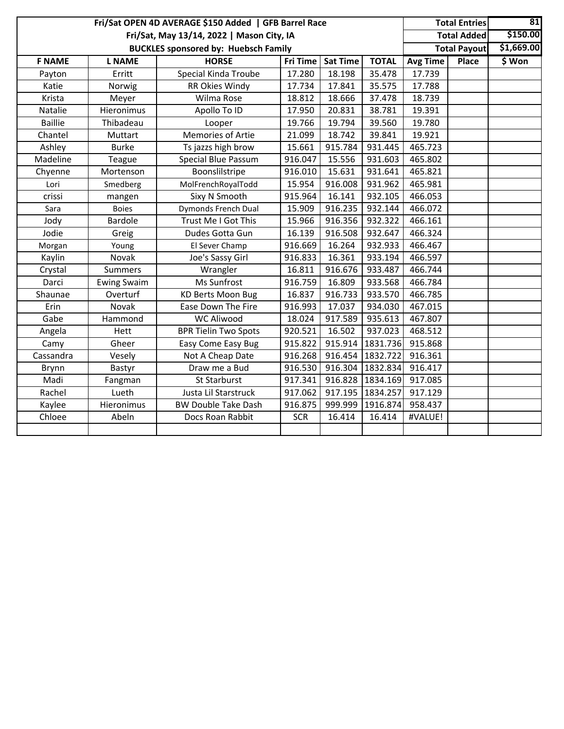|                | Fri/Sat OPEN 4D AVERAGE \$150 Added   GFB Barrel Race |                                             | <b>Total Entries</b> | 81              |              |                 |                     |            |
|----------------|-------------------------------------------------------|---------------------------------------------|----------------------|-----------------|--------------|-----------------|---------------------|------------|
|                |                                                       | Fri/Sat, May 13/14, 2022   Mason City, IA   |                      |                 |              |                 | <b>Total Added</b>  | \$150.00   |
|                |                                                       | <b>BUCKLES sponsored by: Huebsch Family</b> |                      |                 |              |                 | <b>Total Payout</b> | \$1,669.00 |
| <b>F NAME</b>  | <b>L NAME</b>                                         | <b>HORSE</b>                                | Fri Time             | <b>Sat Time</b> | <b>TOTAL</b> | <b>Avg Time</b> | Place               | \$ Won     |
| Payton         | Erritt                                                | Special Kinda Troube                        | 17.280               | 18.198          | 35.478       | 17.739          |                     |            |
| Katie          | Norwig                                                | RR Okies Windy                              | 17.734               | 17.841          | 35.575       | 17.788          |                     |            |
| Krista         | Meyer                                                 | Wilma Rose                                  | 18.812               | 18.666          | 37.478       | 18.739          |                     |            |
| Natalie        | Hieronimus                                            | Apollo To ID                                | 17.950               | 20.831          | 38.781       | 19.391          |                     |            |
| <b>Baillie</b> | Thibadeau                                             | Looper                                      | 19.766               | 19.794          | 39.560       | 19.780          |                     |            |
| Chantel        | Muttart                                               | Memories of Artie                           | 21.099               | 18.742          | 39.841       | 19.921          |                     |            |
| Ashley         | <b>Burke</b>                                          | Ts jazzs high brow                          | 15.661               | 915.784         | 931.445      | 465.723         |                     |            |
| Madeline       | Teague                                                | Special Blue Passum                         | 916.047              | 15.556          | 931.603      | 465.802         |                     |            |
| Chyenne        | Mortenson                                             | Boonslilstripe                              | 916.010              | 15.631          | 931.641      | 465.821         |                     |            |
| Lori           | Smedberg                                              | MolFrenchRoyalTodd                          | 15.954               | 916.008         | 931.962      | 465.981         |                     |            |
| crissi         | mangen                                                | Sixy N Smooth                               | 915.964              | 16.141          | 932.105      | 466.053         |                     |            |
| Sara           | <b>Boies</b>                                          | Dymonds French Dual                         | 15.909               | 916.235         | 932.144      | 466.072         |                     |            |
| Jody           | <b>Bardole</b>                                        | Trust Me I Got This                         | 15.966               | 916.356         | 932.322      | 466.161         |                     |            |
| Jodie          | Greig                                                 | Dudes Gotta Gun                             | 16.139               | 916.508         | 932.647      | 466.324         |                     |            |
| Morgan         | Young                                                 | El Sever Champ                              | 916.669              | 16.264          | 932.933      | 466.467         |                     |            |
| Kaylin         | Novak                                                 | Joe's Sassy Girl                            | 916.833              | 16.361          | 933.194      | 466.597         |                     |            |
| Crystal        | Summers                                               | Wrangler                                    | 16.811               | 916.676         | 933.487      | 466.744         |                     |            |
| Darci          | <b>Ewing Swaim</b>                                    | Ms Sunfrost                                 | 916.759              | 16.809          | 933.568      | 466.784         |                     |            |
| Shaunae        | Overturf                                              | <b>KD Berts Moon Bug</b>                    | 16.837               | 916.733         | 933.570      | 466.785         |                     |            |
| Erin           | Novak                                                 | Ease Down The Fire                          | 916.993              | 17.037          | 934.030      | 467.015         |                     |            |
| Gabe           | Hammond                                               | <b>WC Aliwood</b>                           | 18.024               | 917.589         | 935.613      | 467.807         |                     |            |
| Angela         | Hett                                                  | <b>BPR Tielin Two Spots</b>                 | 920.521              | 16.502          | 937.023      | 468.512         |                     |            |
| Camy           | Gheer                                                 | Easy Come Easy Bug                          | 915.822              | 915.914         | 1831.736     | 915.868         |                     |            |
| Cassandra      | Vesely                                                | Not A Cheap Date                            | 916.268              | 916.454         | 1832.722     | 916.361         |                     |            |
| Brynn          | Bastyr                                                | Draw me a Bud                               | 916.530              | 916.304         | 1832.834     | 916.417         |                     |            |
| Madi           | Fangman                                               | <b>St Starburst</b>                         | 917.341              | 916.828         | 1834.169     | 917.085         |                     |            |
| Rachel         | Lueth                                                 | Justa Lil Starstruck                        | 917.062              | 917.195         | 1834.257     | 917.129         |                     |            |
| Kaylee         | Hieronimus                                            | <b>BW Double Take Dash</b>                  | 916.875              | 999.999         | 1916.874     | 958.437         |                     |            |
| Chloee         | Abeln                                                 | Docs Roan Rabbit                            | <b>SCR</b>           | 16.414          | 16.414       | #VALUE!         |                     |            |
|                |                                                       |                                             |                      |                 |              |                 |                     |            |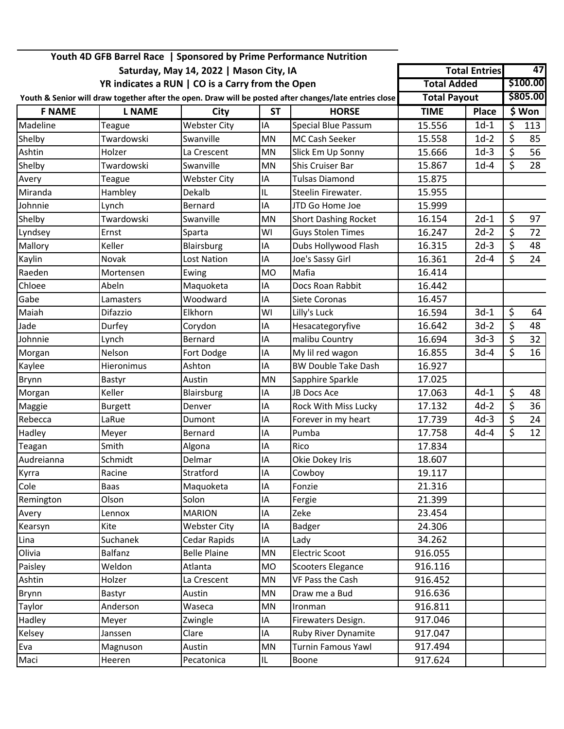|               |                |                                                  |           | Youth 4D GFB Barrel Race   Sponsored by Prime Performance Nutrition                                    |                     |                      |                          |                 |
|---------------|----------------|--------------------------------------------------|-----------|--------------------------------------------------------------------------------------------------------|---------------------|----------------------|--------------------------|-----------------|
|               |                | Saturday, May 14, 2022   Mason City, IA          |           |                                                                                                        |                     | <b>Total Entries</b> |                          | $\overline{47}$ |
|               |                | YR indicates a RUN   CO is a Carry from the Open |           |                                                                                                        | <b>Total Added</b>  |                      |                          | \$100.00        |
|               |                |                                                  |           | Youth & Senior will draw together after the open. Draw will be posted after changes/late entries close | <b>Total Payout</b> |                      |                          | \$805.00        |
| <b>F NAME</b> | <b>L NAME</b>  | City                                             | <b>ST</b> | <b>HORSE</b>                                                                                           | <b>TIME</b>         | <b>Place</b>         |                          | \$ Won          |
| Madeline      | Teague         | <b>Webster City</b>                              | IA        | <b>Special Blue Passum</b>                                                                             | 15.556              | $1d-1$               | \$                       | 113             |
| Shelby        | Twardowski     | Swanville                                        | <b>MN</b> | MC Cash Seeker                                                                                         | 15.558              | $1d-2$               | \$                       | 85              |
| Ashtin        | Holzer         | La Crescent                                      | MN        | Slick Em Up Sonny                                                                                      | 15.666              | $1d-3$               | \$                       | 56              |
| Shelby        | Twardowski     | Swanville                                        | <b>MN</b> | <b>Shis Cruiser Bar</b>                                                                                | 15.867              | $1d-4$               | \$                       | 28              |
| Avery         | Teague         | <b>Webster City</b>                              | IA        | <b>Tulsas Diamond</b>                                                                                  | 15.875              |                      |                          |                 |
| Miranda       | Hambley        | Dekalb                                           | IL        | Steelin Firewater.                                                                                     | 15.955              |                      |                          |                 |
| Johnnie       | Lynch          | Bernard                                          | IA        | JTD Go Home Joe                                                                                        | 15.999              |                      |                          |                 |
| Shelby        | Twardowski     | Swanville                                        | MN        | <b>Short Dashing Rocket</b>                                                                            | 16.154              | $2d-1$               | \$                       | 97              |
| Lyndsey       | Ernst          | Sparta                                           | WI        | <b>Guys Stolen Times</b>                                                                               | 16.247              | $2d-2$               | $\overline{\mathcal{S}}$ | 72              |
| Mallory       | Keller         | Blairsburg                                       | ΙA        | Dubs Hollywood Flash                                                                                   | 16.315              | $2d-3$               | $\overline{\mathcal{S}}$ | 48              |
| Kaylin        | Novak          | Lost Nation                                      | ΙA        | Joe's Sassy Girl                                                                                       | 16.361              | $2d-4$               | \$                       | 24              |
| Raeden        | Mortensen      | Ewing                                            | <b>MO</b> | Mafia                                                                                                  | 16.414              |                      |                          |                 |
| Chloee        | Abeln          | Maquoketa                                        | ΙA        | Docs Roan Rabbit                                                                                       | 16.442              |                      |                          |                 |
| Gabe          | Lamasters      | Woodward                                         | IA        | Siete Coronas                                                                                          | 16.457              |                      |                          |                 |
| Maiah         | Difazzio       | Elkhorn                                          | WI        | Lilly's Luck                                                                                           | 16.594              | $3d-1$               | \$                       | 64              |
| Jade          | Durfey         | Corydon                                          | IA        | Hesacategoryfive                                                                                       | 16.642              | $3d-2$               | $\overline{\varsigma}$   | 48              |
| Johnnie       | Lynch          | Bernard                                          | IA        | malibu Country                                                                                         | 16.694              | $3d-3$               | \$                       | 32              |
| Morgan        | Nelson         | Fort Dodge                                       | ΙA        | My lil red wagon                                                                                       | 16.855              | $3d-4$               | \$                       | 16              |
| Kaylee        | Hieronimus     | Ashton                                           | IA        | <b>BW Double Take Dash</b>                                                                             | 16.927              |                      |                          |                 |
| Brynn         | Bastyr         | Austin                                           | MN        | Sapphire Sparkle                                                                                       | 17.025              |                      |                          |                 |
| Morgan        | Keller         | Blairsburg                                       | IA        | JB Docs Ace                                                                                            | 17.063              | $4d-1$               | $\overline{\varsigma}$   | 48              |
| Maggie        | <b>Burgett</b> | Denver                                           | IA        | Rock With Miss Lucky                                                                                   | 17.132              | $4d-2$               | \$                       | 36              |
| Rebecca       | LaRue          | Dumont                                           | ΙA        | Forever in my heart                                                                                    | 17.739              | $4d-3$               | $\overline{\xi}$         | 24              |
| Hadley        | Meyer          | Bernard                                          | IA        | Pumba                                                                                                  | 17.758              | $4d-4$               | $\overline{\varsigma}$   | 12 <sup>2</sup> |
| Teagan        | Smith          | Algona                                           | ΙA        | Rico                                                                                                   | 17.834              |                      |                          |                 |
| Audreianna    | Schmidt        | Delmar                                           | IA        | Okie Dokey Iris                                                                                        | 18.607              |                      |                          |                 |
| Kyrra         | Racine         | Stratford                                        | IA        | Cowboy                                                                                                 | 19.117              |                      |                          |                 |
| Cole          | Baas           | Maquoketa                                        | IA        | Fonzie                                                                                                 | 21.316              |                      |                          |                 |
| Remington     | Olson          | Solon                                            | ΙA        | Fergie                                                                                                 | 21.399              |                      |                          |                 |
| Avery         | Lennox         | <b>MARION</b>                                    | ΙA        | Zeke                                                                                                   | 23.454              |                      |                          |                 |
| Kearsyn       | Kite           | <b>Webster City</b>                              | ΙA        | <b>Badger</b>                                                                                          | 24.306              |                      |                          |                 |
| Lina          | Suchanek       | Cedar Rapids                                     | ΙA        | Lady                                                                                                   | 34.262              |                      |                          |                 |
| Olivia        | <b>Balfanz</b> | <b>Belle Plaine</b>                              | MN        | Electric Scoot                                                                                         | 916.055             |                      |                          |                 |
| Paisley       | Weldon         | Atlanta                                          | <b>MO</b> | Scooters Elegance                                                                                      | 916.116             |                      |                          |                 |
| Ashtin        | Holzer         | La Crescent                                      | MN        | <b>VF Pass the Cash</b>                                                                                | 916.452             |                      |                          |                 |
| Brynn         | Bastyr         | Austin                                           | MN        | Draw me a Bud                                                                                          | 916.636             |                      |                          |                 |
| Taylor        | Anderson       | Waseca                                           | MN        | Ironman                                                                                                | 916.811             |                      |                          |                 |
| Hadley        | Meyer          | Zwingle                                          | ΙA        | Firewaters Design.                                                                                     | 917.046             |                      |                          |                 |
| Kelsey        | Janssen        | Clare                                            | IA        | Ruby River Dynamite                                                                                    | 917.047             |                      |                          |                 |
| Eva           | Magnuson       | Austin                                           | MN        | <b>Turnin Famous Yawl</b>                                                                              | 917.494             |                      |                          |                 |
| Maci          | Heeren         | Pecatonica                                       | IL.       | Boone                                                                                                  | 917.624             |                      |                          |                 |
|               |                |                                                  |           |                                                                                                        |                     |                      |                          |                 |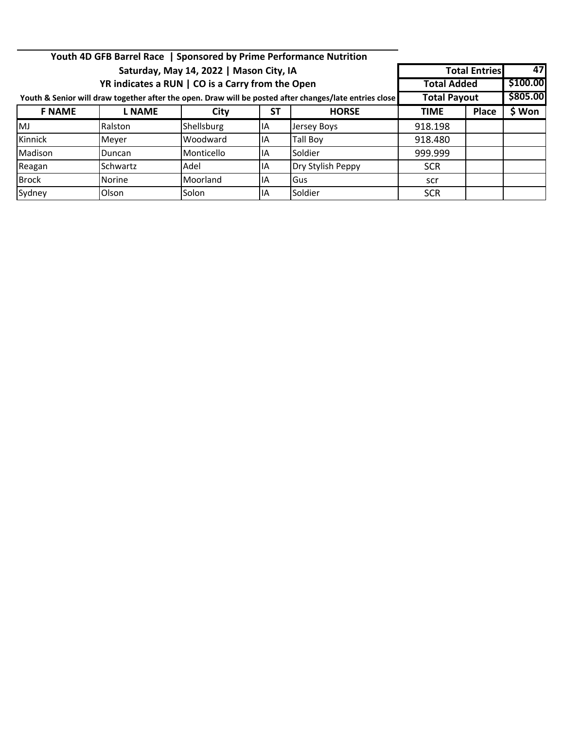|               |                                                                                                        |                                         |                    | Youth 4D GFB Barrel Race   Sponsored by Prime Performance Nutrition |             |                        |    |  |
|---------------|--------------------------------------------------------------------------------------------------------|-----------------------------------------|--------------------|---------------------------------------------------------------------|-------------|------------------------|----|--|
|               |                                                                                                        | Saturday, May 14, 2022   Mason City, IA |                    |                                                                     |             | <b>Total Entries</b>   | 47 |  |
|               | YR indicates a RUN   CO is a Carry from the Open                                                       |                                         | <b>Total Added</b> | \$100.00                                                            |             |                        |    |  |
|               | Youth & Senior will draw together after the open. Draw will be posted after changes/late entries close | <b>Total Payout</b>                     |                    | \$805.00                                                            |             |                        |    |  |
| <b>F NAME</b> | <b>L NAME</b>                                                                                          | City                                    | SΤ                 | <b>HORSE</b>                                                        | <b>TIME</b> | \$ Won<br><b>Place</b> |    |  |
| MJ            | Ralston                                                                                                | Shellsburg                              | IA                 | Jersey Boys                                                         | 918.198     |                        |    |  |
| Kinnick       | Meyer                                                                                                  | Woodward                                | IA                 | Tall Boy                                                            | 918.480     |                        |    |  |
| Madison       | Duncan                                                                                                 | Monticello                              | IA                 | Soldier                                                             | 999.999     |                        |    |  |
| Reagan        | <b>Schwartz</b>                                                                                        | Adel                                    | ΙA                 | Dry Stylish Peppy                                                   | <b>SCR</b>  |                        |    |  |
| <b>Brock</b>  | <b>Norine</b>                                                                                          | Moorland                                | IA                 | Gus                                                                 | scr         |                        |    |  |
| Sydney        | Olson                                                                                                  | Solon                                   | ΙA                 | Soldier                                                             | <b>SCR</b>  |                        |    |  |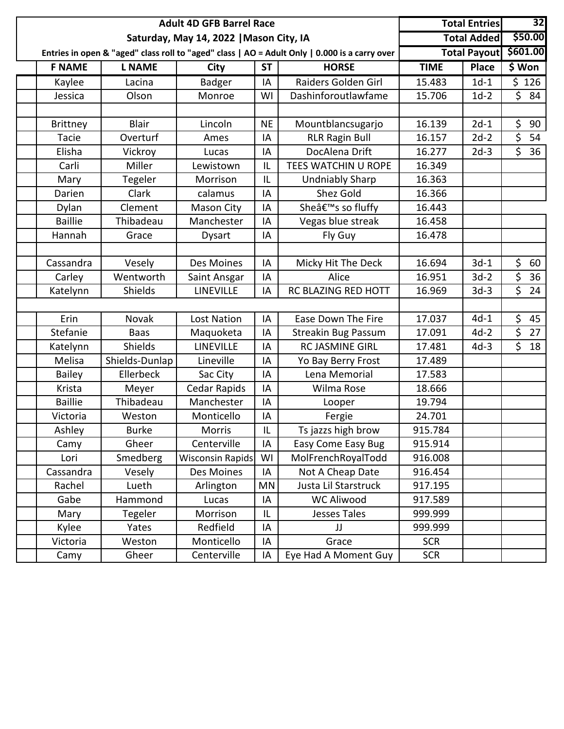|                 |                | <b>Adult 4D GFB Barrel Race</b>         |           |                                                                                               |             | <b>Total Entries</b> | 32       |
|-----------------|----------------|-----------------------------------------|-----------|-----------------------------------------------------------------------------------------------|-------------|----------------------|----------|
|                 |                | Saturday, May 14, 2022   Mason City, IA |           |                                                                                               |             | <b>Total Added</b>   | \$50.00  |
|                 |                |                                         |           | Entries in open & "aged" class roll to "aged" class   AO = Adult Only   0.000 is a carry over |             | <b>Total Payout</b>  | \$601.00 |
| <b>F NAME</b>   | <b>L NAME</b>  | <b>City</b>                             | <b>ST</b> | <b>HORSE</b>                                                                                  | <b>TIME</b> | <b>Place</b>         | \$ Won   |
| Kaylee          | Lacina         | <b>Badger</b>                           | IA        | Raiders Golden Girl                                                                           | 15.483      | $1d-1$               | \$126    |
| Jessica         | Olson          | Monroe                                  | WI        | Dashinforoutlawfame                                                                           | 15.706      | $1d-2$               | \$84     |
|                 |                |                                         |           |                                                                                               |             |                      |          |
| <b>Brittney</b> | <b>Blair</b>   | Lincoln                                 | <b>NE</b> | Mountblancsugarjo                                                                             | 16.139      | $2d-1$               | \$<br>90 |
| Tacie           | Overturf       | Ames                                    | IA        | <b>RLR Ragin Bull</b>                                                                         | 16.157      | $2d-2$               | \$<br>54 |
| Elisha          | Vickroy        | Lucas                                   | IA        | DocAlena Drift                                                                                | 16.277      | $2d-3$               | \$<br>36 |
| Carli           | Miller         | Lewistown                               | IL        | TEES WATCHIN U ROPE                                                                           | 16.349      |                      |          |
| Mary            | Tegeler        | Morrison                                | IL        | <b>Undniably Sharp</b>                                                                        | 16.363      |                      |          |
| Darien          | Clark          | calamus                                 | IA        | Shez Gold                                                                                     | 16.366      |                      |          |
| Dylan           | Clement        | Mason City                              | IA        | Sheâ€ <sup>™</sup> s so fluffy                                                                | 16.443      |                      |          |
| <b>Baillie</b>  | Thibadeau      | Manchester                              | IA        | Vegas blue streak                                                                             | 16.458      |                      |          |
| Hannah          | Grace          | <b>Dysart</b>                           | IA        | Fly Guy                                                                                       | 16.478      |                      |          |
|                 |                |                                         |           |                                                                                               |             |                      |          |
| Cassandra       | Vesely         | Des Moines                              | IA        | Micky Hit The Deck                                                                            | 16.694      | $3d-1$               | \$<br>60 |
| Carley          | Wentworth      | Saint Ansgar                            | IA        | Alice                                                                                         | 16.951      | $3d-2$               | \$<br>36 |
| Katelynn        | Shields        | LINEVILLE                               | ΙA        | RC BLAZING RED HOTT                                                                           | 16.969      | $3d-3$               | \$<br>24 |
|                 |                |                                         |           |                                                                                               |             |                      |          |
| Erin            | Novak          | <b>Lost Nation</b>                      | IA        | Ease Down The Fire                                                                            | 17.037      | $4d-1$               | \$<br>45 |
| Stefanie        | <b>Baas</b>    | Maquoketa                               | ΙA        | <b>Streakin Bug Passum</b>                                                                    | 17.091      | $4d-2$               | \$<br>27 |
| Katelynn        | Shields        | LINEVILLE                               | IA        | <b>RC JASMINE GIRL</b>                                                                        | 17.481      | $4d-3$               | \$<br>18 |
| Melisa          | Shields-Dunlap | Lineville                               | IA        | Yo Bay Berry Frost                                                                            | 17.489      |                      |          |
| <b>Bailey</b>   | Ellerbeck      | Sac City                                | IA        | Lena Memorial                                                                                 | 17.583      |                      |          |
| Krista          | Meyer          | Cedar Rapids                            | IA        | Wilma Rose                                                                                    | 18.666      |                      |          |
| <b>Baillie</b>  | Thibadeau      | Manchester                              | IA        | Looper                                                                                        | 19.794      |                      |          |
| Victoria        | Weston         | Monticello                              | IA        | Fergie                                                                                        | 24.701      |                      |          |
| Ashley          | <b>Burke</b>   | Morris                                  | IL        | Ts jazzs high brow                                                                            | 915.784     |                      |          |
| Camy            | Gheer          | Centerville                             | IA        | Easy Come Easy Bug                                                                            | 915.914     |                      |          |
| Lori            | Smedberg       | <b>Wisconsin Rapids</b>                 | WI        | MolFrenchRoyalTodd                                                                            | 916.008     |                      |          |
| Cassandra       | Vesely         | Des Moines                              | IA        | Not A Cheap Date                                                                              | 916.454     |                      |          |
| Rachel          | Lueth          | Arlington                               | MN        | Justa Lil Starstruck                                                                          | 917.195     |                      |          |
| Gabe            | Hammond        | Lucas                                   |           | <b>WC Aliwood</b>                                                                             | 917.589     |                      |          |
| Mary            | Tegeler        | Morrison                                | IL        | Jesses Tales                                                                                  | 999.999     |                      |          |
| Kylee           | Yates          | Redfield                                | IA        | JJ                                                                                            | 999.999     |                      |          |
| Victoria        | Weston         | Monticello                              | IA        | Grace                                                                                         | <b>SCR</b>  |                      |          |
| Camy            | Gheer          | Centerville                             | IA        | Eye Had A Moment Guy                                                                          | <b>SCR</b>  |                      |          |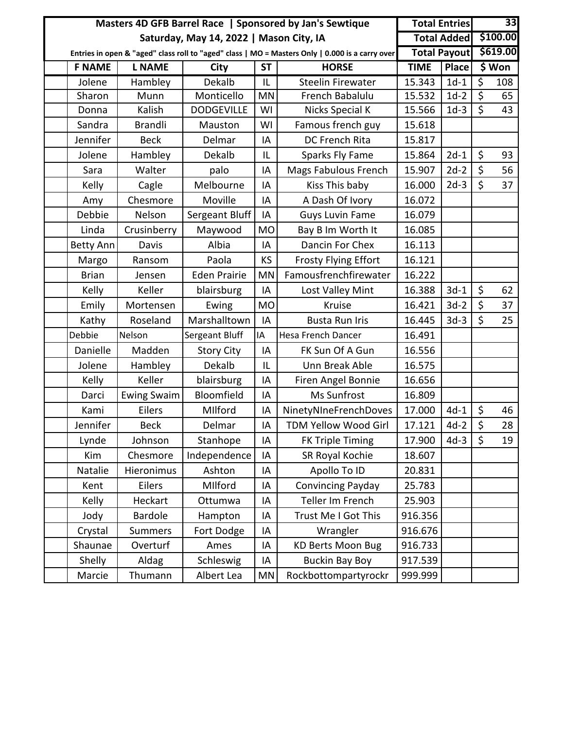|               |                       | Masters 4D GFB Barrel Race   Sponsored by Jan's Sewtique | <b>Total Entries</b> |                                                                                                 |             | 33                  |                         |          |
|---------------|-----------------------|----------------------------------------------------------|----------------------|-------------------------------------------------------------------------------------------------|-------------|---------------------|-------------------------|----------|
|               |                       | Saturday, May 14, 2022   Mason City, IA                  |                      |                                                                                                 |             | <b>Total Added</b>  |                         | \$100.00 |
|               |                       |                                                          |                      | Entries in open & "aged" class roll to "aged" class   MO = Masters Only   0.000 is a carry over |             | <b>Total Payout</b> |                         | \$619.00 |
| <b>F NAME</b> | <b>L NAME</b>         | City                                                     | <b>ST</b>            | <b>HORSE</b>                                                                                    | <b>TIME</b> | <b>Place</b>        |                         | \$ Won   |
| Jolene        | Hambley               | Dekalb                                                   | IL                   | <b>Steelin Firewater</b>                                                                        | 15.343      | $1d-1$              | $\overline{\mathsf{S}}$ | 108      |
| Sharon        | Munn                  | Monticello                                               | <b>MN</b>            | French Babalulu                                                                                 | 15.532      | $1d-2$              | $\zeta$                 | 65       |
| Donna         | Kalish                | <b>DODGEVILLE</b>                                        | WI                   | <b>Nicks Special K</b>                                                                          | 15.566      | $1d-3$              | \$                      | 43       |
| Sandra        | <b>Brandli</b>        | Mauston                                                  | WI                   | Famous french guy                                                                               | 15.618      |                     |                         |          |
| Jennifer      | <b>Beck</b>           | Delmar                                                   | IA                   | DC French Rita                                                                                  | 15.817      |                     |                         |          |
| Jolene        | Hambley               | Dekalb                                                   | IL                   | Sparks Fly Fame                                                                                 | 15.864      | $2d-1$              | \$                      | 93       |
| Sara          | Walter                | palo                                                     | IA                   | <b>Mags Fabulous French</b>                                                                     | 15.907      | $2d-2$              | \$                      | 56       |
| Kelly         | Cagle                 | Melbourne                                                | IA                   | Kiss This baby                                                                                  | 16.000      | $2d-3$              | $\mathsf{\dot{S}}$      | 37       |
| Amy           | Chesmore              | Moville                                                  | IA                   | A Dash Of Ivory                                                                                 | 16.072      |                     |                         |          |
| Debbie        | Nelson                | Sergeant Bluff                                           | IA                   | <b>Guys Luvin Fame</b>                                                                          | 16.079      |                     |                         |          |
| Linda         | Crusinberry           | Maywood                                                  | <b>MO</b>            | Bay B Im Worth It                                                                               | 16.085      |                     |                         |          |
| Betty Ann     | Davis                 | Albia                                                    | IA                   | Dancin For Chex                                                                                 | 16.113      |                     |                         |          |
| Margo         | Ransom                | Paola                                                    | KS                   | <b>Frosty Flying Effort</b>                                                                     | 16.121      |                     |                         |          |
| <b>Brian</b>  | Jensen                | <b>Eden Prairie</b>                                      | MN                   | Famousfrenchfirewater                                                                           | 16.222      |                     |                         |          |
| Kelly         | Keller                | blairsburg                                               | IA                   | Lost Valley Mint                                                                                | 16.388      | $3d-1$              | \$                      | 62       |
| Emily         | Mortensen             | Ewing                                                    | <b>MO</b>            | Kruise                                                                                          | 16.421      | $3d-2$              | \$                      | 37       |
| Kathy         | Roseland              | Marshalltown                                             | IA                   | <b>Busta Run Iris</b>                                                                           | 16.445      | $3d-3$              | \$                      | 25       |
| Debbie        | Nelson                | Sergeant Bluff                                           | IA                   | <b>Hesa French Dancer</b>                                                                       | 16.491      |                     |                         |          |
| Danielle      | Madden                | <b>Story City</b>                                        | IA                   | FK Sun Of A Gun                                                                                 | 16.556      |                     |                         |          |
| Jolene        | Hambley               | Dekalb                                                   | IL                   | Unn Break Able                                                                                  | 16.575      |                     |                         |          |
| Kelly         | Keller                | blairsburg                                               | IA                   | Firen Angel Bonnie                                                                              | 16.656      |                     |                         |          |
| Darci         | <b>Ewing Swaim</b>    | Bloomfield                                               | IA                   | Ms Sunfrost                                                                                     | 16.809      |                     |                         |          |
| Kami          | Eilers                | MIlford                                                  | IA                   | NinetyNIneFrenchDoves                                                                           | 17.000      | $4d-1$              | \$                      | 46       |
| Jennifer      | <b>Beck</b>           | Delmar                                                   | IA                   | TDM Yellow Wood Girl                                                                            | 17.121      | $4d-2$              | $\overline{\xi}$        | 28       |
| Lynde         | Johnson               | Stanhope                                                 | IA                   | <b>FK Triple Timing</b>                                                                         | 17.900      | $4d-3$              | $\zeta$                 | 19       |
| Kim           | Chesmore              | Independence                                             | IA                   | SR Royal Kochie                                                                                 | 18.607      |                     |                         |          |
| Natalie       | <b>Hieronimus</b>     | Ashton                                                   | IA                   | Apollo To ID                                                                                    | 20.831      |                     |                         |          |
| Kent          | Eilers                | MIlford                                                  | ΙA                   | Convincing Payday                                                                               | 25.783      |                     |                         |          |
| Kelly         | Heckart               | Ottumwa                                                  | IA                   | Teller Im French                                                                                | 25.903      |                     |                         |          |
| Jody          | <b>Bardole</b>        | Hampton                                                  | IA                   | Trust Me I Got This                                                                             | 916.356     |                     |                         |          |
| Crystal       | <b>Summers</b>        | Fort Dodge                                               | IA                   | Wrangler                                                                                        | 916.676     |                     |                         |          |
| Shaunae       | Overturf              | Ames                                                     | IA                   | <b>KD Berts Moon Bug</b>                                                                        | 916.733     |                     |                         |          |
| Shelly        | Aldag                 | Schleswig                                                | IA                   | <b>Buckin Bay Boy</b>                                                                           | 917.539     |                     |                         |          |
| Marcie        | Thumann<br>Albert Lea |                                                          | ΜN                   | Rockbottompartyrockr                                                                            | 999.999     |                     |                         |          |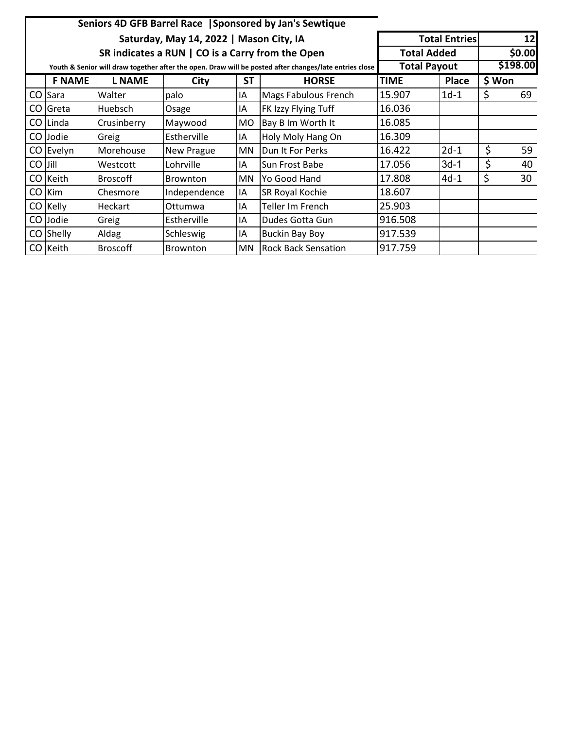|         | Seniors 4D GFB Barrel Race   Sponsored by Jan's Sewtique |                 |                                                  |           |                                                                                                        |                     |                      |        |        |  |  |
|---------|----------------------------------------------------------|-----------------|--------------------------------------------------|-----------|--------------------------------------------------------------------------------------------------------|---------------------|----------------------|--------|--------|--|--|
|         |                                                          |                 | Saturday, May 14, 2022   Mason City, IA          |           |                                                                                                        |                     | <b>Total Entries</b> |        | 12     |  |  |
|         |                                                          |                 | SR indicates a RUN   CO is a Carry from the Open |           |                                                                                                        | <b>Total Added</b>  |                      |        | \$0.00 |  |  |
|         |                                                          |                 |                                                  |           | Youth & Senior will draw together after the open. Draw will be posted after changes/late entries close | <b>Total Payout</b> | \$198.00             |        |        |  |  |
|         | <b>F NAME</b>                                            | <b>L NAME</b>   | City                                             | <b>ST</b> | <b>HORSE</b>                                                                                           | <b>TIME</b>         | Place                | \$ Won |        |  |  |
| CO      | <b>ISara</b>                                             | Walter          | palo                                             | IA        | Mags Fabulous French                                                                                   | 15.907              | $1d-1$               | \$     | 69     |  |  |
|         | CO Greta                                                 | <b>Huebsch</b>  | Osage                                            | ΙA        | FK Izzy Flying Tuff                                                                                    | 16.036              |                      |        |        |  |  |
|         | CO Linda                                                 | Crusinberry     | Maywood                                          | MO.       | Bay B Im Worth It                                                                                      | 16.085              |                      |        |        |  |  |
|         | CO Jodie                                                 | Greig           | Estherville                                      | IA        | Holy Moly Hang On                                                                                      | 16.309              |                      |        |        |  |  |
|         | CO Evelyn                                                | Morehouse       | New Prague                                       | MN        | Dun It For Perks                                                                                       | 16.422              | $2d-1$               | \$     | 59     |  |  |
| CO Jill |                                                          | Westcott        | Lohrville                                        | ΙA        | Sun Frost Babe                                                                                         | 17.056              | 3d-1                 | \$     | 40     |  |  |
|         | CO Keith                                                 | <b>Broscoff</b> | <b>Brownton</b>                                  | MN.       | Yo Good Hand                                                                                           | 17.808              | $4d-1$               | \$     | 30     |  |  |
|         | CO Kim                                                   | Chesmore        | Independence                                     | IA        | SR Royal Kochie                                                                                        | 18.607              |                      |        |        |  |  |
|         | CO Kelly                                                 | Heckart         | Ottumwa                                          | IA        | Teller Im French                                                                                       | 25.903              |                      |        |        |  |  |
|         | CO Jodie                                                 | Greig           | Estherville                                      | IA        | Dudes Gotta Gun                                                                                        | 916.508             |                      |        |        |  |  |
|         | CO Shelly                                                | Aldag           | Schleswig                                        | IA        | <b>Buckin Bay Boy</b>                                                                                  | 917.539             |                      |        |        |  |  |
|         | CO Keith                                                 | <b>Broscoff</b> | <b>Brownton</b>                                  | MN        | <b>Rock Back Sensation</b>                                                                             | 917.759             |                      |        |        |  |  |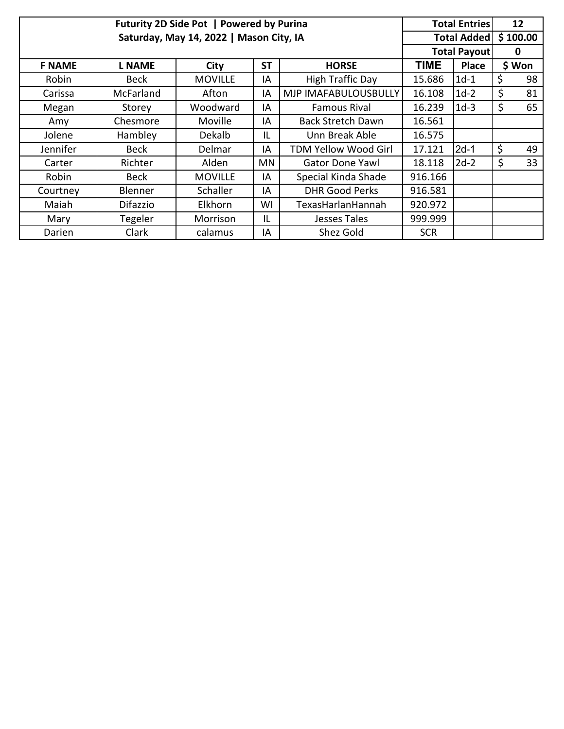|               |                 | Futurity 2D Side Pot   Powered by Purina |           |                             |                     | <b>Total Entries</b> |         | 12       |
|---------------|-----------------|------------------------------------------|-----------|-----------------------------|---------------------|----------------------|---------|----------|
|               |                 | Saturday, May 14, 2022   Mason City, IA  |           |                             | <b>Total Added</b>  |                      |         | \$100.00 |
|               |                 |                                          |           |                             | <b>Total Payout</b> |                      | 0       |          |
| <b>F NAME</b> | <b>L NAME</b>   | City                                     | <b>ST</b> | <b>HORSE</b>                | <b>TIME</b>         | <b>Place</b>         |         | \$ Won   |
| Robin         | <b>Beck</b>     | <b>MOVILLE</b>                           | IA        | High Traffic Day            | 15.686              | $1d-1$               | \$      | 98       |
| Carissa       | McFarland       | Afton                                    | IA        | MJP IMAFABULOUSBULLY        | 16.108              | $1d-2$               | \$      | 81       |
| Megan         | Storey          | Woodward                                 | IA        | <b>Famous Rival</b>         | 16.239              | $1d-3$               | $\zeta$ | 65       |
| Amy           | Chesmore        | Moville                                  | IA        | <b>Back Stretch Dawn</b>    | 16.561              |                      |         |          |
| Jolene        | Hambley         | Dekalb                                   | IL        | Unn Break Able              | 16.575              |                      |         |          |
| Jennifer      | Beck            | Delmar                                   | IA        | <b>TDM Yellow Wood Girl</b> | 17.121              | $2d-1$               | \$      | 49       |
| Carter        | Richter         | Alden                                    | ΜN        | <b>Gator Done Yawl</b>      | 18.118              | $2d-2$               | \$      | 33       |
| Robin         | Beck            | <b>MOVILLE</b>                           | IA        | Special Kinda Shade         | 916.166             |                      |         |          |
| Courtney      | Blenner         | Schaller                                 | IA        | <b>DHR Good Perks</b>       | 916.581             |                      |         |          |
| Maiah         | <b>Difazzio</b> | Elkhorn                                  | WI        | Texas Harlan Hannah         | 920.972             |                      |         |          |
| Mary          | Tegeler         | Morrison                                 | IL        | Jesses Tales                | 999.999             |                      |         |          |
| Darien        | Clark           | calamus                                  | IA        | Shez Gold                   | <b>SCR</b>          |                      |         |          |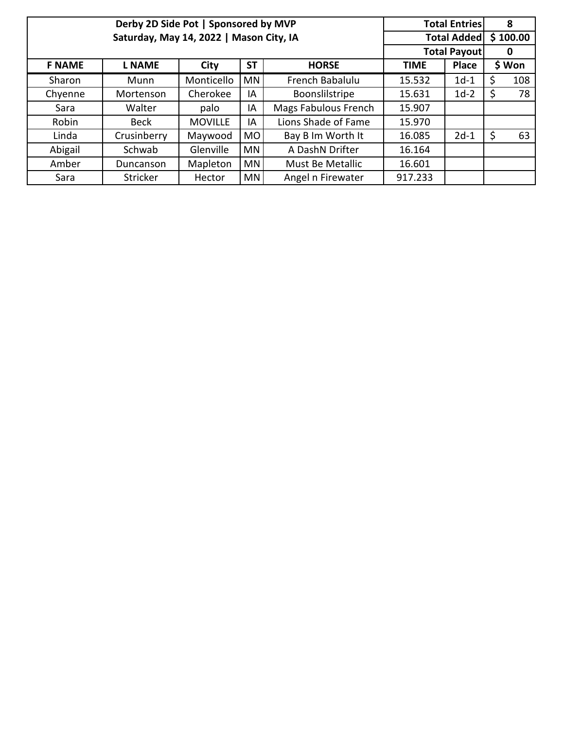|               | Derby 2D Side Pot   Sponsored by MVP    |                |                     |                      |             | <b>Total Entries</b> |    | 8        |
|---------------|-----------------------------------------|----------------|---------------------|----------------------|-------------|----------------------|----|----------|
|               | Saturday, May 14, 2022   Mason City, IA |                |                     |                      |             | <b>Total Added</b>   |    | \$100.00 |
|               |                                         |                | <b>Total Payout</b> |                      | 0           |                      |    |          |
| <b>F NAME</b> | <b>L NAME</b>                           | City           | <b>ST</b>           | <b>HORSE</b>         | <b>TIME</b> | <b>Place</b>         |    | \$ Won   |
| Sharon        | Munn                                    | Monticello     | <b>MN</b>           | French Babalulu      | 15.532      | $1d-1$               | Ś  | 108      |
| Chyenne       | Mortenson                               | Cherokee       | IA                  | Boonslilstripe       | 15.631      | $1d-2$               | Ś  | 78       |
| Sara          | Walter                                  | palo           | IA                  | Mags Fabulous French | 15.907      |                      |    |          |
| Robin         | <b>Beck</b>                             | <b>MOVILLE</b> | IA                  | Lions Shade of Fame  | 15.970      |                      |    |          |
| Linda         | Crusinberry                             | Maywood        | <b>MO</b>           | Bay B Im Worth It    | 16.085      | $2d-1$               | \$ | 63       |
| Abigail       | Schwab                                  | Glenville      | <b>MN</b>           | A DashN Drifter      | 16.164      |                      |    |          |
| Amber         | Duncanson                               | Mapleton       | <b>MN</b>           | Must Be Metallic     | 16.601      |                      |    |          |
| Sara          | Stricker                                | Hector         | MN                  | Angel n Firewater    | 917.233     |                      |    |          |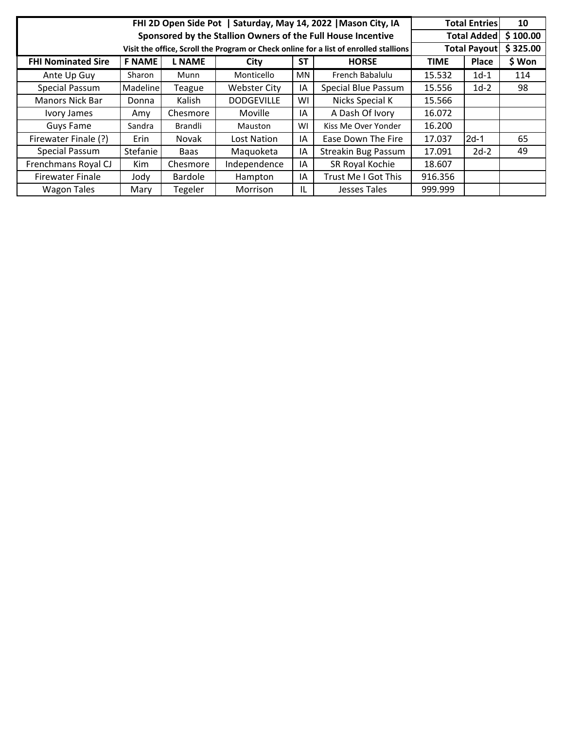|                           |                                                                                       |                |                   |    | FHI 2D Open Side Pot   Saturday, May 14, 2022   Mason City, IA |         | <b>Total Entries</b> | 10       |  |  |
|---------------------------|---------------------------------------------------------------------------------------|----------------|-------------------|----|----------------------------------------------------------------|---------|----------------------|----------|--|--|
|                           |                                                                                       |                |                   |    | Sponsored by the Stallion Owners of the Full House Incentive   |         | <b>Total Added</b>   | \$100.00 |  |  |
|                           | Visit the office, Scroll the Program or Check online for a list of enrolled stallions |                |                   |    |                                                                |         |                      |          |  |  |
| <b>FHI Nominated Sire</b> | <b>TIME</b>                                                                           | Place          | \$ Won            |    |                                                                |         |                      |          |  |  |
| Ante Up Guy               | Sharon                                                                                | Munn           | Monticello        | MN | French Babalulu                                                | 15.532  | $1d-1$               | 114      |  |  |
| Special Passum            | Madeline                                                                              | Teague         | Webster City      | IA | Special Blue Passum                                            | 15.556  | $1d-2$               | 98       |  |  |
| <b>Manors Nick Bar</b>    | Donna                                                                                 | Kalish         | <b>DODGEVILLE</b> | WI | Nicks Special K                                                | 15.566  |                      |          |  |  |
| Ivory James               | Amy                                                                                   | Chesmore       | Moville           | ΙA | A Dash Of Ivory                                                | 16.072  |                      |          |  |  |
| Guys Fame                 | Sandra                                                                                | Brandli        | <b>Mauston</b>    | WI | Kiss Me Over Yonder                                            | 16.200  |                      |          |  |  |
| Firewater Finale (?)      | Erin                                                                                  | Novak          | Lost Nation       | ΙA | Ease Down The Fire                                             | 17.037  | $2d-1$               | 65       |  |  |
| Special Passum            | Stefanie                                                                              | Baas           | Maguoketa         | ΙA | <b>Streakin Bug Passum</b>                                     | 17.091  | $2d-2$               | 49       |  |  |
| Frenchmans Royal CJ       | <b>Kim</b>                                                                            | Chesmore       | Independence      | ΙA | SR Royal Kochie                                                | 18.607  |                      |          |  |  |
| <b>Firewater Finale</b>   | Jody                                                                                  | <b>Bardole</b> | Hampton           | ΙA | Trust Me I Got This                                            | 916.356 |                      |          |  |  |
| <b>Wagon Tales</b>        | Mary                                                                                  | Tegeler        | Morrison          | IL | Jesses Tales                                                   | 999.999 |                      |          |  |  |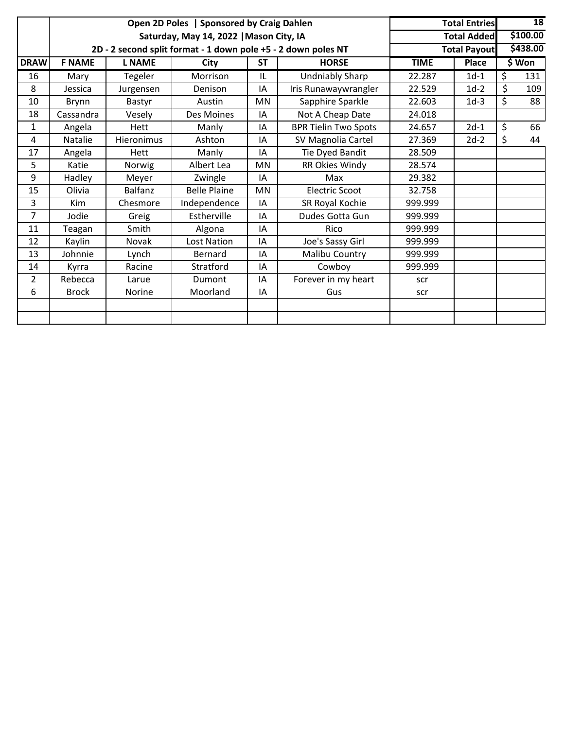|                |                | Open 2D Poles   Sponsored by Craig Dahlen |                                                               | <b>Total Entries</b> | 18                          |             |                     |           |  |
|----------------|----------------|-------------------------------------------|---------------------------------------------------------------|----------------------|-----------------------------|-------------|---------------------|-----------|--|
|                |                |                                           | Saturday, May 14, 2022   Mason City, IA                       |                      |                             |             | <b>Total Added</b>  | \$100.00  |  |
|                |                |                                           | 2D - 2 second split format - 1 down pole +5 - 2 down poles NT |                      |                             |             | <b>Total Payout</b> | \$438.00  |  |
| <b>DRAW</b>    | <b>F NAME</b>  | <b>L NAME</b>                             | City                                                          | <b>ST</b>            | <b>HORSE</b>                | <b>TIME</b> | Place               | \$ Won    |  |
| 16             | Mary           | Tegeler                                   | Morrison                                                      | IL                   | <b>Undniably Sharp</b>      | 22.287      | $1d-1$              | \$<br>131 |  |
| 8              | Jessica        | Jurgensen                                 | Denison                                                       | ΙA                   | Iris Runawaywrangler        | 22.529      | $1d-2$              | \$<br>109 |  |
| 10             | Brynn          | Bastyr                                    | Austin                                                        | MN                   | Sapphire Sparkle            | 22.603      | $1d-3$              | \$<br>88  |  |
| 18             | Cassandra      | Vesely                                    | Des Moines                                                    | IA                   | Not A Cheap Date            | 24.018      |                     |           |  |
| 1              | Angela         | Hett                                      | Manly                                                         | ΙA                   | <b>BPR Tielin Two Spots</b> | 24.657      | $2d-1$              | \$<br>66  |  |
| 4              | <b>Natalie</b> | Hieronimus                                | Ashton                                                        | ΙA                   | SV Magnolia Cartel          | 27.369      | $2d-2$              | \$<br>44  |  |
| 17             | Angela         | Hett                                      | Manly                                                         | ΙA                   | Tie Dyed Bandit             | 28.509      |                     |           |  |
| 5              | Katie          | Norwig                                    | Albert Lea                                                    | <b>MN</b>            | RR Okies Windy              | 28.574      |                     |           |  |
| 9              | Hadley         | Meyer                                     | Zwingle                                                       | ΙA                   | Max                         | 29.382      |                     |           |  |
| 15             | Olivia         | <b>Balfanz</b>                            | <b>Belle Plaine</b>                                           | MN                   | Electric Scoot              | 32.758      |                     |           |  |
| 3              | <b>Kim</b>     | Chesmore                                  | Independence                                                  | ΙA                   | SR Royal Kochie             | 999.999     |                     |           |  |
| $\overline{7}$ | Jodie          | Greig                                     | Estherville                                                   | ΙA                   | Dudes Gotta Gun             | 999.999     |                     |           |  |
| 11             | Teagan         | Smith                                     | Algona                                                        | ΙA                   | Rico                        | 999.999     |                     |           |  |
| 12             | Kaylin         | Novak                                     | Lost Nation                                                   | IA                   | Joe's Sassy Girl            | 999.999     |                     |           |  |
| 13             | Johnnie        | Lynch                                     | Bernard                                                       | ΙA                   | Malibu Country              | 999.999     |                     |           |  |
| 14             | Kyrra          | Racine                                    | Stratford                                                     | ΙA                   | Cowboy                      | 999.999     |                     |           |  |
| 2              | Rebecca        | Larue                                     | Dumont                                                        | IA                   | Forever in my heart         | scr         |                     |           |  |
| 6              | <b>Brock</b>   | <b>Norine</b>                             | Moorland                                                      | IA                   | Gus                         | scr         |                     |           |  |
|                |                |                                           |                                                               |                      |                             |             |                     |           |  |
|                |                |                                           |                                                               |                      |                             |             |                     |           |  |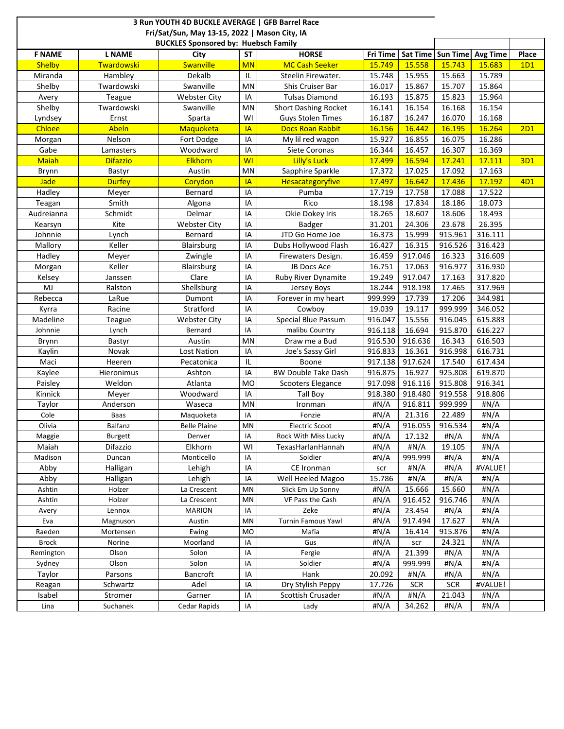|                  |                     | 3 Run YOUTH 4D BUCKLE AVERAGE   GFB Barrel Race<br>Fri/Sat/Sun, May 13-15, 2022   Mason City, IA |           |                                               |                |                |                     |                 |       |
|------------------|---------------------|--------------------------------------------------------------------------------------------------|-----------|-----------------------------------------------|----------------|----------------|---------------------|-----------------|-------|
|                  |                     | <b>BUCKLES Sponsored by: Huebsch Family</b>                                                      |           |                                               |                |                |                     |                 |       |
| <b>F NAME</b>    | <b>L NAME</b>       | City                                                                                             | <b>ST</b> | <b>HORSE</b>                                  | Fri Time       |                | Sat Time   Sun Time | <b>Avg Time</b> | Place |
| <b>Shelby</b>    | <b>Twardowski</b>   | Swanville                                                                                        | <b>MN</b> | <b>MC Cash Seeker</b>                         | 15.749         | 15.558         | 15.743              | 15.683          | 1D1   |
| Miranda          | Hambley             | Dekalb                                                                                           | IL        | Steelin Firewater.                            | 15.748         | 15.955         | 15.663              | 15.789          |       |
| Shelby           | Twardowski          | Swanville                                                                                        | <b>MN</b> | Shis Cruiser Bar                              | 16.017         | 15.867         | 15.707              | 15.864          |       |
| Avery            | Teague              | <b>Webster City</b>                                                                              | IA        | <b>Tulsas Diamond</b>                         | 16.193         | 15.875         | 15.823              | 15.964          |       |
| Shelby           | Twardowski          | Swanville                                                                                        | MN        | <b>Short Dashing Rocket</b>                   | 16.141         | 16.154         | 16.168              | 16.154          |       |
| Lyndsey          | Ernst               | Sparta                                                                                           | WI        | <b>Guys Stolen Times</b>                      | 16.187         | 16.247         | 16.070              | 16.168          |       |
| <b>Chloee</b>    | Abeln               | Maquoketa                                                                                        | <b>IA</b> | <b>Docs Roan Rabbit</b>                       | 16.156         | 16.442         | 16.195              | 16.264          | 2D1   |
| Morgan           | Nelson              | Fort Dodge                                                                                       | IA        | My lil red wagon                              | 15.927         | 16.855         | 16.075              | 16.286          |       |
| Gabe             | Lamasters           | Woodward                                                                                         | IA        | Siete Coronas                                 | 16.344         | 16.457         | 16.307              | 16.369          |       |
| <b>Maiah</b>     | <b>Difazzio</b>     | <b>Elkhorn</b>                                                                                   | <b>WI</b> | Lilly's Luck                                  | 17.499         | 16.594         | 17.241              | 17.111          | 3D1   |
| Brynn            | Bastyr              | Austin                                                                                           | <b>MN</b> | Sapphire Sparkle                              | 17.372         | 17.025         | 17.092              | 17.163          |       |
| <b>Jade</b>      | <b>Durfey</b>       | Corydon                                                                                          | <b>IA</b> | Hesacategoryfive                              | 17.497         | 16.642         | 17.436              | 17.192          | 4D1   |
| Hadley           | Meyer               | Bernard                                                                                          | IA        | Pumba                                         | 17.719         | 17.758         | 17.088              | 17.522          |       |
| Teagan           | Smith               | Algona                                                                                           | IA        | Rico                                          | 18.198         | 17.834         | 18.186              | 18.073          |       |
| Audreianna       | Schmidt             | Delmar                                                                                           | IA        | Okie Dokey Iris                               | 18.265         | 18.607         | 18.606              | 18.493          |       |
| Kearsyn          | Kite                | <b>Webster City</b>                                                                              | IA        | Badger                                        | 31.201         | 24.306         | 23.678              | 26.395          |       |
| Johnnie          | Lynch               | Bernard                                                                                          | IA        | JTD Go Home Joe                               | 16.373         | 15.999         | 915.961             | 316.111         |       |
| Mallory          | Keller              | Blairsburg                                                                                       | IA        | Dubs Hollywood Flash                          | 16.427         | 16.315         | 916.526             | 316.423         |       |
| Hadley           | Meyer               | Zwingle                                                                                          | IA        | Firewaters Design.                            | 16.459         | 917.046        | 16.323              | 316.609         |       |
| Morgan           | Keller              | Blairsburg                                                                                       | IA        | JB Docs Ace                                   | 16.751         | 17.063         | 916.977             | 316.930         |       |
| Kelsey           | Janssen             | Clare                                                                                            | IA        | Ruby River Dynamite                           | 19.249         | 917.047        | 17.163              | 317.820         |       |
| MJ               | Ralston             | Shellsburg                                                                                       | IA        | Jersey Boys                                   | 18.244         | 918.198        | 17.465              | 317.969         |       |
| Rebecca          | LaRue               | Dumont                                                                                           | IA        | Forever in my heart                           | 999.999        | 17.739         | 17.206              | 344.981         |       |
| Kyrra            | Racine              | Stratford                                                                                        | IA        | Cowboy                                        | 19.039         | 19.117         | 999.999             | 346.052         |       |
| Madeline         | Teague              | <b>Webster City</b>                                                                              | IA        | Special Blue Passum                           | 916.047        | 15.556         | 916.045             | 615.883         |       |
| Johnnie          | Lynch               | Bernard                                                                                          | IA        | malibu Country                                | 916.118        | 16.694         | 915.870             | 616.227         |       |
| Brynn            | Bastyr              | Austin                                                                                           | MN        | Draw me a Bud                                 | 916.530        | 916.636        | 16.343              | 616.503         |       |
| Kaylin           | Novak               | Lost Nation                                                                                      | IA        | Joe's Sassy Girl                              | 916.833        | 16.361         | 916.998             | 616.731         |       |
| Maci             | Heeren              | Pecatonica                                                                                       | IL        | Boone                                         | 917.138        | 917.624        | 17.540              | 617.434         |       |
| Kaylee           | Hieronimus          | Ashton                                                                                           | IA        | <b>BW Double Take Dash</b>                    | 916.875        | 16.927         | 925.808             | 619.870         |       |
| Paisley          | Weldon              | Atlanta                                                                                          | <b>MO</b> | Scooters Elegance                             | 917.098        | 916.116        | 915.808             | 916.341         |       |
| Kinnick          | Meyer               | Woodward                                                                                         | IA        | Tall Boy                                      | 918.380        | 918.480        | 919.558             | 918.806         |       |
| Taylor           | Anderson            | Waseca                                                                                           | MN        | Ironman                                       | #N/A           | 916.811        | 999.999             | #N/A            |       |
| Cole             | Baas                | Maquoketa                                                                                        | IA        | Fonzie                                        | #N/A           | 21.316         | 22.489              | #N/A            |       |
| Olivia           | Balfanz             | <b>Belle Plaine</b>                                                                              | MN        | <b>Electric Scoot</b><br>Rock With Miss Lucky | #N/A           | 916.055        | 916.534             | #N/A            |       |
| Maggie           | Burgett<br>Difazzio | Denver                                                                                           | IA        | TexasHarlanHannah                             | #N/A           | 17.132         | #N/A                | #N/A            |       |
| Maiah<br>Madison |                     | Elkhorn<br>Monticello                                                                            | WI<br>IA  | Soldier                                       | #N/A           | #N/A           | 19.105              | #N/A<br>#N/A    |       |
|                  | Duncan              |                                                                                                  |           |                                               | #N/A           | 999.999        | #N/A                |                 |       |
| Abby<br>Abby     | Halligan            | Lehigh                                                                                           | IA        | CE Ironman                                    | scr            | #N/A           | #N/A                | #VALUE!         |       |
| Ashtin           | Halligan<br>Holzer  | Lehigh<br>La Crescent                                                                            | IA<br>MN  | Well Heeled Magoo<br>Slick Em Up Sonny        | 15.786<br>#N/A | #N/A<br>15.666 | #N/A<br>15.660      | #N/A<br>#N/A    |       |
| Ashtin           | Holzer              | La Crescent                                                                                      | MN        | VF Pass the Cash                              | #N/A           | 916.452        | 916.746             | #N/A            |       |
|                  | Lennox              | <b>MARION</b>                                                                                    | IA        | Zeke                                          | #N/A           | 23.454         |                     | #N/A            |       |
| Avery<br>Eva     | Magnuson            | Austin                                                                                           | MN        | <b>Turnin Famous Yawl</b>                     | #N/A           | 917.494        | #N/A<br>17.627      | #N/A            |       |
| Raeden           | Mortensen           | Ewing                                                                                            | <b>MO</b> | Mafia                                         | #N/A           | 16.414         | 915.876             | #N/A            |       |
| <b>Brock</b>     | Norine              | Moorland                                                                                         | ΙA        | Gus                                           | #N/A           |                | 24.321              | #N/A            |       |
| Remington        | Olson               | Solon                                                                                            | IA        | Fergie                                        | #N/A           | scr<br>21.399  | #N/A                | #N/A            |       |
| Sydney           | Olson               | Solon                                                                                            | ΙA        | Soldier                                       | #N/A           | 999.999        | #N/A                | #N/A            |       |
| Taylor           | Parsons             | Bancroft                                                                                         | IA        | Hank                                          | 20.092         | #N/A           | #N/A                | #N/A            |       |
| Reagan           | Schwartz            | Adel                                                                                             | IA        | Dry Stylish Peppy                             | 17.726         | <b>SCR</b>     | <b>SCR</b>          | #VALUE!         |       |
| Isabel           | Stromer             | Garner                                                                                           | IA        | Scottish Crusader                             | #N/A           | #N/A           | 21.043              | #N/A            |       |
| Lina             | Suchanek            | Cedar Rapids                                                                                     | IA        | Lady                                          | #N/A           | 34.262         | #N/A                | #N/A            |       |
|                  |                     |                                                                                                  |           |                                               |                |                |                     |                 |       |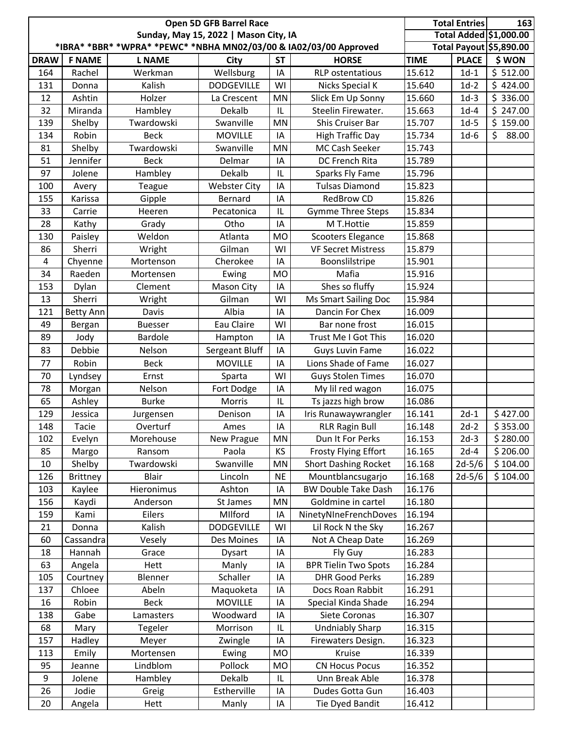|                |                 |                                                                   | Open 5D GFB Barrel Race               |           | <b>Total Entries</b>        | 163         |              |                         |
|----------------|-----------------|-------------------------------------------------------------------|---------------------------------------|-----------|-----------------------------|-------------|--------------|-------------------------|
|                |                 |                                                                   | Sunday, May 15, 2022   Mason City, IA |           |                             |             |              | Total Added \$1,000.00  |
|                |                 | *IBRA* *BBR* *WPRA* *PEWC* *NBHA MN02/03/00 & IA02/03/00 Approved |                                       |           |                             |             |              | Total Payout \$5,890.00 |
| <b>DRAW</b>    | <b>F NAME</b>   | <b>L NAME</b>                                                     | <b>City</b>                           | <b>ST</b> | <b>HORSE</b>                | <b>TIME</b> | <b>PLACE</b> | \$ WON                  |
| 164            | Rachel          | Werkman                                                           | Wellsburg                             | IA        | <b>RLP</b> ostentatious     | 15.612      | $1d-1$       | \$512.00                |
| 131            | Donna           | Kalish                                                            | <b>DODGEVILLE</b>                     | WI        | Nicks Special K             | 15.640      | $1d-2$       | \$424.00                |
| 12             | Ashtin          | Holzer                                                            | La Crescent                           | MN        | Slick Em Up Sonny           | 15.660      | $1d-3$       | \$336.00                |
| 32             | Miranda         | Hambley                                                           | Dekalb                                | L         | Steelin Firewater.          | 15.663      | $1d-4$       | \$247.00                |
| 139            | Shelby          | Twardowski                                                        | Swanville                             | MN        | Shis Cruiser Bar            | 15.707      | $1d-5$       | \$159.00                |
| 134            | Robin           | <b>Beck</b>                                                       | <b>MOVILLE</b>                        | IA        | <b>High Traffic Day</b>     | 15.734      | $1d-6$       | \$<br>88.00             |
| 81             | Shelby          | Twardowski                                                        | Swanville                             | MN        | MC Cash Seeker              | 15.743      |              |                         |
| 51             | Jennifer        | <b>Beck</b>                                                       | Delmar                                | IA        | DC French Rita              | 15.789      |              |                         |
| 97             | Jolene          | Hambley                                                           | Dekalb                                | IL        | Sparks Fly Fame             | 15.796      |              |                         |
| 100            | Avery           | Teague                                                            | <b>Webster City</b>                   | IA        | <b>Tulsas Diamond</b>       | 15.823      |              |                         |
| 155            | Karissa         | Gipple                                                            | Bernard                               | IA        | <b>RedBrow CD</b>           | 15.826      |              |                         |
| 33             | Carrie          | Heeren                                                            | Pecatonica                            | IL        | <b>Gymme Three Steps</b>    | 15.834      |              |                         |
| 28             | Kathy           | Grady                                                             | Otho                                  | IA        | M T.Hottie                  | 15.859      |              |                         |
| 130            | Paisley         | Weldon                                                            | Atlanta                               | <b>MO</b> | <b>Scooters Elegance</b>    | 15.868      |              |                         |
| 86             | Sherri          | Wright                                                            | Gilman                                | WI        | <b>VF Secret Mistress</b>   | 15.879      |              |                         |
| $\overline{4}$ | Chyenne         | Mortenson                                                         | Cherokee                              | IA        | Boonslilstripe              | 15.901      |              |                         |
| 34             | Raeden          | Mortensen                                                         | Ewing                                 | <b>MO</b> | Mafia                       | 15.916      |              |                         |
| 153            | Dylan           | Clement                                                           | Mason City                            | IA        | Shes so fluffy              | 15.924      |              |                         |
| 13             | Sherri          | Wright                                                            | Gilman                                | WI        | Ms Smart Sailing Doc        | 15.984      |              |                         |
| 121            | Betty Ann       | Davis                                                             | Albia                                 | IA        | Dancin For Chex             | 16.009      |              |                         |
| 49             | Bergan          | <b>Buesser</b>                                                    | Eau Claire                            | WI        | Bar none frost              | 16.015      |              |                         |
| 89             | Jody            | <b>Bardole</b>                                                    | Hampton                               | IA        | Trust Me I Got This         | 16.020      |              |                         |
| 83             | Debbie          | Nelson                                                            | Sergeant Bluff                        | IA        | Guys Luvin Fame             | 16.022      |              |                         |
| 77             | Robin           | <b>Beck</b>                                                       | <b>MOVILLE</b>                        | IA        | Lions Shade of Fame         | 16.027      |              |                         |
| 70             | Lyndsey         | Ernst                                                             | Sparta                                | WI        | <b>Guys Stolen Times</b>    | 16.070      |              |                         |
| 78             | Morgan          | Nelson                                                            | Fort Dodge                            | IA        | My lil red wagon            | 16.075      |              |                         |
| 65             | Ashley          | <b>Burke</b>                                                      | Morris                                | IL        | Ts jazzs high brow          | 16.086      |              |                         |
| 129            | Jessica         | Jurgensen                                                         | Denison                               | IA        | Iris Runawaywrangler        | 16.141      | $2d-1$       | \$427.00                |
| 148            | Tacie           | Overturf                                                          | Ames                                  | IA        | <b>RLR Ragin Bull</b>       | 16.148      | $2d-2$       | $\overline{\$}$ 353.00  |
| 102            | Evelyn          | Morehouse                                                         | New Prague                            | ΜN        | Dun It For Perks            | 16.153      | $2d-3$       | \$280.00                |
| 85             | Margo           | Ransom                                                            | Paola                                 | KS        | <b>Frosty Flying Effort</b> | 16.165      | $2d-4$       | \$206.00                |
| 10             | Shelby          | Twardowski                                                        | Swanville                             | MN        | <b>Short Dashing Rocket</b> | 16.168      | $2d-5/6$     | \$104.00                |
| 126            | <b>Brittney</b> | <b>Blair</b>                                                      | Lincoln                               | <b>NE</b> | Mountblancsugarjo           | 16.168      | $2d-5/6$     | \$104.00                |
| 103            | Kaylee          | Hieronimus                                                        | Ashton                                | IA        | <b>BW Double Take Dash</b>  | 16.176      |              |                         |
| 156            | Kaydi           | Anderson                                                          | St James                              | MN        | Goldmine in cartel          | 16.180      |              |                         |
| 159            | Kami            | Eilers                                                            | MIlford                               | IA        | NinetyNIneFrenchDoves       | 16.194      |              |                         |
| 21             | Donna           | Kalish                                                            | <b>DODGEVILLE</b>                     | WI        | Lil Rock N the Sky          | 16.267      |              |                         |
| 60             | Cassandra       | Vesely                                                            | Des Moines                            | IA        | Not A Cheap Date            | 16.269      |              |                         |
| 18             | Hannah          | Grace                                                             | Dysart                                | IA        | Fly Guy                     | 16.283      |              |                         |
| 63             | Angela          | Hett                                                              | Manly                                 | IA        | <b>BPR Tielin Two Spots</b> | 16.284      |              |                         |
| 105            | Courtney        | Blenner                                                           | Schaller                              | IA        | <b>DHR Good Perks</b>       | 16.289      |              |                         |
| 137            | Chloee          | Abeln                                                             | Maquoketa                             | IA        | Docs Roan Rabbit            | 16.291      |              |                         |
| 16             | Robin           | <b>Beck</b>                                                       | <b>MOVILLE</b>                        | IA        | Special Kinda Shade         | 16.294      |              |                         |
| 138            | Gabe            | Lamasters                                                         | Woodward                              | IA        | Siete Coronas               | 16.307      |              |                         |
| 68             | Mary            | Tegeler                                                           | Morrison                              | IL        | <b>Undniably Sharp</b>      | 16.315      |              |                         |
| 157            | Hadley          | Meyer                                                             | Zwingle                               | IA        | Firewaters Design.          | 16.323      |              |                         |
| 113            | Emily           | Mortensen                                                         | Ewing                                 | MO        | Kruise                      | 16.339      |              |                         |
| 95             | Jeanne          | Lindblom                                                          | Pollock                               | <b>MO</b> | <b>CN Hocus Pocus</b>       | 16.352      |              |                         |
| 9              | Jolene          | Hambley                                                           | Dekalb                                | IL        | Unn Break Able              | 16.378      |              |                         |
| 26             | Jodie           | Greig                                                             | Estherville                           | IA        | Dudes Gotta Gun             | 16.403      |              |                         |
| 20             | Angela          | Hett                                                              | Manly                                 | IA        | Tie Dyed Bandit             | 16.412      |              |                         |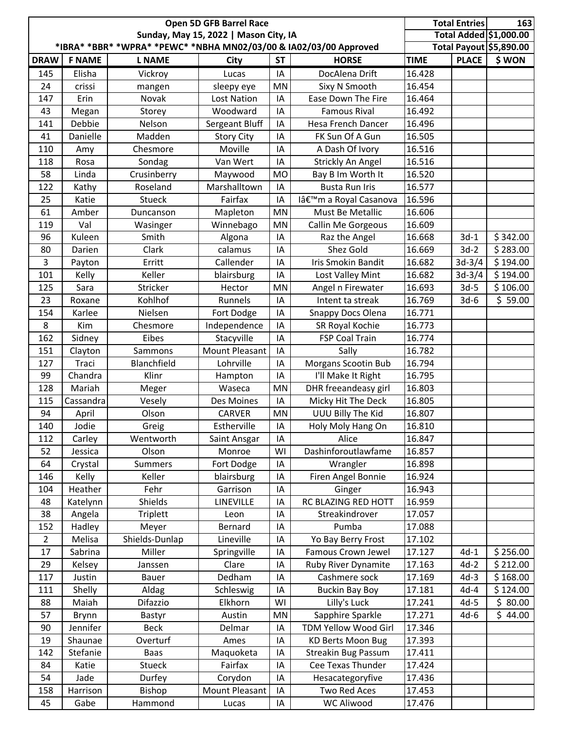|                |               |                                                                   | Open 5D GFB Barrel Race               |           |                                     |             | <b>Total Entries</b> | 163                     |
|----------------|---------------|-------------------------------------------------------------------|---------------------------------------|-----------|-------------------------------------|-------------|----------------------|-------------------------|
|                |               |                                                                   | Sunday, May 15, 2022   Mason City, IA |           |                                     |             |                      | Total Added \$1,000.00  |
|                |               | *IBRA* *BBR* *WPRA* *PEWC* *NBHA MN02/03/00 & IA02/03/00 Approved |                                       |           |                                     |             |                      | Total Payout \$5,890.00 |
| <b>DRAW</b>    | <b>F NAME</b> | <b>L NAME</b>                                                     | City                                  | <b>ST</b> | <b>HORSE</b>                        | <b>TIME</b> | <b>PLACE</b>         | \$WON                   |
| 145            | Elisha        | Vickroy                                                           | Lucas                                 | IA        | DocAlena Drift                      | 16.428      |                      |                         |
| 24             | crissi        | mangen                                                            | sleepy eye                            | MN        | Sixy N Smooth                       | 16.454      |                      |                         |
| 147            | Erin          | Novak                                                             | Lost Nation                           | IA        | Ease Down The Fire                  | 16.464      |                      |                         |
| 43             | Megan         | Storey                                                            | Woodward                              | IA        | <b>Famous Rival</b>                 | 16.492      |                      |                         |
| 141            | Debbie        | Nelson                                                            | Sergeant Bluff                        | IA        | Hesa French Dancer                  | 16.496      |                      |                         |
| 41             | Danielle      | Madden                                                            | <b>Story City</b>                     | IA        | FK Sun Of A Gun                     | 16.505      |                      |                         |
| 110            | Amy           | Chesmore                                                          | Moville                               | IA        | A Dash Of Ivory                     | 16.516      |                      |                         |
| 118            | Rosa          | Sondag                                                            | Van Wert                              | IA        | Strickly An Angel                   | 16.516      |                      |                         |
| 58             | Linda         | Crusinberry                                                       | Maywood                               | <b>MO</b> | Bay B Im Worth It                   | 16.520      |                      |                         |
| 122            | Kathy         | Roseland                                                          | Marshalltown                          | IA        | <b>Busta Run Iris</b>               | 16.577      |                      |                         |
| 25             | Katie         | <b>Stueck</b>                                                     | Fairfax                               | IA        | Iâ€ <sup>™</sup> m a Royal Casanova | 16.596      |                      |                         |
| 61             | Amber         | Duncanson                                                         | Mapleton                              | <b>MN</b> | Must Be Metallic                    | 16.606      |                      |                         |
| 119            | Val           | Wasinger                                                          | Winnebago                             | MN        | Callin Me Gorgeous                  | 16.609      |                      |                         |
| 96             | Kuleen        | Smith                                                             | Algona                                | IA        | Raz the Angel                       | 16.668      | $3d-1$               | \$342.00                |
| 80             | Darien        | Clark                                                             | calamus                               | IA        | Shez Gold                           | 16.669      | $3d-2$               | \$283.00                |
| $\overline{3}$ | Payton        | Erritt                                                            | Callender                             | IA        | Iris Smokin Bandit                  | 16.682      | $3d-3/4$             | \$194.00                |
| 101            | Kelly         | Keller                                                            | blairsburg                            | IA        | Lost Valley Mint                    | 16.682      | $3d-3/4$             | \$194.00                |
| 125            | Sara          | Stricker                                                          | Hector                                | MN        | Angel n Firewater                   | 16.693      | $3d-5$               | \$106.00                |
| 23             | Roxane        | Kohlhof                                                           | Runnels                               | IA        | Intent ta streak                    | 16.769      | $3d-6$               | \$59.00                 |
| 154            | Karlee        | Nielsen                                                           | Fort Dodge                            | IA        | Snappy Docs Olena                   | 16.771      |                      |                         |
| 8              | Kim           | Chesmore                                                          | Independence                          | IA        | SR Royal Kochie                     | 16.773      |                      |                         |
| 162            | Sidney        | Eibes                                                             | Stacyville                            | IA        | FSP Coal Train                      | 16.774      |                      |                         |
| 151            | Clayton       | Sammons                                                           | <b>Mount Pleasant</b>                 | IA        | Sally                               | 16.782      |                      |                         |
| 127            | Traci         | Blanchfield                                                       | Lohrville                             | IA        | Morgans Scootin Bub                 | 16.794      |                      |                         |
| 99             | Chandra       | Klinr                                                             | Hampton                               | IA        | I'll Make It Right                  | 16.795      |                      |                         |
| 128            | Mariah        | Meger                                                             | Waseca                                | MN        | DHR freeandeasy girl                | 16.803      |                      |                         |
| 115            | Cassandra     | Vesely                                                            | Des Moines                            | IA        | Micky Hit The Deck                  | 16.805      |                      |                         |
| 94             | April         | Olson                                                             | CARVER                                | MN        | UUU Billy The Kid                   | 16.807      |                      |                         |
| 140            | Jodie         | Greig                                                             | Estherville                           | IA        | Holy Moly Hang On                   | 16.810      |                      |                         |
| 112            | Carley        | Wentworth                                                         | Saint Ansgar                          | IA        | Alice                               | 16.847      |                      |                         |
| 52             | Jessica       | Olson                                                             | Monroe                                | WI        | Dashinforoutlawfame                 | 16.857      |                      |                         |
| 64             | Crystal       | <b>Summers</b>                                                    | Fort Dodge                            | IA        | Wrangler                            | 16.898      |                      |                         |
| 146            | Kelly         | Keller                                                            | blairsburg                            | IA        | Firen Angel Bonnie                  | 16.924      |                      |                         |
| 104            | Heather       | Fehr                                                              | Garrison                              | IA        | Ginger                              | 16.943      |                      |                         |
| 48             | Katelynn      | Shields                                                           | LINEVILLE                             | IA        | RC BLAZING RED HOTT                 | 16.959      |                      |                         |
| 38             | Angela        | <b>Triplett</b>                                                   | Leon                                  | IA        | Streakindrover                      | 17.057      |                      |                         |
| 152            | Hadley        | Meyer                                                             | Bernard                               | IA        | Pumba                               | 17.088      |                      |                         |
| $\overline{2}$ | Melisa        | Shields-Dunlap                                                    | Lineville                             | IA        | Yo Bay Berry Frost                  | 17.102      |                      |                         |
| 17             | Sabrina       | Miller                                                            | Springville                           | IA        | Famous Crown Jewel                  | 17.127      | $4d-1$               | \$256.00                |
| 29             | Kelsey        | Janssen                                                           | Clare                                 | IA        | Ruby River Dynamite                 | 17.163      | $4d-2$               | \$212.00                |
| 117            | Justin        | Bauer                                                             | Dedham                                | IA        | Cashmere sock                       | 17.169      | $4d-3$               | \$168.00                |
| 111            | Shelly        | Aldag                                                             | Schleswig                             | IA        | <b>Buckin Bay Boy</b>               | 17.181      | $4d-4$               | \$124.00                |
| 88             | Maiah         | Difazzio                                                          | Elkhorn                               | WI        | Lilly's Luck                        | 17.241      | $4d-5$               | \$80.00                 |
| 57             | Brynn         | Bastyr                                                            | Austin                                | MN        | Sapphire Sparkle                    | 17.271      | $4d-6$               | \$44.00                 |
| 90             | Jennifer      | <b>Beck</b>                                                       | Delmar                                | IA        | TDM Yellow Wood Girl                | 17.346      |                      |                         |
| 19             | Shaunae       | Overturf                                                          | Ames                                  | IA        | <b>KD Berts Moon Bug</b>            | 17.393      |                      |                         |
| 142            | Stefanie      | Baas                                                              | Maquoketa                             | IA        | <b>Streakin Bug Passum</b>          | 17.411      |                      |                         |
| 84             | Katie         | Stueck                                                            | Fairfax                               | IA        | Cee Texas Thunder                   | 17.424      |                      |                         |
| 54             | Jade          | Durfey                                                            | Corydon                               | IA        | Hesacategoryfive                    | 17.436      |                      |                         |
| 158            | Harrison      | Bishop                                                            | Mount Pleasant                        | IA        | <b>Two Red Aces</b>                 | 17.453      |                      |                         |
| 45             | Gabe          | Hammond                                                           | Lucas                                 | IA        | <b>WC Aliwood</b>                   | 17.476      |                      |                         |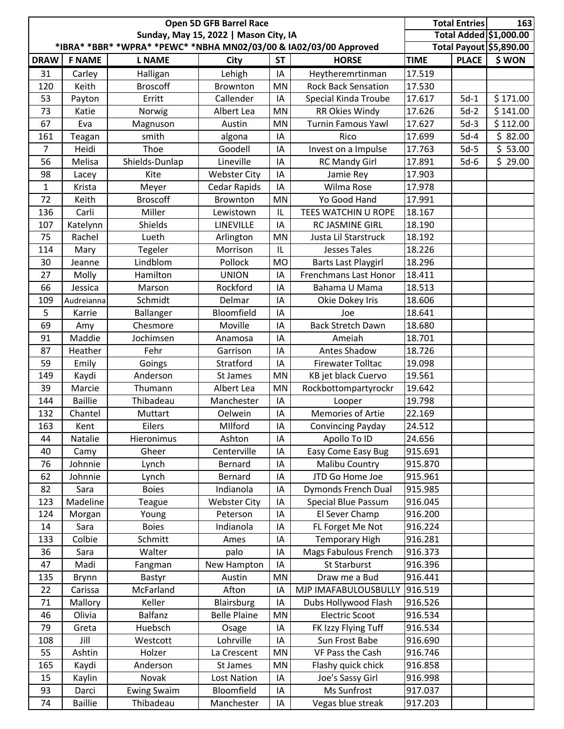| Total Added \$1,000.00<br>Sunday, May 15, 2022   Mason City, IA<br>*IBRA* *BBR* *WPRA* *PEWC* *NBHA MN02/03/00 & IA02/03/00 Approved<br>Total Payout \$5,890.00<br>\$WON<br><b>F NAME</b><br><b>ST</b><br><b>HORSE</b><br><b>TIME</b><br><b>PLACE</b><br><b>DRAW</b><br><b>L NAME</b><br><b>City</b><br>17.519<br>31<br>Carley<br>Halligan<br>Lehigh<br>IA<br>Heytheremrtinman<br><b>Broscoff</b><br>120<br><b>Rock Back Sensation</b><br>17.530<br>Keith<br>Brownton<br>MN<br>17.617<br>53<br>Erritt<br>Callender<br>Special Kinda Troube<br>$5d-1$<br>\$171.00<br>Payton<br>IA<br>\$141.00<br>17.626<br>RR Okies Windy<br>$5d-2$<br>73<br>Albert Lea<br>MN<br>Katie<br>Norwig<br>\$112.00<br><b>Turnin Famous Yawl</b><br>17.627<br>$5d-3$<br>67<br>Eva<br>Austin<br>MN<br>Magnuson<br>\$82.00<br>smith<br>17.699<br>$5d-4$<br>161<br>algona<br>IA<br>Rico<br>Teagan<br>$\overline{5}$ 53.00<br>Thoe<br>$\overline{7}$<br>Goodell<br>17.763<br>$5d-5$<br>Heidi<br>Invest on a Impulse<br>IA<br>\$29.00<br>17.891<br>56<br>Melisa<br>Shields-Dunlap<br>Lineville<br>$5d-6$<br>IA<br><b>RC Mandy Girl</b><br>98<br><b>Webster City</b><br>17.903<br>Kite<br>IA<br>Jamie Rey<br>Lacey<br>17.978<br>Cedar Rapids<br>IA<br>Wilma Rose<br>$\mathbf{1}$<br>Krista<br>Meyer<br>17.991<br>72<br><b>Broscoff</b><br>MN<br>Yo Good Hand<br>Keith<br>Brownton<br>Miller<br>Carli<br>TEES WATCHIN U ROPE<br>18.167<br>136<br>Lewistown<br>IL<br>Shields<br>LINEVILLE<br>RC JASMINE GIRL<br>18.190<br>107<br>Katelynn<br>IA<br>Justa Lil Starstruck<br>18.192<br>75<br>Rachel<br>Lueth<br>MN<br>Arlington<br>18.226<br>Morrison<br><b>Jesses Tales</b><br>114<br>Mary<br>Tegeler<br>IL<br>Lindblom<br>18.296<br>Pollock<br><b>MO</b><br><b>Barts Last Playgirl</b><br>30<br>Jeanne<br>Hamilton<br><b>UNION</b><br>18.411<br>27<br>Molly<br>IA<br><b>Frenchmans Last Honor</b><br>18.513<br>66<br>Rockford<br>Jessica<br>Marson<br>IA<br>Bahama U Mama<br>Schmidt<br>18.606<br>Delmar<br>109<br>Audreianna<br>IA<br>Okie Dokey Iris<br>Bloomfield<br>18.641<br>5<br>Karrie<br>Ballanger<br>IA<br>Joe<br>69<br>Chesmore<br>Moville<br>18.680<br><b>Back Stretch Dawn</b><br>IA<br>Amy<br>Maddie<br>18.701<br>91<br>Jochimsen<br>IA<br>Ameiah<br>Anamosa<br>Antes Shadow<br>87<br>Fehr<br>18.726<br>Heather<br>Garrison<br>IA<br>19.098<br>59<br>Emily<br>Stratford<br><b>Firewater Tolltac</b><br>Goings<br>IA<br>19.561<br>MN<br>KB jet black Cuervo<br>149<br>Kaydi<br>Anderson<br>St James<br>Marcie<br>Thumann<br>Albert Lea<br>MN<br>Rockbottompartyrockr<br>19.642<br>39<br><b>Baillie</b><br>Thibadeau<br>Manchester<br>19.798<br>144<br>IA<br>Looper<br>Memories of Artie<br>22.169<br>132<br>Chantel<br>IA<br>Muttart<br>Oelwein<br>IA<br>24.512<br>163<br>MIlford<br>Kent<br>Eilers<br><b>Convincing Payday</b><br>Apollo To ID<br>24.656<br>44<br>Natalie<br>Hieronimus<br>Ashton<br>IA<br>915.691<br>Centerville<br>Easy Come Easy Bug<br>40<br>Gheer<br>IA<br>Camy<br>915.870<br>76<br>Johnnie<br>Bernard<br>Malibu Country<br>Lynch<br>ΙA<br>JTD Go Home Joe<br>Johnnie<br>Bernard<br>915.961<br>62<br>Lynch<br>IA<br>915.985<br>82<br>Sara<br><b>Boies</b><br>Indianola<br>Dymonds French Dual<br>ΙA<br>Madeline<br>Special Blue Passum<br>916.045<br>123<br><b>Webster City</b><br><b>Teague</b><br>IA<br>El Sever Champ<br>916.200<br>124<br>Morgan<br>Peterson<br>Young<br>ΙA<br>Indianola<br>FL Forget Me Not<br>916.224<br>Sara<br><b>Boies</b><br>14<br>ΙA<br>Colbie<br><b>Temporary High</b><br>916.281<br>133<br>Schmitt<br>IA<br>Ames<br>Mags Fabulous French<br>916.373<br>36<br>Walter<br>Sara<br>palo<br>IA<br>Madi<br>St Starburst<br>916.396<br>47<br>New Hampton<br>IA<br>Fangman<br>916.441<br>Draw me a Bud<br>135<br>Austin<br>MN<br>Brynn<br>Bastyr<br>916.519<br>McFarland<br>Afton<br>MJP IMAFABULOUSBULLY<br>22<br>Carissa<br>IA<br>Keller<br>Dubs Hollywood Flash<br>916.526<br>71<br>Mallory<br>Blairsburg<br>IA<br><b>Balfanz</b><br><b>Electric Scoot</b><br>Olivia<br><b>Belle Plaine</b><br>MN<br>916.534<br>46<br>Huebsch<br>916.534<br>79<br>IA<br>FK Izzy Flying Tuff<br>Greta<br>Osage<br>916.690<br>108<br>Jill<br>Lohrville<br>Sun Frost Babe<br>Westcott<br>ΙA<br>916.746<br>Ashtin<br>MN<br>VF Pass the Cash<br>55<br>Holzer<br>La Crescent<br>Flashy quick chick<br>916.858<br>165<br>Anderson<br>St James<br>MN<br>Kaydi<br>916.998<br>Novak<br><b>Lost Nation</b><br>Joe's Sassy Girl<br>15<br>Kaylin<br>IA<br>917.037<br><b>Ewing Swaim</b><br>Bloomfield<br>Ms Sunfrost<br>93<br>IA<br>Darci |    |                |           | Open 5D GFB Barrel Race |    |                   |         | <b>Total Entries</b> | 163 |
|----------------------------------------------------------------------------------------------------------------------------------------------------------------------------------------------------------------------------------------------------------------------------------------------------------------------------------------------------------------------------------------------------------------------------------------------------------------------------------------------------------------------------------------------------------------------------------------------------------------------------------------------------------------------------------------------------------------------------------------------------------------------------------------------------------------------------------------------------------------------------------------------------------------------------------------------------------------------------------------------------------------------------------------------------------------------------------------------------------------------------------------------------------------------------------------------------------------------------------------------------------------------------------------------------------------------------------------------------------------------------------------------------------------------------------------------------------------------------------------------------------------------------------------------------------------------------------------------------------------------------------------------------------------------------------------------------------------------------------------------------------------------------------------------------------------------------------------------------------------------------------------------------------------------------------------------------------------------------------------------------------------------------------------------------------------------------------------------------------------------------------------------------------------------------------------------------------------------------------------------------------------------------------------------------------------------------------------------------------------------------------------------------------------------------------------------------------------------------------------------------------------------------------------------------------------------------------------------------------------------------------------------------------------------------------------------------------------------------------------------------------------------------------------------------------------------------------------------------------------------------------------------------------------------------------------------------------------------------------------------------------------------------------------------------------------------------------------------------------------------------------------------------------------------------------------------------------------------------------------------------------------------------------------------------------------------------------------------------------------------------------------------------------------------------------------------------------------------------------------------------------------------------------------------------------------------------------------------------------------------------------------------------------------------------------------------------------------------------------------------------------------------------------------------------------------------------------------------------------------------------------------------------------------------------------------------------------------------------------------------------------------------------------------------------------------------------------------------------------------------------------------------------------------------------------------------------------------------------------------------------------------------------------------------------------------------------------------------------------------------------------------------------------------------------------------------------------------------------------------------------------------------------------------|----|----------------|-----------|-------------------------|----|-------------------|---------|----------------------|-----|
|                                                                                                                                                                                                                                                                                                                                                                                                                                                                                                                                                                                                                                                                                                                                                                                                                                                                                                                                                                                                                                                                                                                                                                                                                                                                                                                                                                                                                                                                                                                                                                                                                                                                                                                                                                                                                                                                                                                                                                                                                                                                                                                                                                                                                                                                                                                                                                                                                                                                                                                                                                                                                                                                                                                                                                                                                                                                                                                                                                                                                                                                                                                                                                                                                                                                                                                                                                                                                                                                                                                                                                                                                                                                                                                                                                                                                                                                                                                                                                                                                                                                                                                                                                                                                                                                                                                                                                                                                                                                                                                                        |    |                |           |                         |    |                   |         |                      |     |
|                                                                                                                                                                                                                                                                                                                                                                                                                                                                                                                                                                                                                                                                                                                                                                                                                                                                                                                                                                                                                                                                                                                                                                                                                                                                                                                                                                                                                                                                                                                                                                                                                                                                                                                                                                                                                                                                                                                                                                                                                                                                                                                                                                                                                                                                                                                                                                                                                                                                                                                                                                                                                                                                                                                                                                                                                                                                                                                                                                                                                                                                                                                                                                                                                                                                                                                                                                                                                                                                                                                                                                                                                                                                                                                                                                                                                                                                                                                                                                                                                                                                                                                                                                                                                                                                                                                                                                                                                                                                                                                                        |    |                |           |                         |    |                   |         |                      |     |
|                                                                                                                                                                                                                                                                                                                                                                                                                                                                                                                                                                                                                                                                                                                                                                                                                                                                                                                                                                                                                                                                                                                                                                                                                                                                                                                                                                                                                                                                                                                                                                                                                                                                                                                                                                                                                                                                                                                                                                                                                                                                                                                                                                                                                                                                                                                                                                                                                                                                                                                                                                                                                                                                                                                                                                                                                                                                                                                                                                                                                                                                                                                                                                                                                                                                                                                                                                                                                                                                                                                                                                                                                                                                                                                                                                                                                                                                                                                                                                                                                                                                                                                                                                                                                                                                                                                                                                                                                                                                                                                                        |    |                |           |                         |    |                   |         |                      |     |
|                                                                                                                                                                                                                                                                                                                                                                                                                                                                                                                                                                                                                                                                                                                                                                                                                                                                                                                                                                                                                                                                                                                                                                                                                                                                                                                                                                                                                                                                                                                                                                                                                                                                                                                                                                                                                                                                                                                                                                                                                                                                                                                                                                                                                                                                                                                                                                                                                                                                                                                                                                                                                                                                                                                                                                                                                                                                                                                                                                                                                                                                                                                                                                                                                                                                                                                                                                                                                                                                                                                                                                                                                                                                                                                                                                                                                                                                                                                                                                                                                                                                                                                                                                                                                                                                                                                                                                                                                                                                                                                                        |    |                |           |                         |    |                   |         |                      |     |
|                                                                                                                                                                                                                                                                                                                                                                                                                                                                                                                                                                                                                                                                                                                                                                                                                                                                                                                                                                                                                                                                                                                                                                                                                                                                                                                                                                                                                                                                                                                                                                                                                                                                                                                                                                                                                                                                                                                                                                                                                                                                                                                                                                                                                                                                                                                                                                                                                                                                                                                                                                                                                                                                                                                                                                                                                                                                                                                                                                                                                                                                                                                                                                                                                                                                                                                                                                                                                                                                                                                                                                                                                                                                                                                                                                                                                                                                                                                                                                                                                                                                                                                                                                                                                                                                                                                                                                                                                                                                                                                                        |    |                |           |                         |    |                   |         |                      |     |
|                                                                                                                                                                                                                                                                                                                                                                                                                                                                                                                                                                                                                                                                                                                                                                                                                                                                                                                                                                                                                                                                                                                                                                                                                                                                                                                                                                                                                                                                                                                                                                                                                                                                                                                                                                                                                                                                                                                                                                                                                                                                                                                                                                                                                                                                                                                                                                                                                                                                                                                                                                                                                                                                                                                                                                                                                                                                                                                                                                                                                                                                                                                                                                                                                                                                                                                                                                                                                                                                                                                                                                                                                                                                                                                                                                                                                                                                                                                                                                                                                                                                                                                                                                                                                                                                                                                                                                                                                                                                                                                                        |    |                |           |                         |    |                   |         |                      |     |
|                                                                                                                                                                                                                                                                                                                                                                                                                                                                                                                                                                                                                                                                                                                                                                                                                                                                                                                                                                                                                                                                                                                                                                                                                                                                                                                                                                                                                                                                                                                                                                                                                                                                                                                                                                                                                                                                                                                                                                                                                                                                                                                                                                                                                                                                                                                                                                                                                                                                                                                                                                                                                                                                                                                                                                                                                                                                                                                                                                                                                                                                                                                                                                                                                                                                                                                                                                                                                                                                                                                                                                                                                                                                                                                                                                                                                                                                                                                                                                                                                                                                                                                                                                                                                                                                                                                                                                                                                                                                                                                                        |    |                |           |                         |    |                   |         |                      |     |
|                                                                                                                                                                                                                                                                                                                                                                                                                                                                                                                                                                                                                                                                                                                                                                                                                                                                                                                                                                                                                                                                                                                                                                                                                                                                                                                                                                                                                                                                                                                                                                                                                                                                                                                                                                                                                                                                                                                                                                                                                                                                                                                                                                                                                                                                                                                                                                                                                                                                                                                                                                                                                                                                                                                                                                                                                                                                                                                                                                                                                                                                                                                                                                                                                                                                                                                                                                                                                                                                                                                                                                                                                                                                                                                                                                                                                                                                                                                                                                                                                                                                                                                                                                                                                                                                                                                                                                                                                                                                                                                                        |    |                |           |                         |    |                   |         |                      |     |
|                                                                                                                                                                                                                                                                                                                                                                                                                                                                                                                                                                                                                                                                                                                                                                                                                                                                                                                                                                                                                                                                                                                                                                                                                                                                                                                                                                                                                                                                                                                                                                                                                                                                                                                                                                                                                                                                                                                                                                                                                                                                                                                                                                                                                                                                                                                                                                                                                                                                                                                                                                                                                                                                                                                                                                                                                                                                                                                                                                                                                                                                                                                                                                                                                                                                                                                                                                                                                                                                                                                                                                                                                                                                                                                                                                                                                                                                                                                                                                                                                                                                                                                                                                                                                                                                                                                                                                                                                                                                                                                                        |    |                |           |                         |    |                   |         |                      |     |
|                                                                                                                                                                                                                                                                                                                                                                                                                                                                                                                                                                                                                                                                                                                                                                                                                                                                                                                                                                                                                                                                                                                                                                                                                                                                                                                                                                                                                                                                                                                                                                                                                                                                                                                                                                                                                                                                                                                                                                                                                                                                                                                                                                                                                                                                                                                                                                                                                                                                                                                                                                                                                                                                                                                                                                                                                                                                                                                                                                                                                                                                                                                                                                                                                                                                                                                                                                                                                                                                                                                                                                                                                                                                                                                                                                                                                                                                                                                                                                                                                                                                                                                                                                                                                                                                                                                                                                                                                                                                                                                                        |    |                |           |                         |    |                   |         |                      |     |
|                                                                                                                                                                                                                                                                                                                                                                                                                                                                                                                                                                                                                                                                                                                                                                                                                                                                                                                                                                                                                                                                                                                                                                                                                                                                                                                                                                                                                                                                                                                                                                                                                                                                                                                                                                                                                                                                                                                                                                                                                                                                                                                                                                                                                                                                                                                                                                                                                                                                                                                                                                                                                                                                                                                                                                                                                                                                                                                                                                                                                                                                                                                                                                                                                                                                                                                                                                                                                                                                                                                                                                                                                                                                                                                                                                                                                                                                                                                                                                                                                                                                                                                                                                                                                                                                                                                                                                                                                                                                                                                                        |    |                |           |                         |    |                   |         |                      |     |
|                                                                                                                                                                                                                                                                                                                                                                                                                                                                                                                                                                                                                                                                                                                                                                                                                                                                                                                                                                                                                                                                                                                                                                                                                                                                                                                                                                                                                                                                                                                                                                                                                                                                                                                                                                                                                                                                                                                                                                                                                                                                                                                                                                                                                                                                                                                                                                                                                                                                                                                                                                                                                                                                                                                                                                                                                                                                                                                                                                                                                                                                                                                                                                                                                                                                                                                                                                                                                                                                                                                                                                                                                                                                                                                                                                                                                                                                                                                                                                                                                                                                                                                                                                                                                                                                                                                                                                                                                                                                                                                                        |    |                |           |                         |    |                   |         |                      |     |
|                                                                                                                                                                                                                                                                                                                                                                                                                                                                                                                                                                                                                                                                                                                                                                                                                                                                                                                                                                                                                                                                                                                                                                                                                                                                                                                                                                                                                                                                                                                                                                                                                                                                                                                                                                                                                                                                                                                                                                                                                                                                                                                                                                                                                                                                                                                                                                                                                                                                                                                                                                                                                                                                                                                                                                                                                                                                                                                                                                                                                                                                                                                                                                                                                                                                                                                                                                                                                                                                                                                                                                                                                                                                                                                                                                                                                                                                                                                                                                                                                                                                                                                                                                                                                                                                                                                                                                                                                                                                                                                                        |    |                |           |                         |    |                   |         |                      |     |
|                                                                                                                                                                                                                                                                                                                                                                                                                                                                                                                                                                                                                                                                                                                                                                                                                                                                                                                                                                                                                                                                                                                                                                                                                                                                                                                                                                                                                                                                                                                                                                                                                                                                                                                                                                                                                                                                                                                                                                                                                                                                                                                                                                                                                                                                                                                                                                                                                                                                                                                                                                                                                                                                                                                                                                                                                                                                                                                                                                                                                                                                                                                                                                                                                                                                                                                                                                                                                                                                                                                                                                                                                                                                                                                                                                                                                                                                                                                                                                                                                                                                                                                                                                                                                                                                                                                                                                                                                                                                                                                                        |    |                |           |                         |    |                   |         |                      |     |
|                                                                                                                                                                                                                                                                                                                                                                                                                                                                                                                                                                                                                                                                                                                                                                                                                                                                                                                                                                                                                                                                                                                                                                                                                                                                                                                                                                                                                                                                                                                                                                                                                                                                                                                                                                                                                                                                                                                                                                                                                                                                                                                                                                                                                                                                                                                                                                                                                                                                                                                                                                                                                                                                                                                                                                                                                                                                                                                                                                                                                                                                                                                                                                                                                                                                                                                                                                                                                                                                                                                                                                                                                                                                                                                                                                                                                                                                                                                                                                                                                                                                                                                                                                                                                                                                                                                                                                                                                                                                                                                                        |    |                |           |                         |    |                   |         |                      |     |
|                                                                                                                                                                                                                                                                                                                                                                                                                                                                                                                                                                                                                                                                                                                                                                                                                                                                                                                                                                                                                                                                                                                                                                                                                                                                                                                                                                                                                                                                                                                                                                                                                                                                                                                                                                                                                                                                                                                                                                                                                                                                                                                                                                                                                                                                                                                                                                                                                                                                                                                                                                                                                                                                                                                                                                                                                                                                                                                                                                                                                                                                                                                                                                                                                                                                                                                                                                                                                                                                                                                                                                                                                                                                                                                                                                                                                                                                                                                                                                                                                                                                                                                                                                                                                                                                                                                                                                                                                                                                                                                                        |    |                |           |                         |    |                   |         |                      |     |
|                                                                                                                                                                                                                                                                                                                                                                                                                                                                                                                                                                                                                                                                                                                                                                                                                                                                                                                                                                                                                                                                                                                                                                                                                                                                                                                                                                                                                                                                                                                                                                                                                                                                                                                                                                                                                                                                                                                                                                                                                                                                                                                                                                                                                                                                                                                                                                                                                                                                                                                                                                                                                                                                                                                                                                                                                                                                                                                                                                                                                                                                                                                                                                                                                                                                                                                                                                                                                                                                                                                                                                                                                                                                                                                                                                                                                                                                                                                                                                                                                                                                                                                                                                                                                                                                                                                                                                                                                                                                                                                                        |    |                |           |                         |    |                   |         |                      |     |
|                                                                                                                                                                                                                                                                                                                                                                                                                                                                                                                                                                                                                                                                                                                                                                                                                                                                                                                                                                                                                                                                                                                                                                                                                                                                                                                                                                                                                                                                                                                                                                                                                                                                                                                                                                                                                                                                                                                                                                                                                                                                                                                                                                                                                                                                                                                                                                                                                                                                                                                                                                                                                                                                                                                                                                                                                                                                                                                                                                                                                                                                                                                                                                                                                                                                                                                                                                                                                                                                                                                                                                                                                                                                                                                                                                                                                                                                                                                                                                                                                                                                                                                                                                                                                                                                                                                                                                                                                                                                                                                                        |    |                |           |                         |    |                   |         |                      |     |
|                                                                                                                                                                                                                                                                                                                                                                                                                                                                                                                                                                                                                                                                                                                                                                                                                                                                                                                                                                                                                                                                                                                                                                                                                                                                                                                                                                                                                                                                                                                                                                                                                                                                                                                                                                                                                                                                                                                                                                                                                                                                                                                                                                                                                                                                                                                                                                                                                                                                                                                                                                                                                                                                                                                                                                                                                                                                                                                                                                                                                                                                                                                                                                                                                                                                                                                                                                                                                                                                                                                                                                                                                                                                                                                                                                                                                                                                                                                                                                                                                                                                                                                                                                                                                                                                                                                                                                                                                                                                                                                                        |    |                |           |                         |    |                   |         |                      |     |
|                                                                                                                                                                                                                                                                                                                                                                                                                                                                                                                                                                                                                                                                                                                                                                                                                                                                                                                                                                                                                                                                                                                                                                                                                                                                                                                                                                                                                                                                                                                                                                                                                                                                                                                                                                                                                                                                                                                                                                                                                                                                                                                                                                                                                                                                                                                                                                                                                                                                                                                                                                                                                                                                                                                                                                                                                                                                                                                                                                                                                                                                                                                                                                                                                                                                                                                                                                                                                                                                                                                                                                                                                                                                                                                                                                                                                                                                                                                                                                                                                                                                                                                                                                                                                                                                                                                                                                                                                                                                                                                                        |    |                |           |                         |    |                   |         |                      |     |
|                                                                                                                                                                                                                                                                                                                                                                                                                                                                                                                                                                                                                                                                                                                                                                                                                                                                                                                                                                                                                                                                                                                                                                                                                                                                                                                                                                                                                                                                                                                                                                                                                                                                                                                                                                                                                                                                                                                                                                                                                                                                                                                                                                                                                                                                                                                                                                                                                                                                                                                                                                                                                                                                                                                                                                                                                                                                                                                                                                                                                                                                                                                                                                                                                                                                                                                                                                                                                                                                                                                                                                                                                                                                                                                                                                                                                                                                                                                                                                                                                                                                                                                                                                                                                                                                                                                                                                                                                                                                                                                                        |    |                |           |                         |    |                   |         |                      |     |
|                                                                                                                                                                                                                                                                                                                                                                                                                                                                                                                                                                                                                                                                                                                                                                                                                                                                                                                                                                                                                                                                                                                                                                                                                                                                                                                                                                                                                                                                                                                                                                                                                                                                                                                                                                                                                                                                                                                                                                                                                                                                                                                                                                                                                                                                                                                                                                                                                                                                                                                                                                                                                                                                                                                                                                                                                                                                                                                                                                                                                                                                                                                                                                                                                                                                                                                                                                                                                                                                                                                                                                                                                                                                                                                                                                                                                                                                                                                                                                                                                                                                                                                                                                                                                                                                                                                                                                                                                                                                                                                                        |    |                |           |                         |    |                   |         |                      |     |
|                                                                                                                                                                                                                                                                                                                                                                                                                                                                                                                                                                                                                                                                                                                                                                                                                                                                                                                                                                                                                                                                                                                                                                                                                                                                                                                                                                                                                                                                                                                                                                                                                                                                                                                                                                                                                                                                                                                                                                                                                                                                                                                                                                                                                                                                                                                                                                                                                                                                                                                                                                                                                                                                                                                                                                                                                                                                                                                                                                                                                                                                                                                                                                                                                                                                                                                                                                                                                                                                                                                                                                                                                                                                                                                                                                                                                                                                                                                                                                                                                                                                                                                                                                                                                                                                                                                                                                                                                                                                                                                                        |    |                |           |                         |    |                   |         |                      |     |
|                                                                                                                                                                                                                                                                                                                                                                                                                                                                                                                                                                                                                                                                                                                                                                                                                                                                                                                                                                                                                                                                                                                                                                                                                                                                                                                                                                                                                                                                                                                                                                                                                                                                                                                                                                                                                                                                                                                                                                                                                                                                                                                                                                                                                                                                                                                                                                                                                                                                                                                                                                                                                                                                                                                                                                                                                                                                                                                                                                                                                                                                                                                                                                                                                                                                                                                                                                                                                                                                                                                                                                                                                                                                                                                                                                                                                                                                                                                                                                                                                                                                                                                                                                                                                                                                                                                                                                                                                                                                                                                                        |    |                |           |                         |    |                   |         |                      |     |
|                                                                                                                                                                                                                                                                                                                                                                                                                                                                                                                                                                                                                                                                                                                                                                                                                                                                                                                                                                                                                                                                                                                                                                                                                                                                                                                                                                                                                                                                                                                                                                                                                                                                                                                                                                                                                                                                                                                                                                                                                                                                                                                                                                                                                                                                                                                                                                                                                                                                                                                                                                                                                                                                                                                                                                                                                                                                                                                                                                                                                                                                                                                                                                                                                                                                                                                                                                                                                                                                                                                                                                                                                                                                                                                                                                                                                                                                                                                                                                                                                                                                                                                                                                                                                                                                                                                                                                                                                                                                                                                                        |    |                |           |                         |    |                   |         |                      |     |
|                                                                                                                                                                                                                                                                                                                                                                                                                                                                                                                                                                                                                                                                                                                                                                                                                                                                                                                                                                                                                                                                                                                                                                                                                                                                                                                                                                                                                                                                                                                                                                                                                                                                                                                                                                                                                                                                                                                                                                                                                                                                                                                                                                                                                                                                                                                                                                                                                                                                                                                                                                                                                                                                                                                                                                                                                                                                                                                                                                                                                                                                                                                                                                                                                                                                                                                                                                                                                                                                                                                                                                                                                                                                                                                                                                                                                                                                                                                                                                                                                                                                                                                                                                                                                                                                                                                                                                                                                                                                                                                                        |    |                |           |                         |    |                   |         |                      |     |
|                                                                                                                                                                                                                                                                                                                                                                                                                                                                                                                                                                                                                                                                                                                                                                                                                                                                                                                                                                                                                                                                                                                                                                                                                                                                                                                                                                                                                                                                                                                                                                                                                                                                                                                                                                                                                                                                                                                                                                                                                                                                                                                                                                                                                                                                                                                                                                                                                                                                                                                                                                                                                                                                                                                                                                                                                                                                                                                                                                                                                                                                                                                                                                                                                                                                                                                                                                                                                                                                                                                                                                                                                                                                                                                                                                                                                                                                                                                                                                                                                                                                                                                                                                                                                                                                                                                                                                                                                                                                                                                                        |    |                |           |                         |    |                   |         |                      |     |
|                                                                                                                                                                                                                                                                                                                                                                                                                                                                                                                                                                                                                                                                                                                                                                                                                                                                                                                                                                                                                                                                                                                                                                                                                                                                                                                                                                                                                                                                                                                                                                                                                                                                                                                                                                                                                                                                                                                                                                                                                                                                                                                                                                                                                                                                                                                                                                                                                                                                                                                                                                                                                                                                                                                                                                                                                                                                                                                                                                                                                                                                                                                                                                                                                                                                                                                                                                                                                                                                                                                                                                                                                                                                                                                                                                                                                                                                                                                                                                                                                                                                                                                                                                                                                                                                                                                                                                                                                                                                                                                                        |    |                |           |                         |    |                   |         |                      |     |
|                                                                                                                                                                                                                                                                                                                                                                                                                                                                                                                                                                                                                                                                                                                                                                                                                                                                                                                                                                                                                                                                                                                                                                                                                                                                                                                                                                                                                                                                                                                                                                                                                                                                                                                                                                                                                                                                                                                                                                                                                                                                                                                                                                                                                                                                                                                                                                                                                                                                                                                                                                                                                                                                                                                                                                                                                                                                                                                                                                                                                                                                                                                                                                                                                                                                                                                                                                                                                                                                                                                                                                                                                                                                                                                                                                                                                                                                                                                                                                                                                                                                                                                                                                                                                                                                                                                                                                                                                                                                                                                                        |    |                |           |                         |    |                   |         |                      |     |
|                                                                                                                                                                                                                                                                                                                                                                                                                                                                                                                                                                                                                                                                                                                                                                                                                                                                                                                                                                                                                                                                                                                                                                                                                                                                                                                                                                                                                                                                                                                                                                                                                                                                                                                                                                                                                                                                                                                                                                                                                                                                                                                                                                                                                                                                                                                                                                                                                                                                                                                                                                                                                                                                                                                                                                                                                                                                                                                                                                                                                                                                                                                                                                                                                                                                                                                                                                                                                                                                                                                                                                                                                                                                                                                                                                                                                                                                                                                                                                                                                                                                                                                                                                                                                                                                                                                                                                                                                                                                                                                                        |    |                |           |                         |    |                   |         |                      |     |
|                                                                                                                                                                                                                                                                                                                                                                                                                                                                                                                                                                                                                                                                                                                                                                                                                                                                                                                                                                                                                                                                                                                                                                                                                                                                                                                                                                                                                                                                                                                                                                                                                                                                                                                                                                                                                                                                                                                                                                                                                                                                                                                                                                                                                                                                                                                                                                                                                                                                                                                                                                                                                                                                                                                                                                                                                                                                                                                                                                                                                                                                                                                                                                                                                                                                                                                                                                                                                                                                                                                                                                                                                                                                                                                                                                                                                                                                                                                                                                                                                                                                                                                                                                                                                                                                                                                                                                                                                                                                                                                                        |    |                |           |                         |    |                   |         |                      |     |
|                                                                                                                                                                                                                                                                                                                                                                                                                                                                                                                                                                                                                                                                                                                                                                                                                                                                                                                                                                                                                                                                                                                                                                                                                                                                                                                                                                                                                                                                                                                                                                                                                                                                                                                                                                                                                                                                                                                                                                                                                                                                                                                                                                                                                                                                                                                                                                                                                                                                                                                                                                                                                                                                                                                                                                                                                                                                                                                                                                                                                                                                                                                                                                                                                                                                                                                                                                                                                                                                                                                                                                                                                                                                                                                                                                                                                                                                                                                                                                                                                                                                                                                                                                                                                                                                                                                                                                                                                                                                                                                                        |    |                |           |                         |    |                   |         |                      |     |
|                                                                                                                                                                                                                                                                                                                                                                                                                                                                                                                                                                                                                                                                                                                                                                                                                                                                                                                                                                                                                                                                                                                                                                                                                                                                                                                                                                                                                                                                                                                                                                                                                                                                                                                                                                                                                                                                                                                                                                                                                                                                                                                                                                                                                                                                                                                                                                                                                                                                                                                                                                                                                                                                                                                                                                                                                                                                                                                                                                                                                                                                                                                                                                                                                                                                                                                                                                                                                                                                                                                                                                                                                                                                                                                                                                                                                                                                                                                                                                                                                                                                                                                                                                                                                                                                                                                                                                                                                                                                                                                                        |    |                |           |                         |    |                   |         |                      |     |
|                                                                                                                                                                                                                                                                                                                                                                                                                                                                                                                                                                                                                                                                                                                                                                                                                                                                                                                                                                                                                                                                                                                                                                                                                                                                                                                                                                                                                                                                                                                                                                                                                                                                                                                                                                                                                                                                                                                                                                                                                                                                                                                                                                                                                                                                                                                                                                                                                                                                                                                                                                                                                                                                                                                                                                                                                                                                                                                                                                                                                                                                                                                                                                                                                                                                                                                                                                                                                                                                                                                                                                                                                                                                                                                                                                                                                                                                                                                                                                                                                                                                                                                                                                                                                                                                                                                                                                                                                                                                                                                                        |    |                |           |                         |    |                   |         |                      |     |
|                                                                                                                                                                                                                                                                                                                                                                                                                                                                                                                                                                                                                                                                                                                                                                                                                                                                                                                                                                                                                                                                                                                                                                                                                                                                                                                                                                                                                                                                                                                                                                                                                                                                                                                                                                                                                                                                                                                                                                                                                                                                                                                                                                                                                                                                                                                                                                                                                                                                                                                                                                                                                                                                                                                                                                                                                                                                                                                                                                                                                                                                                                                                                                                                                                                                                                                                                                                                                                                                                                                                                                                                                                                                                                                                                                                                                                                                                                                                                                                                                                                                                                                                                                                                                                                                                                                                                                                                                                                                                                                                        |    |                |           |                         |    |                   |         |                      |     |
|                                                                                                                                                                                                                                                                                                                                                                                                                                                                                                                                                                                                                                                                                                                                                                                                                                                                                                                                                                                                                                                                                                                                                                                                                                                                                                                                                                                                                                                                                                                                                                                                                                                                                                                                                                                                                                                                                                                                                                                                                                                                                                                                                                                                                                                                                                                                                                                                                                                                                                                                                                                                                                                                                                                                                                                                                                                                                                                                                                                                                                                                                                                                                                                                                                                                                                                                                                                                                                                                                                                                                                                                                                                                                                                                                                                                                                                                                                                                                                                                                                                                                                                                                                                                                                                                                                                                                                                                                                                                                                                                        |    |                |           |                         |    |                   |         |                      |     |
|                                                                                                                                                                                                                                                                                                                                                                                                                                                                                                                                                                                                                                                                                                                                                                                                                                                                                                                                                                                                                                                                                                                                                                                                                                                                                                                                                                                                                                                                                                                                                                                                                                                                                                                                                                                                                                                                                                                                                                                                                                                                                                                                                                                                                                                                                                                                                                                                                                                                                                                                                                                                                                                                                                                                                                                                                                                                                                                                                                                                                                                                                                                                                                                                                                                                                                                                                                                                                                                                                                                                                                                                                                                                                                                                                                                                                                                                                                                                                                                                                                                                                                                                                                                                                                                                                                                                                                                                                                                                                                                                        |    |                |           |                         |    |                   |         |                      |     |
|                                                                                                                                                                                                                                                                                                                                                                                                                                                                                                                                                                                                                                                                                                                                                                                                                                                                                                                                                                                                                                                                                                                                                                                                                                                                                                                                                                                                                                                                                                                                                                                                                                                                                                                                                                                                                                                                                                                                                                                                                                                                                                                                                                                                                                                                                                                                                                                                                                                                                                                                                                                                                                                                                                                                                                                                                                                                                                                                                                                                                                                                                                                                                                                                                                                                                                                                                                                                                                                                                                                                                                                                                                                                                                                                                                                                                                                                                                                                                                                                                                                                                                                                                                                                                                                                                                                                                                                                                                                                                                                                        |    |                |           |                         |    |                   |         |                      |     |
|                                                                                                                                                                                                                                                                                                                                                                                                                                                                                                                                                                                                                                                                                                                                                                                                                                                                                                                                                                                                                                                                                                                                                                                                                                                                                                                                                                                                                                                                                                                                                                                                                                                                                                                                                                                                                                                                                                                                                                                                                                                                                                                                                                                                                                                                                                                                                                                                                                                                                                                                                                                                                                                                                                                                                                                                                                                                                                                                                                                                                                                                                                                                                                                                                                                                                                                                                                                                                                                                                                                                                                                                                                                                                                                                                                                                                                                                                                                                                                                                                                                                                                                                                                                                                                                                                                                                                                                                                                                                                                                                        |    |                |           |                         |    |                   |         |                      |     |
|                                                                                                                                                                                                                                                                                                                                                                                                                                                                                                                                                                                                                                                                                                                                                                                                                                                                                                                                                                                                                                                                                                                                                                                                                                                                                                                                                                                                                                                                                                                                                                                                                                                                                                                                                                                                                                                                                                                                                                                                                                                                                                                                                                                                                                                                                                                                                                                                                                                                                                                                                                                                                                                                                                                                                                                                                                                                                                                                                                                                                                                                                                                                                                                                                                                                                                                                                                                                                                                                                                                                                                                                                                                                                                                                                                                                                                                                                                                                                                                                                                                                                                                                                                                                                                                                                                                                                                                                                                                                                                                                        |    |                |           |                         |    |                   |         |                      |     |
|                                                                                                                                                                                                                                                                                                                                                                                                                                                                                                                                                                                                                                                                                                                                                                                                                                                                                                                                                                                                                                                                                                                                                                                                                                                                                                                                                                                                                                                                                                                                                                                                                                                                                                                                                                                                                                                                                                                                                                                                                                                                                                                                                                                                                                                                                                                                                                                                                                                                                                                                                                                                                                                                                                                                                                                                                                                                                                                                                                                                                                                                                                                                                                                                                                                                                                                                                                                                                                                                                                                                                                                                                                                                                                                                                                                                                                                                                                                                                                                                                                                                                                                                                                                                                                                                                                                                                                                                                                                                                                                                        |    |                |           |                         |    |                   |         |                      |     |
|                                                                                                                                                                                                                                                                                                                                                                                                                                                                                                                                                                                                                                                                                                                                                                                                                                                                                                                                                                                                                                                                                                                                                                                                                                                                                                                                                                                                                                                                                                                                                                                                                                                                                                                                                                                                                                                                                                                                                                                                                                                                                                                                                                                                                                                                                                                                                                                                                                                                                                                                                                                                                                                                                                                                                                                                                                                                                                                                                                                                                                                                                                                                                                                                                                                                                                                                                                                                                                                                                                                                                                                                                                                                                                                                                                                                                                                                                                                                                                                                                                                                                                                                                                                                                                                                                                                                                                                                                                                                                                                                        |    |                |           |                         |    |                   |         |                      |     |
|                                                                                                                                                                                                                                                                                                                                                                                                                                                                                                                                                                                                                                                                                                                                                                                                                                                                                                                                                                                                                                                                                                                                                                                                                                                                                                                                                                                                                                                                                                                                                                                                                                                                                                                                                                                                                                                                                                                                                                                                                                                                                                                                                                                                                                                                                                                                                                                                                                                                                                                                                                                                                                                                                                                                                                                                                                                                                                                                                                                                                                                                                                                                                                                                                                                                                                                                                                                                                                                                                                                                                                                                                                                                                                                                                                                                                                                                                                                                                                                                                                                                                                                                                                                                                                                                                                                                                                                                                                                                                                                                        |    |                |           |                         |    |                   |         |                      |     |
|                                                                                                                                                                                                                                                                                                                                                                                                                                                                                                                                                                                                                                                                                                                                                                                                                                                                                                                                                                                                                                                                                                                                                                                                                                                                                                                                                                                                                                                                                                                                                                                                                                                                                                                                                                                                                                                                                                                                                                                                                                                                                                                                                                                                                                                                                                                                                                                                                                                                                                                                                                                                                                                                                                                                                                                                                                                                                                                                                                                                                                                                                                                                                                                                                                                                                                                                                                                                                                                                                                                                                                                                                                                                                                                                                                                                                                                                                                                                                                                                                                                                                                                                                                                                                                                                                                                                                                                                                                                                                                                                        |    |                |           |                         |    |                   |         |                      |     |
|                                                                                                                                                                                                                                                                                                                                                                                                                                                                                                                                                                                                                                                                                                                                                                                                                                                                                                                                                                                                                                                                                                                                                                                                                                                                                                                                                                                                                                                                                                                                                                                                                                                                                                                                                                                                                                                                                                                                                                                                                                                                                                                                                                                                                                                                                                                                                                                                                                                                                                                                                                                                                                                                                                                                                                                                                                                                                                                                                                                                                                                                                                                                                                                                                                                                                                                                                                                                                                                                                                                                                                                                                                                                                                                                                                                                                                                                                                                                                                                                                                                                                                                                                                                                                                                                                                                                                                                                                                                                                                                                        |    |                |           |                         |    |                   |         |                      |     |
|                                                                                                                                                                                                                                                                                                                                                                                                                                                                                                                                                                                                                                                                                                                                                                                                                                                                                                                                                                                                                                                                                                                                                                                                                                                                                                                                                                                                                                                                                                                                                                                                                                                                                                                                                                                                                                                                                                                                                                                                                                                                                                                                                                                                                                                                                                                                                                                                                                                                                                                                                                                                                                                                                                                                                                                                                                                                                                                                                                                                                                                                                                                                                                                                                                                                                                                                                                                                                                                                                                                                                                                                                                                                                                                                                                                                                                                                                                                                                                                                                                                                                                                                                                                                                                                                                                                                                                                                                                                                                                                                        |    |                |           |                         |    |                   |         |                      |     |
|                                                                                                                                                                                                                                                                                                                                                                                                                                                                                                                                                                                                                                                                                                                                                                                                                                                                                                                                                                                                                                                                                                                                                                                                                                                                                                                                                                                                                                                                                                                                                                                                                                                                                                                                                                                                                                                                                                                                                                                                                                                                                                                                                                                                                                                                                                                                                                                                                                                                                                                                                                                                                                                                                                                                                                                                                                                                                                                                                                                                                                                                                                                                                                                                                                                                                                                                                                                                                                                                                                                                                                                                                                                                                                                                                                                                                                                                                                                                                                                                                                                                                                                                                                                                                                                                                                                                                                                                                                                                                                                                        |    |                |           |                         |    |                   |         |                      |     |
|                                                                                                                                                                                                                                                                                                                                                                                                                                                                                                                                                                                                                                                                                                                                                                                                                                                                                                                                                                                                                                                                                                                                                                                                                                                                                                                                                                                                                                                                                                                                                                                                                                                                                                                                                                                                                                                                                                                                                                                                                                                                                                                                                                                                                                                                                                                                                                                                                                                                                                                                                                                                                                                                                                                                                                                                                                                                                                                                                                                                                                                                                                                                                                                                                                                                                                                                                                                                                                                                                                                                                                                                                                                                                                                                                                                                                                                                                                                                                                                                                                                                                                                                                                                                                                                                                                                                                                                                                                                                                                                                        |    |                |           |                         |    |                   |         |                      |     |
|                                                                                                                                                                                                                                                                                                                                                                                                                                                                                                                                                                                                                                                                                                                                                                                                                                                                                                                                                                                                                                                                                                                                                                                                                                                                                                                                                                                                                                                                                                                                                                                                                                                                                                                                                                                                                                                                                                                                                                                                                                                                                                                                                                                                                                                                                                                                                                                                                                                                                                                                                                                                                                                                                                                                                                                                                                                                                                                                                                                                                                                                                                                                                                                                                                                                                                                                                                                                                                                                                                                                                                                                                                                                                                                                                                                                                                                                                                                                                                                                                                                                                                                                                                                                                                                                                                                                                                                                                                                                                                                                        |    |                |           |                         |    |                   |         |                      |     |
|                                                                                                                                                                                                                                                                                                                                                                                                                                                                                                                                                                                                                                                                                                                                                                                                                                                                                                                                                                                                                                                                                                                                                                                                                                                                                                                                                                                                                                                                                                                                                                                                                                                                                                                                                                                                                                                                                                                                                                                                                                                                                                                                                                                                                                                                                                                                                                                                                                                                                                                                                                                                                                                                                                                                                                                                                                                                                                                                                                                                                                                                                                                                                                                                                                                                                                                                                                                                                                                                                                                                                                                                                                                                                                                                                                                                                                                                                                                                                                                                                                                                                                                                                                                                                                                                                                                                                                                                                                                                                                                                        |    |                |           |                         |    |                   |         |                      |     |
|                                                                                                                                                                                                                                                                                                                                                                                                                                                                                                                                                                                                                                                                                                                                                                                                                                                                                                                                                                                                                                                                                                                                                                                                                                                                                                                                                                                                                                                                                                                                                                                                                                                                                                                                                                                                                                                                                                                                                                                                                                                                                                                                                                                                                                                                                                                                                                                                                                                                                                                                                                                                                                                                                                                                                                                                                                                                                                                                                                                                                                                                                                                                                                                                                                                                                                                                                                                                                                                                                                                                                                                                                                                                                                                                                                                                                                                                                                                                                                                                                                                                                                                                                                                                                                                                                                                                                                                                                                                                                                                                        |    |                |           |                         |    |                   |         |                      |     |
|                                                                                                                                                                                                                                                                                                                                                                                                                                                                                                                                                                                                                                                                                                                                                                                                                                                                                                                                                                                                                                                                                                                                                                                                                                                                                                                                                                                                                                                                                                                                                                                                                                                                                                                                                                                                                                                                                                                                                                                                                                                                                                                                                                                                                                                                                                                                                                                                                                                                                                                                                                                                                                                                                                                                                                                                                                                                                                                                                                                                                                                                                                                                                                                                                                                                                                                                                                                                                                                                                                                                                                                                                                                                                                                                                                                                                                                                                                                                                                                                                                                                                                                                                                                                                                                                                                                                                                                                                                                                                                                                        |    |                |           |                         |    |                   |         |                      |     |
|                                                                                                                                                                                                                                                                                                                                                                                                                                                                                                                                                                                                                                                                                                                                                                                                                                                                                                                                                                                                                                                                                                                                                                                                                                                                                                                                                                                                                                                                                                                                                                                                                                                                                                                                                                                                                                                                                                                                                                                                                                                                                                                                                                                                                                                                                                                                                                                                                                                                                                                                                                                                                                                                                                                                                                                                                                                                                                                                                                                                                                                                                                                                                                                                                                                                                                                                                                                                                                                                                                                                                                                                                                                                                                                                                                                                                                                                                                                                                                                                                                                                                                                                                                                                                                                                                                                                                                                                                                                                                                                                        |    |                |           |                         |    |                   |         |                      |     |
|                                                                                                                                                                                                                                                                                                                                                                                                                                                                                                                                                                                                                                                                                                                                                                                                                                                                                                                                                                                                                                                                                                                                                                                                                                                                                                                                                                                                                                                                                                                                                                                                                                                                                                                                                                                                                                                                                                                                                                                                                                                                                                                                                                                                                                                                                                                                                                                                                                                                                                                                                                                                                                                                                                                                                                                                                                                                                                                                                                                                                                                                                                                                                                                                                                                                                                                                                                                                                                                                                                                                                                                                                                                                                                                                                                                                                                                                                                                                                                                                                                                                                                                                                                                                                                                                                                                                                                                                                                                                                                                                        | 74 | <b>Baillie</b> | Thibadeau | Manchester              | IA | Vegas blue streak | 917.203 |                      |     |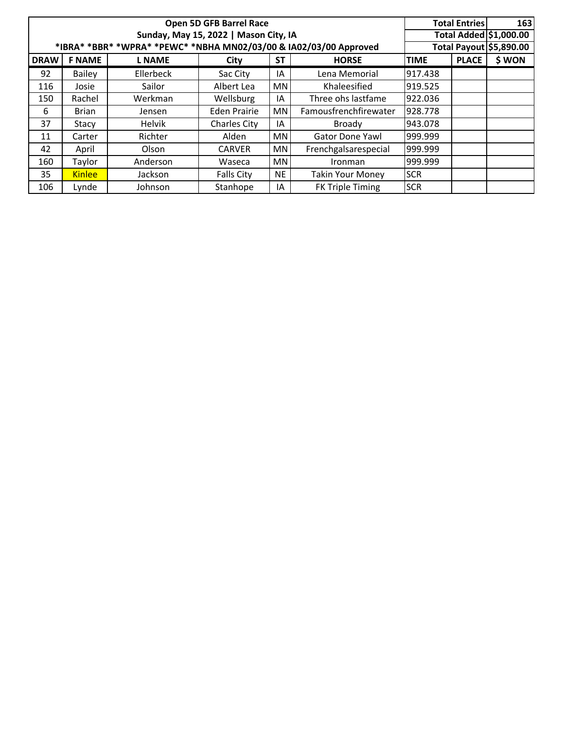|             |                                                                   |                | Open 5D GFB Barrel Race               |           |                         |             | <b>Total Entries</b>   | 163    |
|-------------|-------------------------------------------------------------------|----------------|---------------------------------------|-----------|-------------------------|-------------|------------------------|--------|
|             |                                                                   |                | Sunday, May 15, 2022   Mason City, IA |           |                         |             | Total Added \$1,000.00 |        |
|             | *IBRA* *BBR* *WPRA* *PEWC* *NBHA MN02/03/00 & IA02/03/00 Approved |                | Total Payout \$5,890.00               |           |                         |             |                        |        |
| <b>DRAW</b> | <b>F NAME</b>                                                     | <b>L NAME</b>  | City                                  | <b>ST</b> | <b>HORSE</b>            | <b>TIME</b> | <b>PLACE</b>           | \$ WON |
| 92          | <b>Bailey</b>                                                     | Ellerbeck      | Sac City                              | IA        | Lena Memorial           | 917.438     |                        |        |
| 116         | Josie                                                             | Sailor         | Albert Lea                            | MN        | Khaleesified            | 919.525     |                        |        |
| 150         | Rachel                                                            | Werkman        | Wellsburg                             | IA        | Three ohs lastfame      | 922.036     |                        |        |
| 6           | <b>Brian</b>                                                      | Jensen         | <b>Eden Prairie</b>                   | ΜN        | Famousfrenchfirewater   | 928.778     |                        |        |
| 37          | Stacy                                                             | Helvik         | <b>Charles City</b>                   | ١A        | Broady                  | 943.078     |                        |        |
| 11          | Carter                                                            | Richter        | Alden                                 | MN        | <b>Gator Done Yawl</b>  | 999.999     |                        |        |
| 42          | April                                                             | Olson          | <b>CARVER</b>                         | MN        | Frenchgalsarespecial    | 999.999     |                        |        |
| 160         | Taylor                                                            | Anderson       | Waseca                                | MN        | Ironman                 | 999.999     |                        |        |
| 35          | <b>Kinlee</b>                                                     | <b>Jackson</b> | <b>Falls City</b>                     | <b>NE</b> | <b>Takin Your Money</b> | <b>SCR</b>  |                        |        |
| 106         | Lynde                                                             | Johnson        | Stanhope                              | ΙA        | <b>FK Triple Timing</b> | <b>SCR</b>  |                        |        |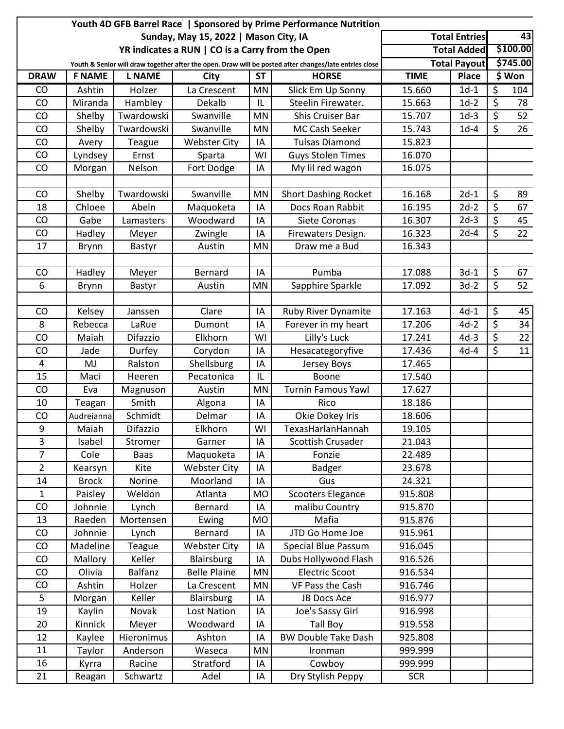|                  |               |               |                                                  |           | Youth 4D GFB Barrel Race   Sponsored by Prime Performance Nutrition                                    |             |                      |    |          |
|------------------|---------------|---------------|--------------------------------------------------|-----------|--------------------------------------------------------------------------------------------------------|-------------|----------------------|----|----------|
|                  |               |               | Sunday, May 15, 2022   Mason City, IA            |           |                                                                                                        |             | <b>Total Entries</b> | 43 |          |
|                  |               |               | YR indicates a RUN   CO is a Carry from the Open |           |                                                                                                        |             | <b>Total Added</b>   |    | \$100.00 |
|                  |               |               |                                                  |           | Youth & Senior will draw together after the open. Draw will be posted after changes/late entries close |             | <b>Total Payout</b>  |    | \$745.00 |
| <b>DRAW</b>      | <b>F NAME</b> | <b>L NAME</b> | City                                             | <b>ST</b> | <b>HORSE</b>                                                                                           | <b>TIME</b> | <b>Place</b>         |    | \$ Won   |
| CO               | Ashtin        | Holzer        | La Crescent                                      | <b>MN</b> | Slick Em Up Sonny                                                                                      | 15.660      | $1d-1$               | \$ | 104      |
| CO               | Miranda       | Hambley       | Dekalb                                           | IL        | Steelin Firewater.                                                                                     | 15.663      | $1d-2$               | \$ | 78       |
| CO               | Shelby        | Twardowski    | Swanville                                        | <b>MN</b> | Shis Cruiser Bar                                                                                       | 15.707      | $1d-3$               | \$ | 52       |
| CO               | Shelby        | Twardowski    | Swanville                                        | <b>MN</b> | MC Cash Seeker                                                                                         | 15.743      | $1d-4$               | \$ | 26       |
| CO               | Avery         | Teague        | <b>Webster City</b>                              | IA        | <b>Tulsas Diamond</b>                                                                                  | 15.823      |                      |    |          |
| CO               | Lyndsey       | Ernst         | Sparta                                           | WI        | <b>Guys Stolen Times</b>                                                                               | 16.070      |                      |    |          |
| CO               | Morgan        | Nelson        | Fort Dodge                                       | IA        | My lil red wagon                                                                                       | 16.075      |                      |    |          |
|                  |               |               |                                                  |           |                                                                                                        |             |                      |    |          |
| CO               | Shelby        | Twardowski    | Swanville                                        | MN        | <b>Short Dashing Rocket</b>                                                                            | 16.168      | $2d-1$               | \$ | 89       |
| 18               | Chloee        | Abeln         | Maquoketa                                        | IA        | Docs Roan Rabbit                                                                                       | 16.195      | $2d-2$               | \$ | 67       |
| CO               | Gabe          | Lamasters     | Woodward                                         | IA        | Siete Coronas                                                                                          | 16.307      | $2d-3$               | \$ | 45       |
| CO               | Hadley        | Meyer         | Zwingle                                          | IA        | Firewaters Design.                                                                                     | 16.323      | $2d-4$               | \$ | 22       |
| 17               | Brynn         | Bastyr        | Austin                                           | <b>MN</b> | Draw me a Bud                                                                                          | 16.343      |                      |    |          |
|                  |               |               |                                                  |           |                                                                                                        |             |                      |    |          |
| CO               | Hadley        | Meyer         | Bernard                                          | IA        | Pumba                                                                                                  | 17.088      | $3d-1$               | \$ | 67       |
| 6                | <b>Brynn</b>  | Bastyr        | Austin                                           | MN        | Sapphire Sparkle                                                                                       | 17.092      | $3d-2$               | \$ | 52       |
|                  |               |               |                                                  |           |                                                                                                        |             |                      |    |          |
| CO               | Kelsey        | Janssen       | Clare                                            | IA        | Ruby River Dynamite                                                                                    | 17.163      | $4d-1$               | \$ | 45       |
| 8                | Rebecca       | LaRue         | Dumont                                           | IA        | Forever in my heart                                                                                    | 17.206      | $4d-2$               | \$ | 34       |
| CO               | Maiah         | Difazzio      | Elkhorn                                          | WI        | Lilly's Luck                                                                                           | 17.241      | $4d-3$               | \$ | 22       |
| CO               | Jade          | Durfey        | Corydon                                          | IA        | Hesacategoryfive                                                                                       | 17.436      | $4d-4$               | \$ | 11       |
| 4                | MJ            | Ralston       | Shellsburg                                       | IA        | Jersey Boys                                                                                            | 17.465      |                      |    |          |
| 15               | Maci          | Heeren        | Pecatonica                                       | IL        | Boone                                                                                                  | 17.540      |                      |    |          |
| CO               | Eva           | Magnuson      | Austin                                           | <b>MN</b> | <b>Turnin Famous Yawl</b>                                                                              | 17.627      |                      |    |          |
| 10               | Teagan        | Smith         | Algona                                           | IA        | Rico                                                                                                   | 18.186      |                      |    |          |
| CO               | Audreianna    | Schmidt       | Delmar                                           | IA        | Okie Dokey Iris                                                                                        | 18.606      |                      |    |          |
| $\boldsymbol{9}$ | Maiah         | Difazzio      | Elkhorn                                          | WI        | TexasHarlanHannah                                                                                      | 19.105      |                      |    |          |
| $\overline{3}$   | Isabel        | Stromer       | Garner                                           | IA        | Scottish Crusader                                                                                      | 21.043      |                      |    |          |
| $\overline{7}$   | Cole          | <b>Baas</b>   | Maquoketa                                        | IA        | Fonzie                                                                                                 | 22.489      |                      |    |          |
| $\overline{2}$   | Kearsyn       | Kite          | <b>Webster City</b>                              | IA        | Badger                                                                                                 | 23.678      |                      |    |          |
| 14               | <b>Brock</b>  | Norine        | Moorland                                         | IA        | Gus                                                                                                    | 24.321      |                      |    |          |
| 1                | Paisley       | Weldon        | Atlanta                                          | <b>MO</b> | <b>Scooters Elegance</b>                                                                               | 915.808     |                      |    |          |
| CO               | Johnnie       | Lynch         | Bernard                                          | IA        | malibu Country                                                                                         | 915.870     |                      |    |          |
| 13               | Raeden        | Mortensen     | Ewing                                            | <b>MO</b> | Mafia                                                                                                  | 915.876     |                      |    |          |
| CO               | Johnnie       | Lynch         | Bernard                                          | IA        | JTD Go Home Joe                                                                                        | 915.961     |                      |    |          |
| CO               | Madeline      | Teague        | <b>Webster City</b>                              | IA        | Special Blue Passum                                                                                    | 916.045     |                      |    |          |
| CO               | Mallory       | Keller        | Blairsburg                                       | IA        | Dubs Hollywood Flash                                                                                   | 916.526     |                      |    |          |
| CO               | Olivia        | Balfanz       | <b>Belle Plaine</b>                              | MN        | <b>Electric Scoot</b>                                                                                  | 916.534     |                      |    |          |
| CO               | Ashtin        | Holzer        | La Crescent                                      | MN        | VF Pass the Cash                                                                                       | 916.746     |                      |    |          |
| 5                | Morgan        | Keller        | Blairsburg                                       | IA        | JB Docs Ace                                                                                            | 916.977     |                      |    |          |
| 19               | Kaylin        | Novak         | Lost Nation                                      | IA        | Joe's Sassy Girl                                                                                       | 916.998     |                      |    |          |
| 20               | Kinnick       | Meyer         | Woodward                                         | IA        | <b>Tall Boy</b>                                                                                        | 919.558     |                      |    |          |
| 12               | Kaylee        | Hieronimus    | Ashton                                           | IA        | <b>BW Double Take Dash</b>                                                                             | 925.808     |                      |    |          |
| 11               | Taylor        | Anderson      | Waseca                                           | MN        | Ironman                                                                                                | 999.999     |                      |    |          |
| 16               | Kyrra         | Racine        | Stratford                                        | IA        | Cowboy                                                                                                 | 999.999     |                      |    |          |
| 21               | Reagan        | Schwartz      | Adel                                             | IA        | Dry Stylish Peppy                                                                                      | <b>SCR</b>  |                      |    |          |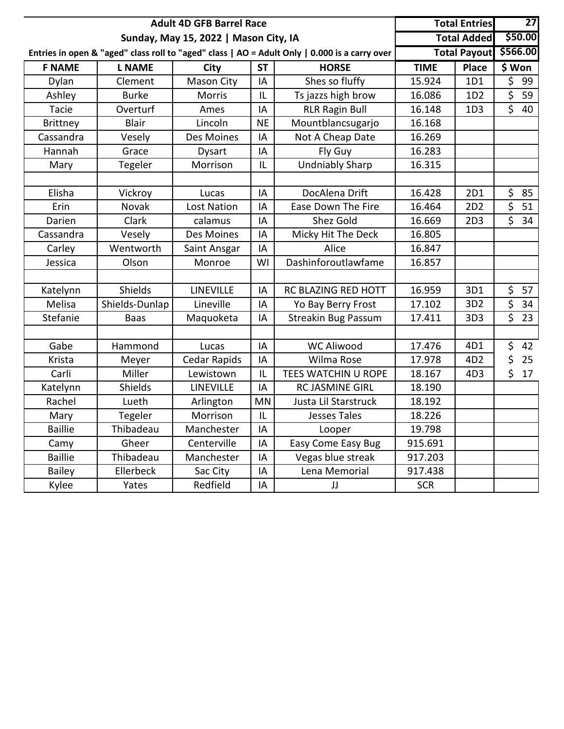|                 | <b>Adult 4D GFB Barrel Race</b> |                                       |           | <b>Total Entries</b>                                                                          | 27          |                     |                               |  |
|-----------------|---------------------------------|---------------------------------------|-----------|-----------------------------------------------------------------------------------------------|-------------|---------------------|-------------------------------|--|
|                 |                                 | Sunday, May 15, 2022   Mason City, IA |           |                                                                                               |             | <b>Total Added</b>  | \$50.00                       |  |
|                 |                                 |                                       |           | Entries in open & "aged" class roll to "aged" class   AO = Adult Only   0.000 is a carry over |             | <b>Total Payout</b> | \$566.00                      |  |
| <b>F NAME</b>   | <b>L NAME</b>                   | <b>City</b>                           | <b>ST</b> | <b>HORSE</b>                                                                                  | <b>TIME</b> | <b>Place</b>        | \$Won                         |  |
| Dylan           | Clement                         | Mason City                            | IA        | Shes so fluffy                                                                                | 15.924      | 1D1                 | \$<br>99                      |  |
| Ashley          | <b>Burke</b>                    | <b>Morris</b>                         | IL        | Ts jazzs high brow                                                                            | 16.086      | 1D <sub>2</sub>     | \$<br>59                      |  |
| Tacie           | Overturf                        | Ames                                  | IA        | <b>RLR Ragin Bull</b>                                                                         | 16.148      | 1D <sub>3</sub>     | $\overline{\xi}$<br>40        |  |
| <b>Brittney</b> | <b>Blair</b>                    | Lincoln                               | <b>NE</b> | Mountblancsugarjo                                                                             | 16.168      |                     |                               |  |
| Cassandra       | Vesely                          | Des Moines                            | IA        | Not A Cheap Date                                                                              | 16.269      |                     |                               |  |
| Hannah          | Grace                           | <b>Dysart</b>                         | IA        | Fly Guy                                                                                       | 16.283      |                     |                               |  |
| Mary            | Tegeler                         | Morrison                              | IL        | <b>Undniably Sharp</b>                                                                        | 16.315      |                     |                               |  |
|                 |                                 |                                       |           |                                                                                               |             |                     |                               |  |
| Elisha          | Vickroy                         | Lucas                                 | IA        | DocAlena Drift                                                                                | 16.428      | 2D1                 | \$<br>85                      |  |
| Erin            | Novak                           | Lost Nation                           | IA        | Ease Down The Fire                                                                            | 16.464      | 2D <sub>2</sub>     | \$<br>51                      |  |
| Darien          | Clark                           | calamus                               | IA        | <b>Shez Gold</b>                                                                              | 16.669      | 2D3                 | \$<br>34                      |  |
| Cassandra       | Vesely                          | Des Moines                            | IA        | Micky Hit The Deck                                                                            | 16.805      |                     |                               |  |
| Carley          | Wentworth                       | Saint Ansgar                          | IA        | Alice                                                                                         | 16.847      |                     |                               |  |
| Jessica         | Olson                           | Monroe                                | WI        | Dashinforoutlawfame                                                                           | 16.857      |                     |                               |  |
|                 |                                 |                                       |           |                                                                                               |             |                     |                               |  |
| Katelynn        | Shields                         | <b>LINEVILLE</b>                      | IA        | RC BLAZING RED HOTT                                                                           | 16.959      | 3D1                 | \$<br>57                      |  |
| Melisa          | Shields-Dunlap                  | Lineville                             | IA        | Yo Bay Berry Frost                                                                            | 17.102      | 3D <sub>2</sub>     | \$<br>34                      |  |
| Stefanie        | Baas                            | Maquoketa                             | IA        | <b>Streakin Bug Passum</b>                                                                    | 17.411      | 3D <sub>3</sub>     | $\overline{\mathsf{S}}$<br>23 |  |
|                 |                                 |                                       |           |                                                                                               |             |                     |                               |  |
| Gabe            | Hammond                         | Lucas                                 | IA        | <b>WC Aliwood</b>                                                                             | 17.476      | 4D1                 | \$<br>42                      |  |
| Krista          | Meyer                           | Cedar Rapids                          | IA        | Wilma Rose                                                                                    | 17.978      | 4D <sub>2</sub>     | \$<br>25                      |  |
| Carli           | Miller                          | Lewistown                             | IL        | TEES WATCHIN U ROPE                                                                           | 18.167      | 4D3                 | \$<br>17                      |  |
| Katelynn        | Shields                         | <b>LINEVILLE</b>                      | ΙA        | <b>RC JASMINE GIRL</b>                                                                        | 18.190      |                     |                               |  |
| Rachel          | Lueth                           | Arlington                             | <b>MN</b> | Justa Lil Starstruck                                                                          | 18.192      |                     |                               |  |
| Mary            | Tegeler                         | Morrison                              | IL        | <b>Jesses Tales</b>                                                                           | 18.226      |                     |                               |  |
| <b>Baillie</b>  | Thibadeau                       | Manchester                            | IA        | Looper                                                                                        | 19.798      |                     |                               |  |
| Camy            | Gheer                           | Centerville                           | IA        | Easy Come Easy Bug                                                                            | 915.691     |                     |                               |  |
| <b>Baillie</b>  | Thibadeau                       | Manchester                            | IA        | Vegas blue streak                                                                             | 917.203     |                     |                               |  |
| <b>Bailey</b>   | Ellerbeck                       | Sac City                              | IA        | Lena Memorial                                                                                 | 917.438     |                     |                               |  |
| Kylee           | Yates                           | Redfield                              | IA        | JJ                                                                                            | <b>SCR</b>  |                     |                               |  |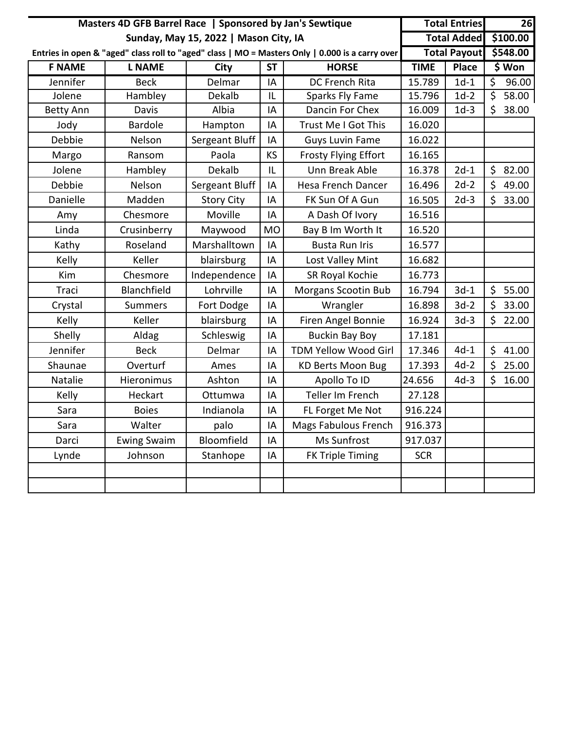|                  | Masters 4D GFB Barrel Race   Sponsored by Jan's Sewtique |                                       |           | <b>Total Entries</b>                                                                            |             | 26                  |    |          |
|------------------|----------------------------------------------------------|---------------------------------------|-----------|-------------------------------------------------------------------------------------------------|-------------|---------------------|----|----------|
|                  |                                                          | Sunday, May 15, 2022   Mason City, IA |           |                                                                                                 |             | <b>Total Added</b>  |    | \$100.00 |
|                  |                                                          |                                       |           | Entries in open & "aged" class roll to "aged" class   MO = Masters Only   0.000 is a carry over |             | <b>Total Payout</b> |    | \$548.00 |
| <b>F NAME</b>    | <b>L NAME</b>                                            | <b>City</b>                           | <b>ST</b> | <b>HORSE</b>                                                                                    | <b>TIME</b> | <b>Place</b>        |    | \$ Won   |
| Jennifer         | <b>Beck</b>                                              | Delmar                                | IA        | <b>DC French Rita</b>                                                                           | 15.789      | $1d-1$              | \$ | 96.00    |
| Jolene           | Hambley                                                  | Dekalb                                | IL        | <b>Sparks Fly Fame</b>                                                                          | 15.796      | $1d-2$              | \$ | 58.00    |
| <b>Betty Ann</b> | Davis                                                    | Albia                                 | IA        | Dancin For Chex                                                                                 | 16.009      | $1d-3$              | \$ | 38.00    |
| Jody             | <b>Bardole</b>                                           | Hampton                               | IA        | Trust Me I Got This                                                                             | 16.020      |                     |    |          |
| Debbie           | Nelson                                                   | Sergeant Bluff                        | IA        | <b>Guys Luvin Fame</b>                                                                          | 16.022      |                     |    |          |
| Margo            | Ransom                                                   | Paola                                 | KS        | <b>Frosty Flying Effort</b>                                                                     | 16.165      |                     |    |          |
| Jolene           | Hambley                                                  | Dekalb                                | IL        | Unn Break Able                                                                                  | 16.378      | $2d-1$              |    | \$82.00  |
| Debbie           | Nelson                                                   | Sergeant Bluff                        | IA        | <b>Hesa French Dancer</b>                                                                       | 16.496      | $2d-2$              | \$ | 49.00    |
| Danielle         | Madden                                                   | <b>Story City</b>                     | IA        | FK Sun Of A Gun                                                                                 | 16.505      | $2d-3$              | \$ | 33.00    |
| Amy              | Chesmore                                                 | Moville                               | IA        | A Dash Of Ivory                                                                                 | 16.516      |                     |    |          |
| Linda            | Crusinberry                                              | Maywood                               | <b>MO</b> | Bay B Im Worth It                                                                               | 16.520      |                     |    |          |
| Kathy            | Roseland                                                 | Marshalltown                          | IA        | <b>Busta Run Iris</b>                                                                           | 16.577      |                     |    |          |
| Kelly            | Keller                                                   | blairsburg                            | IA        | Lost Valley Mint                                                                                | 16.682      |                     |    |          |
| Kim              | Chesmore                                                 | Independence                          | IA        | SR Royal Kochie                                                                                 | 16.773      |                     |    |          |
| Traci            | Blanchfield                                              | Lohrville                             | IA        | <b>Morgans Scootin Bub</b>                                                                      | 16.794      | $3d-1$              | \$ | 55.00    |
| Crystal          | <b>Summers</b>                                           | Fort Dodge                            | IA        | Wrangler                                                                                        | 16.898      | $3d-2$              | \$ | 33.00    |
| Kelly            | Keller                                                   | blairsburg                            | IA        | Firen Angel Bonnie                                                                              | 16.924      | $3d-3$              | \$ | 22.00    |
| Shelly           | Aldag                                                    | Schleswig                             | IA        | <b>Buckin Bay Boy</b>                                                                           | 17.181      |                     |    |          |
| Jennifer         | <b>Beck</b>                                              | Delmar                                | IA        | TDM Yellow Wood Girl                                                                            | 17.346      | $4d-1$              | \$ | 41.00    |
| Shaunae          | Overturf                                                 | Ames                                  | IA        | <b>KD Berts Moon Bug</b>                                                                        | 17.393      | $4d-2$              | \$ | 25.00    |
| Natalie          | Hieronimus                                               | Ashton                                | IA        | Apollo To ID                                                                                    | 24.656      | $4d-3$              | Ś. | 16.00    |
| Kelly            | Heckart                                                  | Ottumwa                               | IA        | Teller Im French                                                                                | 27.128      |                     |    |          |
| Sara             | <b>Boies</b>                                             | Indianola                             | IA        | FL Forget Me Not                                                                                | 916.224     |                     |    |          |
| Sara             | Walter                                                   | palo                                  | IA        | Mags Fabulous French                                                                            | 916.373     |                     |    |          |
| Darci            | <b>Ewing Swaim</b>                                       | Bloomfield                            | IA        | Ms Sunfrost                                                                                     | 917.037     |                     |    |          |
| Lynde            | Johnson                                                  | Stanhope                              | IA        | <b>FK Triple Timing</b>                                                                         | <b>SCR</b>  |                     |    |          |
|                  |                                                          |                                       |           |                                                                                                 |             |                     |    |          |
|                  |                                                          |                                       |           |                                                                                                 |             |                     |    |          |